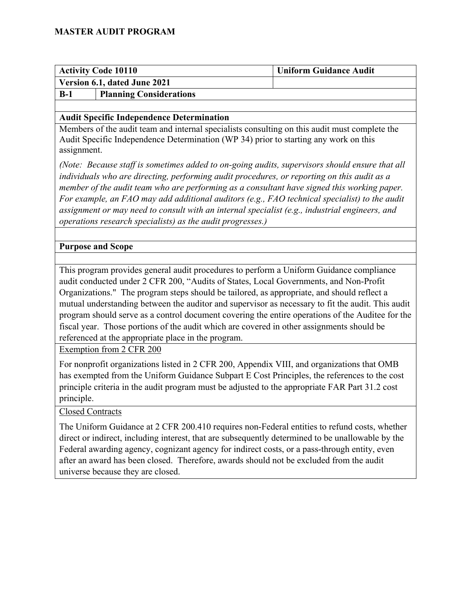| <b>Activity Code 10110</b>   |                                | <b>Uniform Guidance Audit</b> |
|------------------------------|--------------------------------|-------------------------------|
| Version 6.1, dated June 2021 |                                |                               |
| $B-1$                        | <b>Planning Considerations</b> |                               |

#### **Audit Specific Independence Determination**

Members of the audit team and internal specialists consulting on this audit must complete the Audit Specific Independence Determination (WP 34) prior to starting any work on this assignment.

*(Note: Because staff is sometimes added to on-going audits, supervisors should ensure that all individuals who are directing, performing audit procedures, or reporting on this audit as a member of the audit team who are performing as a consultant have signed this working paper. For example, an FAO may add additional auditors (e.g., FAO technical specialist) to the audit assignment or may need to consult with an internal specialist (e.g., industrial engineers, and operations research specialists) as the audit progresses.)*

#### **Purpose and Scope**

This program provides general audit procedures to perform a Uniform Guidance compliance audit conducted under 2 CFR 200, "Audits of States, Local Governments, and Non-Profit Organizations." The program steps should be tailored, as appropriate, and should reflect a mutual understanding between the auditor and supervisor as necessary to fit the audit. This audit program should serve as a control document covering the entire operations of the Auditee for the fiscal year. Those portions of the audit which are covered in other assignments should be referenced at the appropriate place in the program.

Exemption from 2 CFR 200

For nonprofit organizations listed in 2 CFR 200, Appendix VIII, and organizations that OMB has exempted from the Uniform Guidance Subpart E Cost Principles, the references to the cost principle criteria in the audit program must be adjusted to the appropriate FAR Part 31.2 cost principle.

### Closed Contracts

The Uniform Guidance at 2 CFR 200.410 requires non-Federal entities to refund costs, whether direct or indirect, including interest, that are subsequently determined to be unallowable by the Federal awarding agency, cognizant agency for indirect costs, or a pass-through entity, even after an award has been closed. Therefore, awards should not be excluded from the audit universe because they are closed.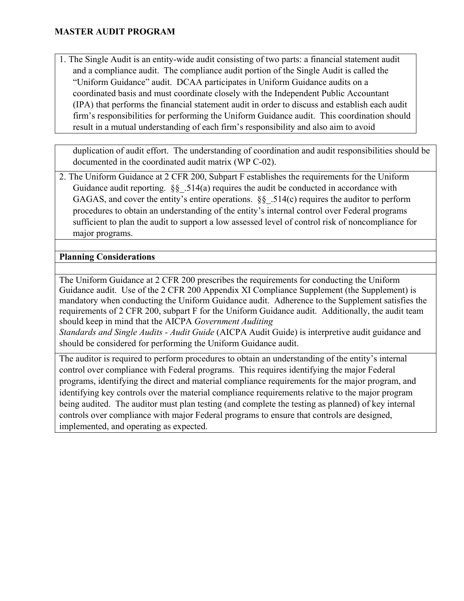1. The Single Audit is an entity-wide audit consisting of two parts: a financial statement audit and a compliance audit. The compliance audit portion of the Single Audit is called the "Uniform Guidance" audit. DCAA participates in Uniform Guidance audits on a coordinated basis and must coordinate closely with the Independent Public Accountant (IPA) that performs the financial statement audit in order to discuss and establish each audit firm's responsibilities for performing the Uniform Guidance audit. This coordination should result in a mutual understanding of each firm's responsibility and also aim to avoid

duplication of audit effort. The understanding of coordination and audit responsibilities should be documented in the coordinated audit matrix (WP C-02).

2. The Uniform Guidance at 2 CFR 200, Subpart F establishes the requirements for the Uniform Guidance audit reporting.  $\S$ § .514(a) requires the audit be conducted in accordance with GAGAS, and cover the entity's entire operations.  $\S$ § .514(c) requires the auditor to perform procedures to obtain an understanding of the entity's internal control over Federal programs sufficient to plan the audit to support a low assessed level of control risk of noncompliance for major programs.

### **Planning Considerations**

The Uniform Guidance at 2 CFR 200 prescribes the requirements for conducting the Uniform Guidance audit. Use of the 2 CFR 200 Appendix XI Compliance Supplement (the Supplement) is mandatory when conducting the Uniform Guidance audit. Adherence to the Supplement satisfies the requirements of 2 CFR 200, subpart F for the Uniform Guidance audit. Additionally, the audit team should keep in mind that the AICPA *Government Auditing* 

*Standards and Single Audits - Audit Guide* (AICPA Audit Guide) is interpretive audit guidance and should be considered for performing the Uniform Guidance audit.

The auditor is required to perform procedures to obtain an understanding of the entity's internal control over compliance with Federal programs. This requires identifying the major Federal programs, identifying the direct and material compliance requirements for the major program, and identifying key controls over the material compliance requirements relative to the major program being audited. The auditor must plan testing (and complete the testing as planned) of key internal controls over compliance with major Federal programs to ensure that controls are designed, implemented, and operating as expected.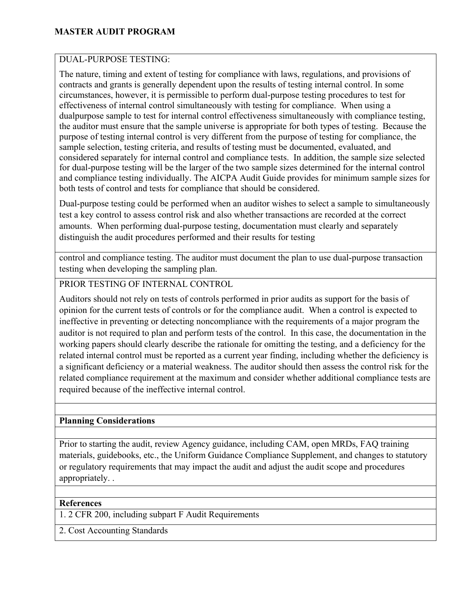### DUAL-PURPOSE TESTING:

The nature, timing and extent of testing for compliance with laws, regulations, and provisions of contracts and grants is generally dependent upon the results of testing internal control. In some circumstances, however, it is permissible to perform dual-purpose testing procedures to test for effectiveness of internal control simultaneously with testing for compliance. When using a dualpurpose sample to test for internal control effectiveness simultaneously with compliance testing, the auditor must ensure that the sample universe is appropriate for both types of testing. Because the purpose of testing internal control is very different from the purpose of testing for compliance, the sample selection, testing criteria, and results of testing must be documented, evaluated, and considered separately for internal control and compliance tests. In addition, the sample size selected for dual-purpose testing will be the larger of the two sample sizes determined for the internal control and compliance testing individually. The AICPA Audit Guide provides for minimum sample sizes for both tests of control and tests for compliance that should be considered.

Dual-purpose testing could be performed when an auditor wishes to select a sample to simultaneously test a key control to assess control risk and also whether transactions are recorded at the correct amounts. When performing dual-purpose testing, documentation must clearly and separately distinguish the audit procedures performed and their results for testing

control and compliance testing. The auditor must document the plan to use dual-purpose transaction testing when developing the sampling plan.

### PRIOR TESTING OF INTERNAL CONTROL

Auditors should not rely on tests of controls performed in prior audits as support for the basis of opinion for the current tests of controls or for the compliance audit. When a control is expected to ineffective in preventing or detecting noncompliance with the requirements of a major program the auditor is not required to plan and perform tests of the control. In this case, the documentation in the working papers should clearly describe the rationale for omitting the testing, and a deficiency for the related internal control must be reported as a current year finding, including whether the deficiency is a significant deficiency or a material weakness. The auditor should then assess the control risk for the related compliance requirement at the maximum and consider whether additional compliance tests are required because of the ineffective internal control.

#### **Planning Considerations**

Prior to starting the audit, review Agency guidance, including CAM, open MRDs, FAQ training materials, guidebooks, etc., the Uniform Guidance Compliance Supplement, and changes to statutory or regulatory requirements that may impact the audit and adjust the audit scope and procedures appropriately. .

#### **References**

1. 2 CFR 200, including subpart F Audit Requirements

2. Cost Accounting Standards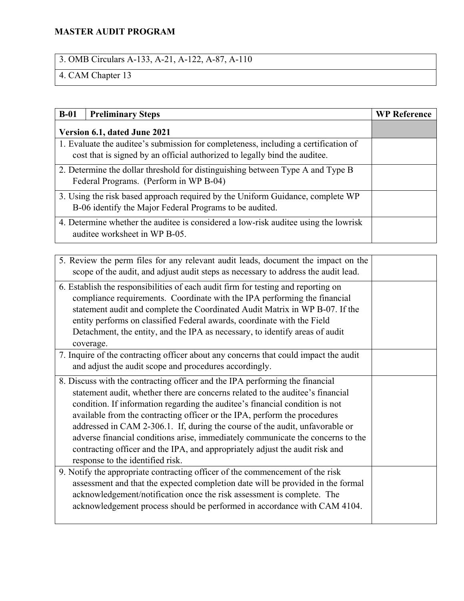# 3. OMB Circulars A-133, A-21, A-122, A-87, A-110

# 4. CAM Chapter 13

| $B-01$                                                                                                               | <b>Preliminary Steps</b>                                                                                                                                          | <b>WP Reference</b> |
|----------------------------------------------------------------------------------------------------------------------|-------------------------------------------------------------------------------------------------------------------------------------------------------------------|---------------------|
| Version 6.1, dated June 2021                                                                                         |                                                                                                                                                                   |                     |
|                                                                                                                      | 1. Evaluate the auditee's submission for completeness, including a certification of<br>cost that is signed by an official authorized to legally bind the auditee. |                     |
|                                                                                                                      | 2. Determine the dollar threshold for distinguishing between Type A and Type B<br>Federal Programs. (Perform in WP B-04)                                          |                     |
|                                                                                                                      | 3. Using the risk based approach required by the Uniform Guidance, complete WP<br>B-06 identify the Major Federal Programs to be audited.                         |                     |
| 4. Determine whether the auditee is considered a low-risk auditee using the lowrisk<br>auditee worksheet in WP B-05. |                                                                                                                                                                   |                     |

| 5. Review the perm files for any relevant audit leads, document the impact on the<br>scope of the audit, and adjust audit steps as necessary to address the audit lead.                                                                                                                                                                                                                                                                                                                                                                                                                                            |  |
|--------------------------------------------------------------------------------------------------------------------------------------------------------------------------------------------------------------------------------------------------------------------------------------------------------------------------------------------------------------------------------------------------------------------------------------------------------------------------------------------------------------------------------------------------------------------------------------------------------------------|--|
| 6. Establish the responsibilities of each audit firm for testing and reporting on<br>compliance requirements. Coordinate with the IPA performing the financial<br>statement audit and complete the Coordinated Audit Matrix in WP B-07. If the<br>entity performs on classified Federal awards, coordinate with the Field<br>Detachment, the entity, and the IPA as necessary, to identify areas of audit<br>coverage.                                                                                                                                                                                             |  |
| 7. Inquire of the contracting officer about any concerns that could impact the audit<br>and adjust the audit scope and procedures accordingly.                                                                                                                                                                                                                                                                                                                                                                                                                                                                     |  |
| 8. Discuss with the contracting officer and the IPA performing the financial<br>statement audit, whether there are concerns related to the auditee's financial<br>condition. If information regarding the auditee's financial condition is not<br>available from the contracting officer or the IPA, perform the procedures<br>addressed in CAM 2-306.1. If, during the course of the audit, unfavorable or<br>adverse financial conditions arise, immediately communicate the concerns to the<br>contracting officer and the IPA, and appropriately adjust the audit risk and<br>response to the identified risk. |  |
| 9. Notify the appropriate contracting officer of the commencement of the risk<br>assessment and that the expected completion date will be provided in the formal<br>acknowledgement/notification once the risk assessment is complete. The<br>acknowledgement process should be performed in accordance with CAM 4104.                                                                                                                                                                                                                                                                                             |  |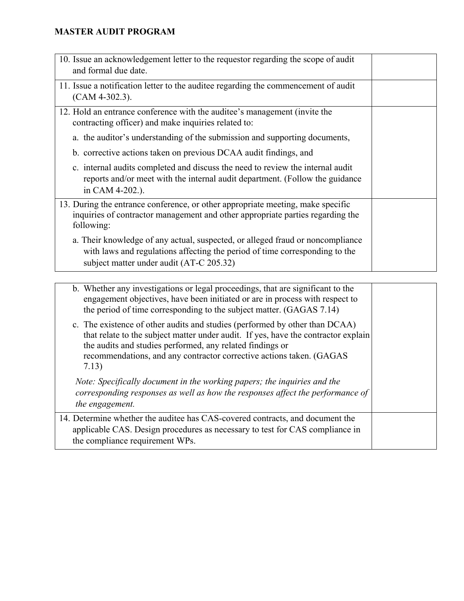| 10. Issue an acknowledgement letter to the requestor regarding the scope of audit<br>and formal due date.                                                                                                 |  |
|-----------------------------------------------------------------------------------------------------------------------------------------------------------------------------------------------------------|--|
| 11. Issue a notification letter to the auditee regarding the commencement of audit<br>$(CAM 4-302.3)$ .                                                                                                   |  |
| 12. Hold an entrance conference with the auditee's management (invite the<br>contracting officer) and make inquiries related to:                                                                          |  |
| a. the auditor's understanding of the submission and supporting documents,                                                                                                                                |  |
| b. corrective actions taken on previous DCAA audit findings, and                                                                                                                                          |  |
| c. internal audits completed and discuss the need to review the internal audit<br>reports and/or meet with the internal audit department. (Follow the guidance<br>in CAM 4-202.).                         |  |
| 13. During the entrance conference, or other appropriate meeting, make specific<br>inquiries of contractor management and other appropriate parties regarding the<br>following:                           |  |
| a. Their knowledge of any actual, suspected, or alleged fraud or noncompliance<br>with laws and regulations affecting the period of time corresponding to the<br>subject matter under audit (AT-C 205.32) |  |

| b. Whether any investigations or legal proceedings, that are significant to the<br>engagement objectives, have been initiated or are in process with respect to<br>the period of time corresponding to the subject matter. (GAGAS 7.14)                                                                         |  |
|-----------------------------------------------------------------------------------------------------------------------------------------------------------------------------------------------------------------------------------------------------------------------------------------------------------------|--|
| c. The existence of other audits and studies (performed by other than DCAA)<br>that relate to the subject matter under audit. If yes, have the contractor explain<br>the audits and studies performed, any related findings or<br>recommendations, and any contractor corrective actions taken. (GAGAS<br>7.13) |  |
| Note: Specifically document in the working papers; the inquiries and the<br>corresponding responses as well as how the responses affect the performance of<br>the engagement.                                                                                                                                   |  |
| 14. Determine whether the auditee has CAS-covered contracts, and document the<br>applicable CAS. Design procedures as necessary to test for CAS compliance in<br>the compliance requirement WPs.                                                                                                                |  |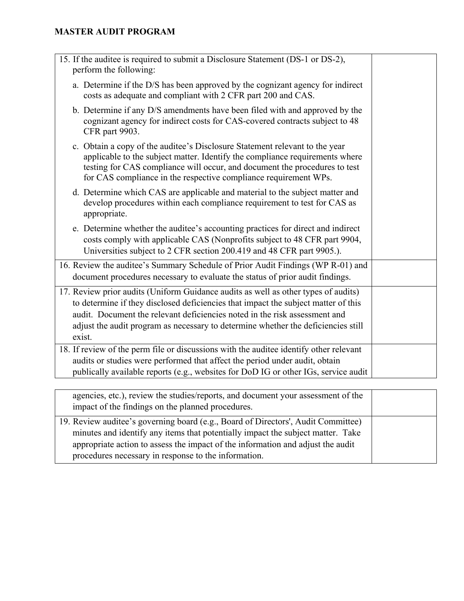| 15. If the auditee is required to submit a Disclosure Statement (DS-1 or DS-2),<br>perform the following:                                                                                                                                                                                                                                             |  |
|-------------------------------------------------------------------------------------------------------------------------------------------------------------------------------------------------------------------------------------------------------------------------------------------------------------------------------------------------------|--|
| a. Determine if the D/S has been approved by the cognizant agency for indirect<br>costs as adequate and compliant with 2 CFR part 200 and CAS.                                                                                                                                                                                                        |  |
| b. Determine if any D/S amendments have been filed with and approved by the<br>cognizant agency for indirect costs for CAS-covered contracts subject to 48<br>CFR part 9903.                                                                                                                                                                          |  |
| c. Obtain a copy of the auditee's Disclosure Statement relevant to the year<br>applicable to the subject matter. Identify the compliance requirements where<br>testing for CAS compliance will occur, and document the procedures to test<br>for CAS compliance in the respective compliance requirement WPs.                                         |  |
| d. Determine which CAS are applicable and material to the subject matter and<br>develop procedures within each compliance requirement to test for CAS as<br>appropriate.                                                                                                                                                                              |  |
| e. Determine whether the auditee's accounting practices for direct and indirect<br>costs comply with applicable CAS (Nonprofits subject to 48 CFR part 9904,<br>Universities subject to 2 CFR section 200.419 and 48 CFR part 9905.).                                                                                                                 |  |
| 16. Review the auditee's Summary Schedule of Prior Audit Findings (WP R-01) and<br>document procedures necessary to evaluate the status of prior audit findings.                                                                                                                                                                                      |  |
| 17. Review prior audits (Uniform Guidance audits as well as other types of audits)<br>to determine if they disclosed deficiencies that impact the subject matter of this<br>audit. Document the relevant deficiencies noted in the risk assessment and<br>adjust the audit program as necessary to determine whether the deficiencies still<br>exist. |  |
| 18. If review of the perm file or discussions with the auditee identify other relevant<br>audits or studies were performed that affect the period under audit, obtain<br>publically available reports (e.g., websites for DoD IG or other IGs, service audit                                                                                          |  |
|                                                                                                                                                                                                                                                                                                                                                       |  |

| agencies, etc.), review the studies/reports, and document your assessment of the<br>impact of the findings on the planned procedures.                                                                                                                                                                           |  |
|-----------------------------------------------------------------------------------------------------------------------------------------------------------------------------------------------------------------------------------------------------------------------------------------------------------------|--|
| 19. Review auditee's governing board (e.g., Board of Directors', Audit Committee)<br>minutes and identify any items that potentially impact the subject matter. Take<br>appropriate action to assess the impact of the information and adjust the audit<br>procedures necessary in response to the information. |  |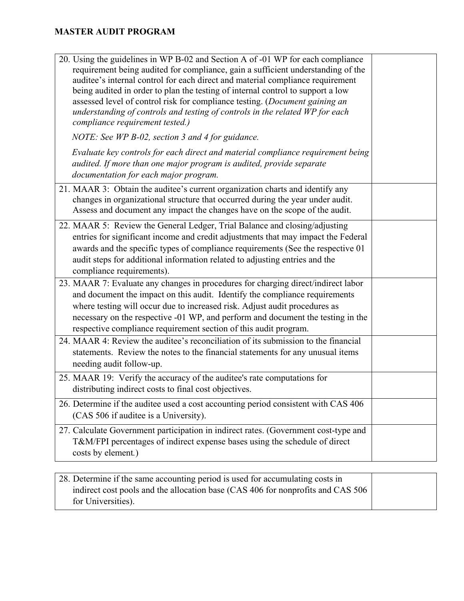| Evaluate key controls for each direct and material compliance requirement being<br>audited. If more than one major program is audited, provide separate<br>documentation for each major program.<br>21. MAAR 3: Obtain the auditee's current organization charts and identify any<br>changes in organizational structure that occurred during the year under audit.<br>Assess and document any impact the changes have on the scope of the audit.<br>22. MAAR 5: Review the General Ledger, Trial Balance and closing/adjusting<br>entries for significant income and credit adjustments that may impact the Federal<br>awards and the specific types of compliance requirements (See the respective 01<br>audit steps for additional information related to adjusting entries and the<br>compliance requirements).<br>23. MAAR 7: Evaluate any changes in procedures for charging direct/indirect labor<br>and document the impact on this audit. Identify the compliance requirements<br>where testing will occur due to increased risk. Adjust audit procedures as<br>necessary on the respective -01 WP, and perform and document the testing in the<br>respective compliance requirement section of this audit program.<br>24. MAAR 4: Review the auditee's reconciliation of its submission to the financial<br>statements. Review the notes to the financial statements for any unusual items<br>needing audit follow-up.<br>25. MAAR 19: Verify the accuracy of the auditee's rate computations for<br>distributing indirect costs to final cost objectives.<br>26. Determine if the auditee used a cost accounting period consistent with CAS 406<br>(CAS 506 if auditee is a University).<br>27. Calculate Government participation in indirect rates. (Government cost-type and<br>T&M/FPI percentages of indirect expense bases using the schedule of direct<br>costs by element.) | 20. Using the guidelines in WP B-02 and Section A of -01 WP for each compliance<br>requirement being audited for compliance, gain a sufficient understanding of the<br>auditee's internal control for each direct and material compliance requirement<br>being audited in order to plan the testing of internal control to support a low<br>assessed level of control risk for compliance testing. (Document gaining an<br>understanding of controls and testing of controls in the related WP for each<br>compliance requirement tested.) |  |
|------------------------------------------------------------------------------------------------------------------------------------------------------------------------------------------------------------------------------------------------------------------------------------------------------------------------------------------------------------------------------------------------------------------------------------------------------------------------------------------------------------------------------------------------------------------------------------------------------------------------------------------------------------------------------------------------------------------------------------------------------------------------------------------------------------------------------------------------------------------------------------------------------------------------------------------------------------------------------------------------------------------------------------------------------------------------------------------------------------------------------------------------------------------------------------------------------------------------------------------------------------------------------------------------------------------------------------------------------------------------------------------------------------------------------------------------------------------------------------------------------------------------------------------------------------------------------------------------------------------------------------------------------------------------------------------------------------------------------------------------------------------------------------------------------------------------------------------------------------------------------------------------|--------------------------------------------------------------------------------------------------------------------------------------------------------------------------------------------------------------------------------------------------------------------------------------------------------------------------------------------------------------------------------------------------------------------------------------------------------------------------------------------------------------------------------------------|--|
|                                                                                                                                                                                                                                                                                                                                                                                                                                                                                                                                                                                                                                                                                                                                                                                                                                                                                                                                                                                                                                                                                                                                                                                                                                                                                                                                                                                                                                                                                                                                                                                                                                                                                                                                                                                                                                                                                                | NOTE: See WP B-02, section 3 and 4 for guidance.                                                                                                                                                                                                                                                                                                                                                                                                                                                                                           |  |
|                                                                                                                                                                                                                                                                                                                                                                                                                                                                                                                                                                                                                                                                                                                                                                                                                                                                                                                                                                                                                                                                                                                                                                                                                                                                                                                                                                                                                                                                                                                                                                                                                                                                                                                                                                                                                                                                                                |                                                                                                                                                                                                                                                                                                                                                                                                                                                                                                                                            |  |
|                                                                                                                                                                                                                                                                                                                                                                                                                                                                                                                                                                                                                                                                                                                                                                                                                                                                                                                                                                                                                                                                                                                                                                                                                                                                                                                                                                                                                                                                                                                                                                                                                                                                                                                                                                                                                                                                                                |                                                                                                                                                                                                                                                                                                                                                                                                                                                                                                                                            |  |
|                                                                                                                                                                                                                                                                                                                                                                                                                                                                                                                                                                                                                                                                                                                                                                                                                                                                                                                                                                                                                                                                                                                                                                                                                                                                                                                                                                                                                                                                                                                                                                                                                                                                                                                                                                                                                                                                                                |                                                                                                                                                                                                                                                                                                                                                                                                                                                                                                                                            |  |
|                                                                                                                                                                                                                                                                                                                                                                                                                                                                                                                                                                                                                                                                                                                                                                                                                                                                                                                                                                                                                                                                                                                                                                                                                                                                                                                                                                                                                                                                                                                                                                                                                                                                                                                                                                                                                                                                                                |                                                                                                                                                                                                                                                                                                                                                                                                                                                                                                                                            |  |
|                                                                                                                                                                                                                                                                                                                                                                                                                                                                                                                                                                                                                                                                                                                                                                                                                                                                                                                                                                                                                                                                                                                                                                                                                                                                                                                                                                                                                                                                                                                                                                                                                                                                                                                                                                                                                                                                                                |                                                                                                                                                                                                                                                                                                                                                                                                                                                                                                                                            |  |
|                                                                                                                                                                                                                                                                                                                                                                                                                                                                                                                                                                                                                                                                                                                                                                                                                                                                                                                                                                                                                                                                                                                                                                                                                                                                                                                                                                                                                                                                                                                                                                                                                                                                                                                                                                                                                                                                                                |                                                                                                                                                                                                                                                                                                                                                                                                                                                                                                                                            |  |
|                                                                                                                                                                                                                                                                                                                                                                                                                                                                                                                                                                                                                                                                                                                                                                                                                                                                                                                                                                                                                                                                                                                                                                                                                                                                                                                                                                                                                                                                                                                                                                                                                                                                                                                                                                                                                                                                                                |                                                                                                                                                                                                                                                                                                                                                                                                                                                                                                                                            |  |

| 28. Determine if the same accounting period is used for accumulating costs in   |  |
|---------------------------------------------------------------------------------|--|
| indirect cost pools and the allocation base (CAS 406 for nonprofits and CAS 506 |  |
| for Universities).                                                              |  |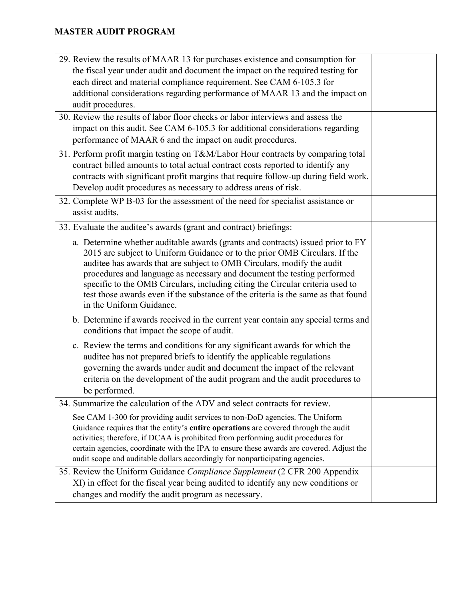| 29. Review the results of MAAR 13 for purchases existence and consumption for                                                                                            |  |
|--------------------------------------------------------------------------------------------------------------------------------------------------------------------------|--|
| the fiscal year under audit and document the impact on the required testing for                                                                                          |  |
| each direct and material compliance requirement. See CAM 6-105.3 for                                                                                                     |  |
| additional considerations regarding performance of MAAR 13 and the impact on                                                                                             |  |
| audit procedures.                                                                                                                                                        |  |
| 30. Review the results of labor floor checks or labor interviews and assess the                                                                                          |  |
| impact on this audit. See CAM 6-105.3 for additional considerations regarding                                                                                            |  |
| performance of MAAR 6 and the impact on audit procedures.                                                                                                                |  |
| 31. Perform profit margin testing on T&M/Labor Hour contracts by comparing total                                                                                         |  |
| contract billed amounts to total actual contract costs reported to identify any                                                                                          |  |
| contracts with significant profit margins that require follow-up during field work.                                                                                      |  |
| Develop audit procedures as necessary to address areas of risk.                                                                                                          |  |
| 32. Complete WP B-03 for the assessment of the need for specialist assistance or                                                                                         |  |
| assist audits.                                                                                                                                                           |  |
| 33. Evaluate the auditee's awards (grant and contract) briefings:                                                                                                        |  |
| a. Determine whether auditable awards (grants and contracts) issued prior to FY                                                                                          |  |
| 2015 are subject to Uniform Guidance or to the prior OMB Circulars. If the                                                                                               |  |
| auditee has awards that are subject to OMB Circulars, modify the audit                                                                                                   |  |
| procedures and language as necessary and document the testing performed                                                                                                  |  |
| specific to the OMB Circulars, including citing the Circular criteria used to                                                                                            |  |
| test those awards even if the substance of the criteria is the same as that found<br>in the Uniform Guidance.                                                            |  |
|                                                                                                                                                                          |  |
| b. Determine if awards received in the current year contain any special terms and                                                                                        |  |
| conditions that impact the scope of audit.                                                                                                                               |  |
| c. Review the terms and conditions for any significant awards for which the                                                                                              |  |
| auditee has not prepared briefs to identify the applicable regulations                                                                                                   |  |
| governing the awards under audit and document the impact of the relevant                                                                                                 |  |
| criteria on the development of the audit program and the audit procedures to                                                                                             |  |
| be performed.                                                                                                                                                            |  |
| 34. Summarize the calculation of the ADV and select contracts for review.                                                                                                |  |
| See CAM 1-300 for providing audit services to non-DoD agencies. The Uniform                                                                                              |  |
| Guidance requires that the entity's entire operations are covered through the audit                                                                                      |  |
| activities; therefore, if DCAA is prohibited from performing audit procedures for                                                                                        |  |
| certain agencies, coordinate with the IPA to ensure these awards are covered. Adjust the<br>audit scope and auditable dollars accordingly for nonparticipating agencies. |  |
| 35. Review the Uniform Guidance Compliance Supplement (2 CFR 200 Appendix                                                                                                |  |
| XI) in effect for the fiscal year being audited to identify any new conditions or                                                                                        |  |
| changes and modify the audit program as necessary.                                                                                                                       |  |
|                                                                                                                                                                          |  |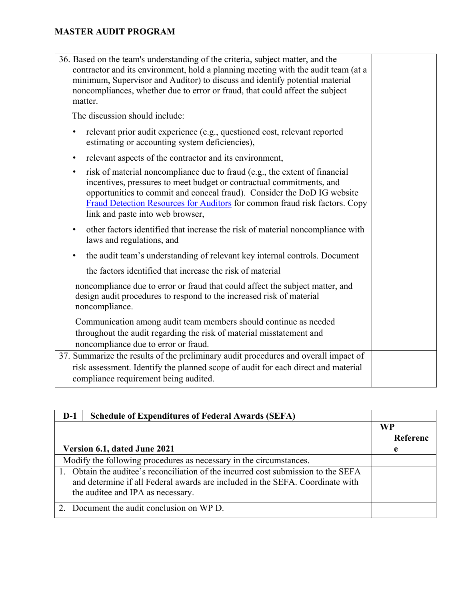| 36. Based on the team's understanding of the criteria, subject matter, and the<br>contractor and its environment, hold a planning meeting with the audit team (at a<br>minimum, Supervisor and Auditor) to discuss and identify potential material<br>noncompliances, whether due to error or fraud, that could affect the subject<br>matter.        |  |
|------------------------------------------------------------------------------------------------------------------------------------------------------------------------------------------------------------------------------------------------------------------------------------------------------------------------------------------------------|--|
| The discussion should include:                                                                                                                                                                                                                                                                                                                       |  |
| relevant prior audit experience (e.g., questioned cost, relevant reported<br>٠<br>estimating or accounting system deficiencies),                                                                                                                                                                                                                     |  |
| relevant aspects of the contractor and its environment,<br>٠                                                                                                                                                                                                                                                                                         |  |
| risk of material noncompliance due to fraud (e.g., the extent of financial<br>٠<br>incentives, pressures to meet budget or contractual commitments, and<br>opportunities to commit and conceal fraud). Consider the DoD IG website<br>Fraud Detection Resources for Auditors for common fraud risk factors. Copy<br>link and paste into web browser, |  |
| other factors identified that increase the risk of material noncompliance with<br>٠<br>laws and regulations, and                                                                                                                                                                                                                                     |  |
| the audit team's understanding of relevant key internal controls. Document                                                                                                                                                                                                                                                                           |  |
| the factors identified that increase the risk of material                                                                                                                                                                                                                                                                                            |  |
| noncompliance due to error or fraud that could affect the subject matter, and<br>design audit procedures to respond to the increased risk of material<br>noncompliance.                                                                                                                                                                              |  |
| Communication among audit team members should continue as needed<br>throughout the audit regarding the risk of material misstatement and<br>noncompliance due to error or fraud.                                                                                                                                                                     |  |
| 37. Summarize the results of the preliminary audit procedures and overall impact of                                                                                                                                                                                                                                                                  |  |
| risk assessment. Identify the planned scope of audit for each direct and material<br>compliance requirement being audited.                                                                                                                                                                                                                           |  |

| $D-1$ | <b>Schedule of Expenditures of Federal Awards (SEFA)</b>                        |          |
|-------|---------------------------------------------------------------------------------|----------|
|       |                                                                                 | WP       |
|       |                                                                                 | Referenc |
|       | Version 6.1, dated June 2021                                                    | e        |
|       | Modify the following procedures as necessary in the circumstances.              |          |
|       | Obtain the auditee's reconciliation of the incurred cost submission to the SEFA |          |
|       | and determine if all Federal awards are included in the SEFA. Coordinate with   |          |
|       | the auditee and IPA as necessary.                                               |          |
|       | Document the audit conclusion on WP D.                                          |          |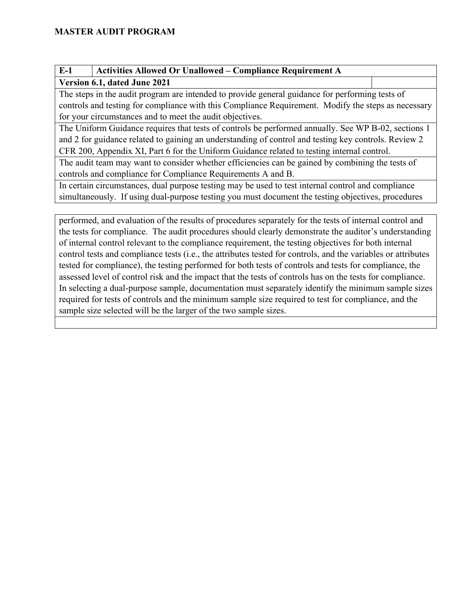| $E-1$                                                                                                | <b>Activities Allowed Or Unallowed - Compliance Requirement A</b>                                  |  |  |
|------------------------------------------------------------------------------------------------------|----------------------------------------------------------------------------------------------------|--|--|
| Version 6.1, dated June 2021                                                                         |                                                                                                    |  |  |
| The steps in the audit program are intended to provide general guidance for performing tests of      |                                                                                                    |  |  |
| controls and testing for compliance with this Compliance Requirement. Modify the steps as necessary  |                                                                                                    |  |  |
| for your circumstances and to meet the audit objectives.                                             |                                                                                                    |  |  |
| The Uniform Guidance requires that tests of controls be performed annually. See WP B-02, sections 1  |                                                                                                    |  |  |
| and 2 for guidance related to gaining an understanding of control and testing key controls. Review 2 |                                                                                                    |  |  |
| CFR 200, Appendix XI, Part 6 for the Uniform Guidance related to testing internal control.           |                                                                                                    |  |  |
| The audit team may want to consider whether efficiencies can be gained by combining the tests of     |                                                                                                    |  |  |
| controls and compliance for Compliance Requirements A and B.                                         |                                                                                                    |  |  |
|                                                                                                      | In certain circumstances, dual purpose testing may be used to test internal control and compliance |  |  |
|                                                                                                      | simultaneously. If using dual-purpose testing you must document the testing objectives, procedures |  |  |

performed, and evaluation of the results of procedures separately for the tests of internal control and the tests for compliance. The audit procedures should clearly demonstrate the auditor's understanding of internal control relevant to the compliance requirement, the testing objectives for both internal control tests and compliance tests (i.e., the attributes tested for controls, and the variables or attributes tested for compliance), the testing performed for both tests of controls and tests for compliance, the assessed level of control risk and the impact that the tests of controls has on the tests for compliance. In selecting a dual-purpose sample, documentation must separately identify the minimum sample sizes required for tests of controls and the minimum sample size required to test for compliance, and the sample size selected will be the larger of the two sample sizes.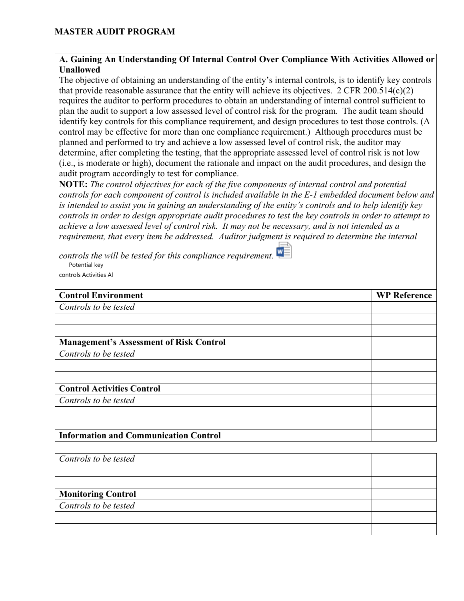#### **A. Gaining An Understanding Of Internal Control Over Compliance With Activities Allowed or Unallowed**

The objective of obtaining an understanding of the entity's internal controls, is to identify key controls that provide reasonable assurance that the entity will achieve its objectives. 2 CFR 200.514(c)(2) requires the auditor to perform procedures to obtain an understanding of internal control sufficient to plan the audit to support a low assessed level of control risk for the program. The audit team should identify key controls for this compliance requirement, and design procedures to test those controls. (A control may be effective for more than one compliance requirement.) Although procedures must be planned and performed to try and achieve a low assessed level of control risk, the auditor may determine, after completing the testing, that the appropriate assessed level of control risk is not low (i.e., is moderate or high), document the rationale and impact on the audit procedures, and design the audit program accordingly to test for compliance.

**NOTE:** *The control objectives for each of the five components of internal control and potential controls for each component of control is included available in the E-1 embedded document below and is intended to assist you in gaining an understanding of the entity's controls and to help identify key controls in order to design appropriate audit procedures to test the key controls in order to attempt to achieve a low assessed level of control risk. It may not be necessary, and is not intended as a requirement, that every item be addressed. Auditor judgment is required to determine the internal* 

*controls the will be tested for this compliance requirement.*  Potential key

controls Activities Al

| <b>Control Environment</b>                     | <b>WP Reference</b> |
|------------------------------------------------|---------------------|
| Controls to be tested                          |                     |
|                                                |                     |
|                                                |                     |
| <b>Management's Assessment of Risk Control</b> |                     |
| Controls to be tested                          |                     |
|                                                |                     |
|                                                |                     |
| <b>Control Activities Control</b>              |                     |
| Controls to be tested                          |                     |
|                                                |                     |
|                                                |                     |
| <b>Information and Communication Control</b>   |                     |

| Controls to be tested     |  |
|---------------------------|--|
|                           |  |
|                           |  |
| <b>Monitoring Control</b> |  |
| Controls to be tested     |  |
|                           |  |
|                           |  |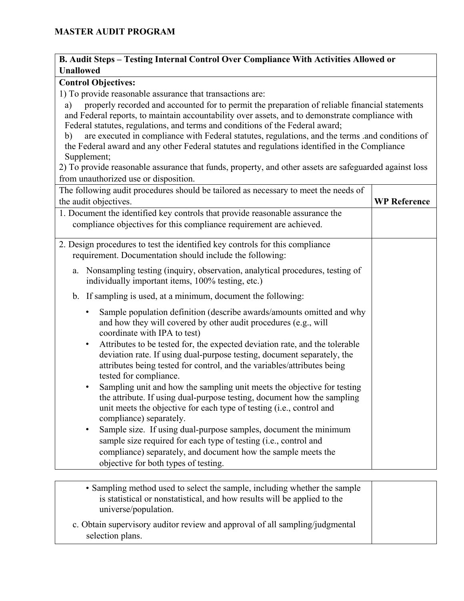#### **B. Audit Steps – Testing Internal Control Over Compliance With Activities Allowed or Unallowed**

#### **Control Objectives:**

1) To provide reasonable assurance that transactions are:

a) properly recorded and accounted for to permit the preparation of reliable financial statements and Federal reports, to maintain accountability over assets, and to demonstrate compliance with Federal statutes, regulations, and terms and conditions of the Federal award;

b) are executed in compliance with Federal statutes, regulations, and the terms .and conditions of the Federal award and any other Federal statutes and regulations identified in the Compliance Supplement;

2) To provide reasonable assurance that funds, property, and other assets are safeguarded against loss from unauthorized use or disposition.

| The following audit procedures should be tailored as necessary to meet the needs of                                                                                                                                                                                      |                     |
|--------------------------------------------------------------------------------------------------------------------------------------------------------------------------------------------------------------------------------------------------------------------------|---------------------|
| the audit objectives.                                                                                                                                                                                                                                                    | <b>WP Reference</b> |
| 1. Document the identified key controls that provide reasonable assurance the<br>compliance objectives for this compliance requirement are achieved.                                                                                                                     |                     |
| 2. Design procedures to test the identified key controls for this compliance<br>requirement. Documentation should include the following:                                                                                                                                 |                     |
| a. Nonsampling testing (inquiry, observation, analytical procedures, testing of<br>individually important items, 100% testing, etc.)                                                                                                                                     |                     |
| b. If sampling is used, at a minimum, document the following:                                                                                                                                                                                                            |                     |
| Sample population definition (describe awards/amounts omitted and why<br>$\bullet$<br>and how they will covered by other audit procedures (e.g., will<br>coordinate with IPA to test)                                                                                    |                     |
| Attributes to be tested for, the expected deviation rate, and the tolerable<br>$\bullet$<br>deviation rate. If using dual-purpose testing, document separately, the<br>attributes being tested for control, and the variables/attributes being<br>tested for compliance. |                     |
| Sampling unit and how the sampling unit meets the objective for testing<br>$\bullet$<br>the attribute. If using dual-purpose testing, document how the sampling<br>unit meets the objective for each type of testing (i.e., control and<br>compliance) separately.       |                     |
| Sample size. If using dual-purpose samples, document the minimum<br>$\bullet$<br>sample size required for each type of testing (i.e., control and                                                                                                                        |                     |
| compliance) separately, and document how the sample meets the<br>objective for both types of testing.                                                                                                                                                                    |                     |

| • Sampling method used to select the sample, including whether the sample<br>is statistical or nonstatistical, and how results will be applied to the<br>universe/population. |  |
|-------------------------------------------------------------------------------------------------------------------------------------------------------------------------------|--|
| c. Obtain supervisory auditor review and approval of all sampling/judgmental<br>selection plans.                                                                              |  |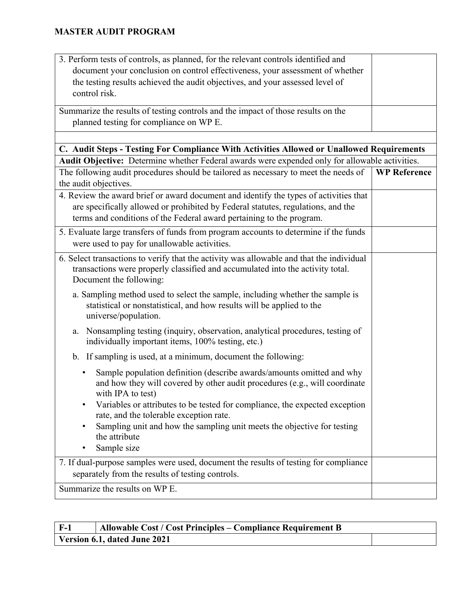| 3. Perform tests of controls, as planned, for the relevant controls identified and                                     |                     |
|------------------------------------------------------------------------------------------------------------------------|---------------------|
| document your conclusion on control effectiveness, your assessment of whether                                          |                     |
| the testing results achieved the audit objectives, and your assessed level of                                          |                     |
| control risk.                                                                                                          |                     |
| Summarize the results of testing controls and the impact of those results on the                                       |                     |
| planned testing for compliance on WP E.                                                                                |                     |
|                                                                                                                        |                     |
| C. Audit Steps - Testing For Compliance With Activities Allowed or Unallowed Requirements                              |                     |
| Audit Objective: Determine whether Federal awards were expended only for allowable activities.                         |                     |
| The following audit procedures should be tailored as necessary to meet the needs of                                    | <b>WP Reference</b> |
| the audit objectives.                                                                                                  |                     |
| 4. Review the award brief or award document and identify the types of activities that                                  |                     |
| are specifically allowed or prohibited by Federal statutes, regulations, and the                                       |                     |
| terms and conditions of the Federal award pertaining to the program.                                                   |                     |
| 5. Evaluate large transfers of funds from program accounts to determine if the funds                                   |                     |
| were used to pay for unallowable activities.                                                                           |                     |
| 6. Select transactions to verify that the activity was allowable and that the individual                               |                     |
| transactions were properly classified and accumulated into the activity total.                                         |                     |
| Document the following:                                                                                                |                     |
| a. Sampling method used to select the sample, including whether the sample is                                          |                     |
| statistical or nonstatistical, and how results will be applied to the                                                  |                     |
| universe/population.                                                                                                   |                     |
| Nonsampling testing (inquiry, observation, analytical procedures, testing of<br>a.                                     |                     |
| individually important items, 100% testing, etc.)                                                                      |                     |
| b. If sampling is used, at a minimum, document the following:                                                          |                     |
| Sample population definition (describe awards/amounts omitted and why<br>٠                                             |                     |
| and how they will covered by other audit procedures (e.g., will coordinate                                             |                     |
| with IPA to test)                                                                                                      |                     |
| Variables or attributes to be tested for compliance, the expected exception<br>rate, and the tolerable exception rate. |                     |
| Sampling unit and how the sampling unit meets the objective for testing                                                |                     |
| the attribute                                                                                                          |                     |
| Sample size                                                                                                            |                     |
| 7. If dual-purpose samples were used, document the results of testing for compliance                                   |                     |
| separately from the results of testing controls.                                                                       |                     |
| Summarize the results on WP E.                                                                                         |                     |
|                                                                                                                        |                     |

| F-1 | Allowable Cost / Cost Principles – Compliance Requirement B |  |
|-----|-------------------------------------------------------------|--|
|     | Version 6.1, dated June 2021                                |  |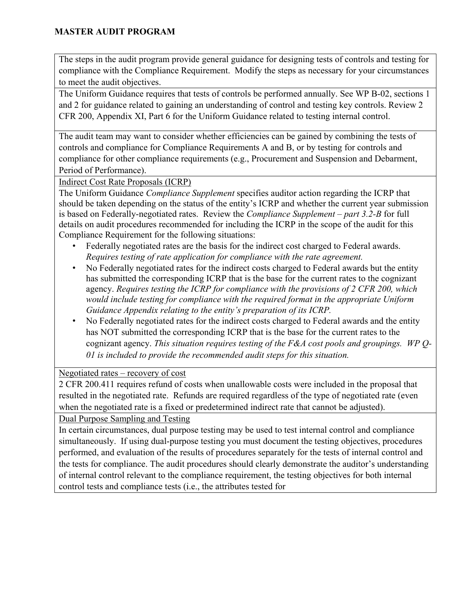The steps in the audit program provide general guidance for designing tests of controls and testing for compliance with the Compliance Requirement. Modify the steps as necessary for your circumstances to meet the audit objectives.

The Uniform Guidance requires that tests of controls be performed annually. See WP B-02, sections 1 and 2 for guidance related to gaining an understanding of control and testing key controls. Review 2 CFR 200, Appendix XI, Part 6 for the Uniform Guidance related to testing internal control.

The audit team may want to consider whether efficiencies can be gained by combining the tests of controls and compliance for Compliance Requirements A and B, or by testing for controls and compliance for other compliance requirements (e.g., Procurement and Suspension and Debarment, Period of Performance).

Indirect Cost Rate Proposals (ICRP)

The Uniform Guidance *Compliance Supplement* specifies auditor action regarding the ICRP that should be taken depending on the status of the entity's ICRP and whether the current year submission is based on Federally-negotiated rates. Review the *Compliance Supplement – part 3.2-B* for full details on audit procedures recommended for including the ICRP in the scope of the audit for this Compliance Requirement for the following situations:

- Federally negotiated rates are the basis for the indirect cost charged to Federal awards. *Requires testing of rate application for compliance with the rate agreement.*
- No Federally negotiated rates for the indirect costs charged to Federal awards but the entity has submitted the corresponding ICRP that is the base for the current rates to the cognizant agency. *Requires testing the ICRP for compliance with the provisions of 2 CFR 200, which would include testing for compliance with the required format in the appropriate Uniform Guidance Appendix relating to the entity's preparation of its ICRP.*
- No Federally negotiated rates for the indirect costs charged to Federal awards and the entity has NOT submitted the corresponding ICRP that is the base for the current rates to the cognizant agency. *This situation requires testing of the F&A cost pools and groupings. WP Q-01 is included to provide the recommended audit steps for this situation.*

### Negotiated rates – recovery of cost

2 CFR 200.411 requires refund of costs when unallowable costs were included in the proposal that resulted in the negotiated rate. Refunds are required regardless of the type of negotiated rate (even when the negotiated rate is a fixed or predetermined indirect rate that cannot be adjusted).

Dual Purpose Sampling and Testing

In certain circumstances, dual purpose testing may be used to test internal control and compliance simultaneously. If using dual-purpose testing you must document the testing objectives, procedures performed, and evaluation of the results of procedures separately for the tests of internal control and the tests for compliance. The audit procedures should clearly demonstrate the auditor's understanding of internal control relevant to the compliance requirement, the testing objectives for both internal control tests and compliance tests (i.e., the attributes tested for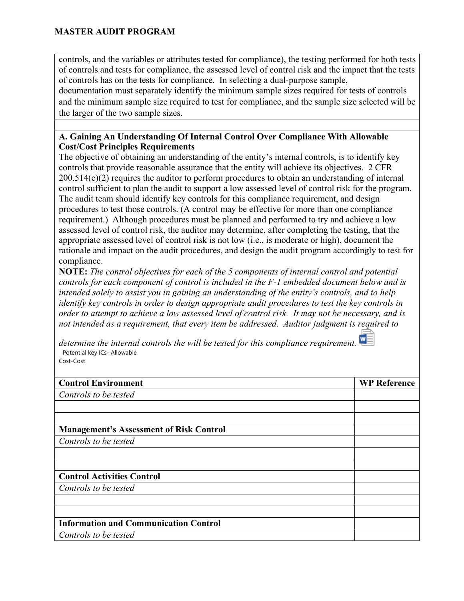controls, and the variables or attributes tested for compliance), the testing performed for both tests of controls and tests for compliance, the assessed level of control risk and the impact that the tests of controls has on the tests for compliance. In selecting a dual-purpose sample,

documentation must separately identify the minimum sample sizes required for tests of controls and the minimum sample size required to test for compliance, and the sample size selected will be the larger of the two sample sizes.

#### **A. Gaining An Understanding Of Internal Control Over Compliance With Allowable Cost/Cost Principles Requirements**

The objective of obtaining an understanding of the entity's internal controls, is to identify key controls that provide reasonable assurance that the entity will achieve its objectives. 2 CFR 200.514(c)(2) requires the auditor to perform procedures to obtain an understanding of internal control sufficient to plan the audit to support a low assessed level of control risk for the program. The audit team should identify key controls for this compliance requirement, and design procedures to test those controls. (A control may be effective for more than one compliance requirement.) Although procedures must be planned and performed to try and achieve a low assessed level of control risk, the auditor may determine, after completing the testing, that the appropriate assessed level of control risk is not low (i.e., is moderate or high), document the rationale and impact on the audit procedures, and design the audit program accordingly to test for compliance.

**NOTE:** *The control objectives for each of the 5 components of internal control and potential controls for each component of control is included in the F-1 embedded document below and is intended solely to assist you in gaining an understanding of the entity's controls, and to help identify key controls in order to design appropriate audit procedures to test the key controls in order to attempt to achieve a low assessed level of control risk. It may not be necessary, and is not intended as a requirement, that every item be addressed. Auditor judgment is required to* 

*determine the internal controls the will be tested for this compliance requirement.* Potential key ICs- Allowable Cost-Cost

| <b>Control Environment</b>                     | <b>WP Reference</b> |
|------------------------------------------------|---------------------|
| Controls to be tested                          |                     |
|                                                |                     |
|                                                |                     |
| <b>Management's Assessment of Risk Control</b> |                     |
| Controls to be tested                          |                     |
|                                                |                     |
|                                                |                     |
| <b>Control Activities Control</b>              |                     |
| Controls to be tested                          |                     |
|                                                |                     |
|                                                |                     |
| <b>Information and Communication Control</b>   |                     |
| Controls to be tested                          |                     |
|                                                |                     |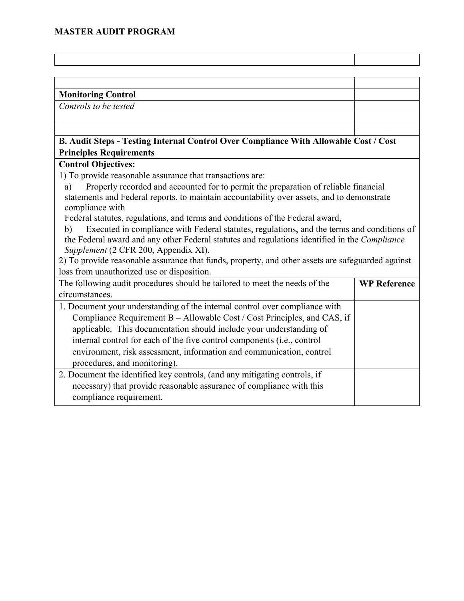| <b>Monitoring Control</b>                                                                         |                     |
|---------------------------------------------------------------------------------------------------|---------------------|
| Controls to be tested                                                                             |                     |
|                                                                                                   |                     |
|                                                                                                   |                     |
| B. Audit Steps - Testing Internal Control Over Compliance With Allowable Cost / Cost              |                     |
| <b>Principles Requirements</b>                                                                    |                     |
| <b>Control Objectives:</b>                                                                        |                     |
| 1) To provide reasonable assurance that transactions are:                                         |                     |
| Properly recorded and accounted for to permit the preparation of reliable financial<br>a)         |                     |
| statements and Federal reports, to maintain accountability over assets, and to demonstrate        |                     |
| compliance with                                                                                   |                     |
| Federal statutes, regulations, and terms and conditions of the Federal award,                     |                     |
| Executed in compliance with Federal statutes, regulations, and the terms and conditions of<br>b)  |                     |
| the Federal award and any other Federal statutes and regulations identified in the Compliance     |                     |
| Supplement (2 CFR 200, Appendix XI).                                                              |                     |
| 2) To provide reasonable assurance that funds, property, and other assets are safeguarded against |                     |
| loss from unauthorized use or disposition.                                                        |                     |
| The following audit procedures should be tailored to meet the needs of the                        | <b>WP Reference</b> |
| circumstances.                                                                                    |                     |
| 1. Document your understanding of the internal control over compliance with                       |                     |
| Compliance Requirement B - Allowable Cost / Cost Principles, and CAS, if                          |                     |
| applicable. This documentation should include your understanding of                               |                     |
| internal control for each of the five control components (i.e., control                           |                     |
| environment, risk assessment, information and communication, control                              |                     |
| procedures, and monitoring).                                                                      |                     |
| 2. Document the identified key controls, (and any mitigating controls, if                         |                     |
| necessary) that provide reasonable assurance of compliance with this                              |                     |
| compliance requirement.                                                                           |                     |
|                                                                                                   |                     |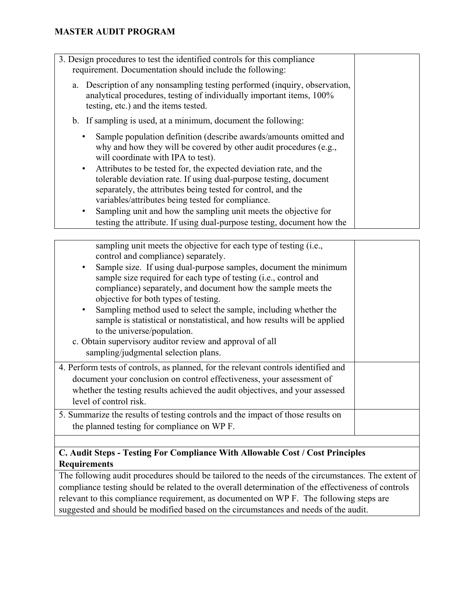| 3. Design procedures to test the identified controls for this compliance<br>requirement. Documentation should include the following:                                                       |  |
|--------------------------------------------------------------------------------------------------------------------------------------------------------------------------------------------|--|
| a. Description of any nonsampling testing performed (inquiry, observation,<br>analytical procedures, testing of individually important items, 100%<br>testing, etc.) and the items tested. |  |
| b. If sampling is used, at a minimum, document the following:                                                                                                                              |  |
| Sample population definition (describe awards/amounts omitted and<br>why and how they will be covered by other audit procedures (e.g.,<br>will coordinate with IPA to test).               |  |
| Attributes to be tested for, the expected deviation rate, and the<br>$\bullet$                                                                                                             |  |
| tolerable deviation rate. If using dual-purpose testing, document                                                                                                                          |  |
| separately, the attributes being tested for control, and the                                                                                                                               |  |
| variables/attributes being tested for compliance.                                                                                                                                          |  |
| Sampling unit and how the sampling unit meets the objective for<br>٠                                                                                                                       |  |
| testing the attribute. If using dual-purpose testing, document how the                                                                                                                     |  |

| sampling unit meets the objective for each type of testing (i.e.,<br>control and compliance) separately.<br>Sample size. If using dual-purpose samples, document the minimum<br>sample size required for each type of testing (i.e., control and<br>compliance) separately, and document how the sample meets the<br>objective for both types of testing.<br>Sampling method used to select the sample, including whether the<br>sample is statistical or nonstatistical, and how results will be applied<br>to the universe/population.<br>c. Obtain supervisory auditor review and approval of all<br>sampling/judgmental selection plans. |  |
|----------------------------------------------------------------------------------------------------------------------------------------------------------------------------------------------------------------------------------------------------------------------------------------------------------------------------------------------------------------------------------------------------------------------------------------------------------------------------------------------------------------------------------------------------------------------------------------------------------------------------------------------|--|
| 4. Perform tests of controls, as planned, for the relevant controls identified and<br>document your conclusion on control effectiveness, your assessment of<br>whether the testing results achieved the audit objectives, and your assessed<br>level of control risk.<br>5. Summarize the results of testing controls and the impact of those results on                                                                                                                                                                                                                                                                                     |  |
| the planned testing for compliance on WP F.                                                                                                                                                                                                                                                                                                                                                                                                                                                                                                                                                                                                  |  |
|                                                                                                                                                                                                                                                                                                                                                                                                                                                                                                                                                                                                                                              |  |

### **C. Audit Steps - Testing For Compliance With Allowable Cost / Cost Principles Requirements**

The following audit procedures should be tailored to the needs of the circumstances. The extent of compliance testing should be related to the overall determination of the effectiveness of controls relevant to this compliance requirement, as documented on WP F. The following steps are suggested and should be modified based on the circumstances and needs of the audit.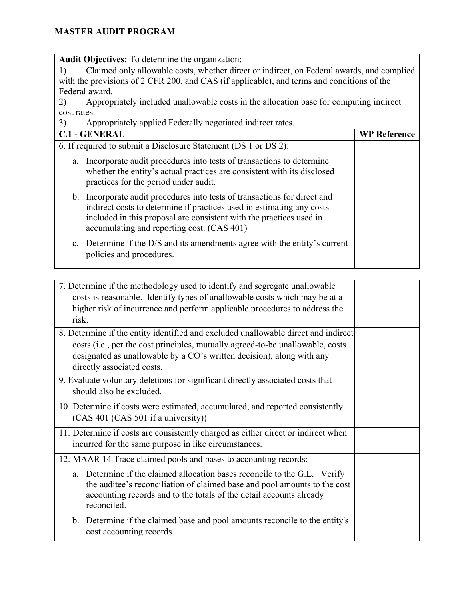**Audit Objectives:** To determine the organization:

1) Claimed only allowable costs, whether direct or indirect, on Federal awards, and complied with the provisions of 2 CFR 200, and CAS (if applicable), and terms and conditions of the Federal award.

2) Appropriately included unallowable costs in the allocation base for computing indirect cost rates.

| Appropriately applied Federally negotiated indirect rates.<br>3)                                                                                                                                                                                                        |                     |  |
|-------------------------------------------------------------------------------------------------------------------------------------------------------------------------------------------------------------------------------------------------------------------------|---------------------|--|
| <b>C.1 - GENERAL</b>                                                                                                                                                                                                                                                    | <b>WP Reference</b> |  |
| 6. If required to submit a Disclosure Statement (DS 1 or DS 2):                                                                                                                                                                                                         |                     |  |
| Incorporate audit procedures into tests of transactions to determine<br>a.<br>whether the entity's actual practices are consistent with its disclosed<br>practices for the period under audit.                                                                          |                     |  |
| b. Incorporate audit procedures into tests of transactions for direct and<br>indirect costs to determine if practices used in estimating any costs<br>included in this proposal are consistent with the practices used in<br>accumulating and reporting cost. (CAS 401) |                     |  |
| c. Determine if the D/S and its amendments agree with the entity's current<br>policies and procedures.                                                                                                                                                                  |                     |  |

| 7. Determine if the methodology used to identify and segregate unallowable         |  |
|------------------------------------------------------------------------------------|--|
| costs is reasonable. Identify types of unallowable costs which may be at a         |  |
| higher risk of incurrence and perform applicable procedures to address the         |  |
| risk.                                                                              |  |
| 8. Determine if the entity identified and excluded unallowable direct and indirect |  |
| costs (i.e., per the cost principles, mutually agreed-to-be unallowable, costs     |  |
| designated as unallowable by a CO's written decision), along with any              |  |
| directly associated costs.                                                         |  |
| 9. Evaluate voluntary deletions for significant directly associated costs that     |  |
| should also be excluded.                                                           |  |
| 10. Determine if costs were estimated, accumulated, and reported consistently.     |  |
| (CAS 401 (CAS 501 if a university))                                                |  |
|                                                                                    |  |
| 11. Determine if costs are consistently charged as either direct or indirect when  |  |
| incurred for the same purpose in like circumstances.                               |  |
| 12. MAAR 14 Trace claimed pools and bases to accounting records:                   |  |
| Determine if the claimed allocation bases reconcile to the G.L. Verify<br>a.       |  |
| the auditee's reconciliation of claimed base and pool amounts to the cost          |  |
| accounting records and to the totals of the detail accounts already                |  |
| reconciled.                                                                        |  |
| b. Determine if the claimed base and pool amounts reconcile to the entity's        |  |
| cost accounting records.                                                           |  |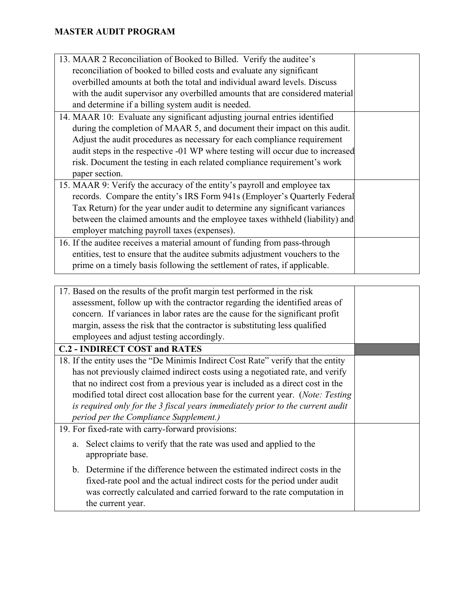| 13. MAAR 2 Reconciliation of Booked to Billed. Verify the auditee's                     |  |
|-----------------------------------------------------------------------------------------|--|
| reconciliation of booked to billed costs and evaluate any significant                   |  |
| overbilled amounts at both the total and individual award levels. Discuss               |  |
| with the audit supervisor any overbilled amounts that are considered material           |  |
| and determine if a billing system audit is needed.                                      |  |
| 14. MAAR 10: Evaluate any significant adjusting journal entries identified              |  |
| during the completion of MAAR 5, and document their impact on this audit.               |  |
| Adjust the audit procedures as necessary for each compliance requirement                |  |
| audit steps in the respective -01 WP where testing will occur due to increased          |  |
| risk. Document the testing in each related compliance requirement's work                |  |
| paper section.                                                                          |  |
| 15. MAAR 9: Verify the accuracy of the entity's payroll and employee tax                |  |
| records. Compare the entity's IRS Form 941s (Employer's Quarterly Federal               |  |
| Tax Return) for the year under audit to determine any significant variances             |  |
| between the claimed amounts and the employee taxes withheld (liability) and             |  |
| employer matching payroll taxes (expenses).                                             |  |
| 16. If the auditee receives a material amount of funding from pass-through              |  |
| entities, test to ensure that the auditee submits adjustment vouchers to the            |  |
| prime on a timely basis following the settlement of rates, if applicable.               |  |
|                                                                                         |  |
| 17. Based on the results of the profit margin test performed in the risk                |  |
| assessment, follow up with the contractor regarding the identified areas of             |  |
| concern. If variances in labor rates are the cause for the significant profit           |  |
| margin, assess the risk that the contractor is substituting less qualified              |  |
| employees and adjust testing accordingly.                                               |  |
| <b>C.2 - INDIRECT COST and RATES</b>                                                    |  |
| 18. If the entity uses the "De Minimis Indirect Cost Rate" verify that the entity       |  |
| has not previously claimed indirect costs using a negotiated rate, and verify           |  |
| that no indirect cost from a previous year is included as a direct cost in the          |  |
| modified total direct cost allocation base for the current year. ( <i>Note: Testing</i> |  |
| is required only for the 3 fiscal years immediately prior to the current audit          |  |
| period per the Compliance Supplement.)                                                  |  |
| 19. For fixed-rate with carry-forward provisions:                                       |  |
| Select claims to verify that the rate was used and applied to the<br>a.                 |  |
| appropriate base.                                                                       |  |
| Determine if the difference between the estimated indicate costs in the                 |  |

b. Determine if the difference between the estimated indirect costs in the fixed-rate pool and the actual indirect costs for the period under audit was correctly calculated and carried forward to the rate computation in the current year.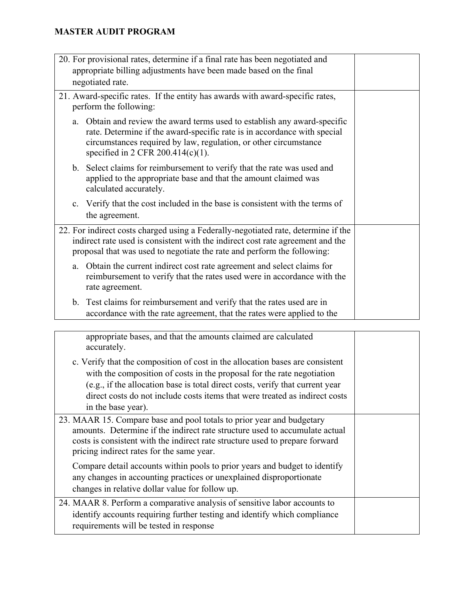| 20. For provisional rates, determine if a final rate has been negotiated and                                                                                                                                                                                          |  |
|-----------------------------------------------------------------------------------------------------------------------------------------------------------------------------------------------------------------------------------------------------------------------|--|
| appropriate billing adjustments have been made based on the final                                                                                                                                                                                                     |  |
| negotiated rate.                                                                                                                                                                                                                                                      |  |
| 21. Award-specific rates. If the entity has awards with award-specific rates,<br>perform the following:                                                                                                                                                               |  |
| Obtain and review the award terms used to establish any award-specific<br>a.<br>rate. Determine if the award-specific rate is in accordance with special<br>circumstances required by law, regulation, or other circumstance<br>specified in 2 CFR 200.414 $(c)(1)$ . |  |
| b. Select claims for reimbursement to verify that the rate was used and<br>applied to the appropriate base and that the amount claimed was<br>calculated accurately.                                                                                                  |  |
| Verify that the cost included in the base is consistent with the terms of<br>$\mathbf{c}$ .<br>the agreement.                                                                                                                                                         |  |
| 22. For indirect costs charged using a Federally-negotiated rate, determine if the<br>indirect rate used is consistent with the indirect cost rate agreement and the<br>proposal that was used to negotiate the rate and perform the following:                       |  |
| a. Obtain the current indirect cost rate agreement and select claims for<br>reimbursement to verify that the rates used were in accordance with the<br>rate agreement.                                                                                                |  |
| b. Test claims for reimbursement and verify that the rates used are in<br>accordance with the rate agreement, that the rates were applied to the                                                                                                                      |  |
|                                                                                                                                                                                                                                                                       |  |

appropriate bases, and that the amounts claimed are calculated accurately. c. Verify that the composition of cost in the allocation bases are consistent with the composition of costs in the proposal for the rate negotiation (e.g., if the allocation base is total direct costs, verify that current year direct costs do not include costs items that were treated as indirect costs in the base year). 23. MAAR 15. Compare base and pool totals to prior year and budgetary amounts. Determine if the indirect rate structure used to accumulate actual costs is consistent with the indirect rate structure used to prepare forward pricing indirect rates for the same year. Compare detail accounts within pools to prior years and budget to identify any changes in accounting practices or unexplained disproportionate changes in relative dollar value for follow up. 24. MAAR 8. Perform a comparative analysis of sensitive labor accounts to identify accounts requiring further testing and identify which compliance requirements will be tested in response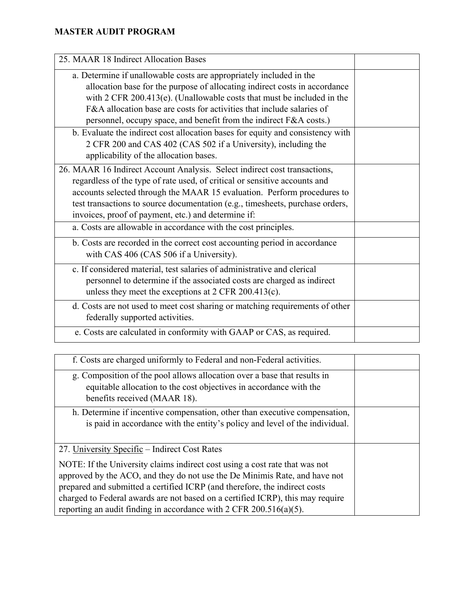| 25. MAAR 18 Indirect Allocation Bases                                                                                                                                                                                                                                                                                                                                        |  |
|------------------------------------------------------------------------------------------------------------------------------------------------------------------------------------------------------------------------------------------------------------------------------------------------------------------------------------------------------------------------------|--|
| a. Determine if unallowable costs are appropriately included in the<br>allocation base for the purpose of allocating indirect costs in accordance<br>with $2$ CFR 200.413(e). (Unallowable costs that must be included in the<br>F&A allocation base are costs for activities that include salaries of<br>personnel, occupy space, and benefit from the indirect F&A costs.) |  |
| b. Evaluate the indirect cost allocation bases for equity and consistency with<br>2 CFR 200 and CAS 402 (CAS 502 if a University), including the<br>applicability of the allocation bases.                                                                                                                                                                                   |  |
| 26. MAAR 16 Indirect Account Analysis. Select indirect cost transactions,<br>regardless of the type of rate used, of critical or sensitive accounts and<br>accounts selected through the MAAR 15 evaluation. Perform procedures to<br>test transactions to source documentation (e.g., timesheets, purchase orders,<br>invoices, proof of payment, etc.) and determine if:   |  |
| a. Costs are allowable in accordance with the cost principles.                                                                                                                                                                                                                                                                                                               |  |
| b. Costs are recorded in the correct cost accounting period in accordance<br>with CAS 406 (CAS 506 if a University).                                                                                                                                                                                                                                                         |  |
| c. If considered material, test salaries of administrative and clerical<br>personnel to determine if the associated costs are charged as indirect<br>unless they meet the exceptions at $2$ CFR $200.413(c)$ .                                                                                                                                                               |  |
| d. Costs are not used to meet cost sharing or matching requirements of other<br>federally supported activities.                                                                                                                                                                                                                                                              |  |
| e. Costs are calculated in conformity with GAAP or CAS, as required.                                                                                                                                                                                                                                                                                                         |  |

| f. Costs are charged uniformly to Federal and non-Federal activities.                                                                                                                                                                                                                                                                                                                                |  |
|------------------------------------------------------------------------------------------------------------------------------------------------------------------------------------------------------------------------------------------------------------------------------------------------------------------------------------------------------------------------------------------------------|--|
| g. Composition of the pool allows allocation over a base that results in<br>equitable allocation to the cost objectives in accordance with the<br>benefits received (MAAR 18).                                                                                                                                                                                                                       |  |
| h. Determine if incentive compensation, other than executive compensation,<br>is paid in accordance with the entity's policy and level of the individual.                                                                                                                                                                                                                                            |  |
| 27. University Specific – Indirect Cost Rates                                                                                                                                                                                                                                                                                                                                                        |  |
| NOTE: If the University claims indirect cost using a cost rate that was not<br>approved by the ACO, and they do not use the De Minimis Rate, and have not<br>prepared and submitted a certified ICRP (and therefore, the indirect costs<br>charged to Federal awards are not based on a certified ICRP), this may require<br>reporting an audit finding in accordance with $2$ CFR $200.516(a)(5)$ . |  |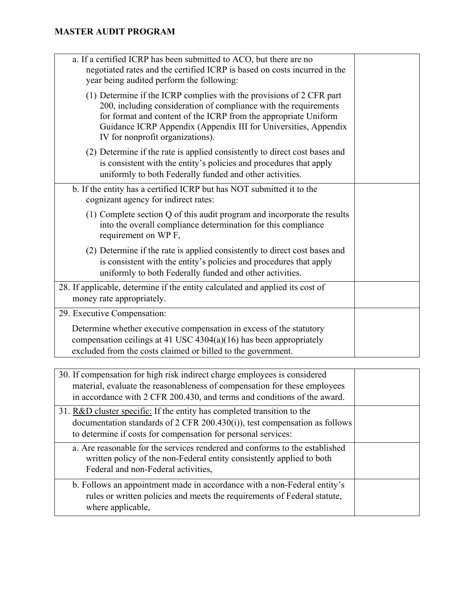| a. If a certified ICRP has been submitted to ACO, but there are no<br>negotiated rates and the certified ICRP is based on costs incurred in the<br>year being audited perform the following:                                                                                                                       |  |
|--------------------------------------------------------------------------------------------------------------------------------------------------------------------------------------------------------------------------------------------------------------------------------------------------------------------|--|
| (1) Determine if the ICRP complies with the provisions of 2 CFR part<br>200, including consideration of compliance with the requirements<br>for format and content of the ICRP from the appropriate Uniform<br>Guidance ICRP Appendix (Appendix III for Universities, Appendix<br>IV for nonprofit organizations). |  |
| (2) Determine if the rate is applied consistently to direct cost bases and<br>is consistent with the entity's policies and procedures that apply<br>uniformly to both Federally funded and other activities.                                                                                                       |  |
| b. If the entity has a certified ICRP but has NOT submitted it to the<br>cognizant agency for indirect rates:                                                                                                                                                                                                      |  |
| (1) Complete section Q of this audit program and incorporate the results<br>into the overall compliance determination for this compliance<br>requirement on WP F,                                                                                                                                                  |  |
| (2) Determine if the rate is applied consistently to direct cost bases and<br>is consistent with the entity's policies and procedures that apply<br>uniformly to both Federally funded and other activities.                                                                                                       |  |
| 28. If applicable, determine if the entity calculated and applied its cost of<br>money rate appropriately.                                                                                                                                                                                                         |  |
| 29. Executive Compensation:                                                                                                                                                                                                                                                                                        |  |
| Determine whether executive compensation in excess of the statutory<br>compensation ceilings at 41 USC $4304(a)(16)$ has been appropriately<br>excluded from the costs claimed or billed to the government.                                                                                                        |  |
|                                                                                                                                                                                                                                                                                                                    |  |
| 30. If compensation for high risk indirect charge employees is considered<br>material, evaluate the reasonableness of compensation for these employees                                                                                                                                                             |  |

| 30. If compensation for high risk indirect charge employees is considered<br>material, evaluate the reasonableness of compensation for these employees<br>in accordance with 2 CFR 200.430, and terms and conditions of the award. |  |
|------------------------------------------------------------------------------------------------------------------------------------------------------------------------------------------------------------------------------------|--|
| 31. R&D cluster specific: If the entity has completed transition to the<br>documentation standards of $2$ CFR $200.430(i)$ , test compensation as follows<br>to determine if costs for compensation for personal services:         |  |
| a. Are reasonable for the services rendered and conforms to the established<br>written policy of the non-Federal entity consistently applied to both<br>Federal and non-Federal activities,                                        |  |
| b. Follows an appointment made in accordance with a non-Federal entity's<br>rules or written policies and meets the requirements of Federal statute,<br>where applicable,                                                          |  |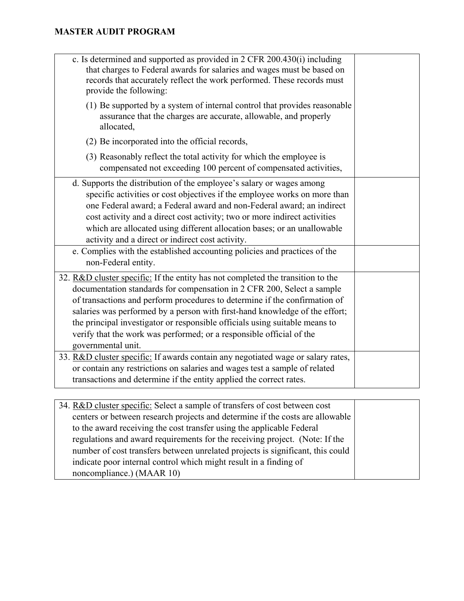| c. Is determined and supported as provided in 2 CFR 200.430(i) including<br>that charges to Federal awards for salaries and wages must be based on<br>records that accurately reflect the work performed. These records must<br>provide the following:                                                                                                                                                                                                                                                                                                                                                                                                                                                                                       |  |
|----------------------------------------------------------------------------------------------------------------------------------------------------------------------------------------------------------------------------------------------------------------------------------------------------------------------------------------------------------------------------------------------------------------------------------------------------------------------------------------------------------------------------------------------------------------------------------------------------------------------------------------------------------------------------------------------------------------------------------------------|--|
| (1) Be supported by a system of internal control that provides reasonable<br>assurance that the charges are accurate, allowable, and properly<br>allocated,                                                                                                                                                                                                                                                                                                                                                                                                                                                                                                                                                                                  |  |
| (2) Be incorporated into the official records,                                                                                                                                                                                                                                                                                                                                                                                                                                                                                                                                                                                                                                                                                               |  |
| (3) Reasonably reflect the total activity for which the employee is<br>compensated not exceeding 100 percent of compensated activities,                                                                                                                                                                                                                                                                                                                                                                                                                                                                                                                                                                                                      |  |
| d. Supports the distribution of the employee's salary or wages among<br>specific activities or cost objectives if the employee works on more than<br>one Federal award; a Federal award and non-Federal award; an indirect<br>cost activity and a direct cost activity; two or more indirect activities<br>which are allocated using different allocation bases; or an unallowable<br>activity and a direct or indirect cost activity.                                                                                                                                                                                                                                                                                                       |  |
| e. Complies with the established accounting policies and practices of the<br>non-Federal entity.                                                                                                                                                                                                                                                                                                                                                                                                                                                                                                                                                                                                                                             |  |
| 32. R&D cluster specific: If the entity has not completed the transition to the<br>documentation standards for compensation in 2 CFR 200, Select a sample<br>of transactions and perform procedures to determine if the confirmation of<br>salaries was performed by a person with first-hand knowledge of the effort;<br>the principal investigator or responsible officials using suitable means to<br>verify that the work was performed; or a responsible official of the<br>governmental unit.<br>33. R&D cluster specific: If awards contain any negotiated wage or salary rates,<br>or contain any restrictions on salaries and wages test a sample of related<br>transactions and determine if the entity applied the correct rates. |  |
|                                                                                                                                                                                                                                                                                                                                                                                                                                                                                                                                                                                                                                                                                                                                              |  |
| 34. R&D cluster specific: Select a sample of transfers of cost between cost                                                                                                                                                                                                                                                                                                                                                                                                                                                                                                                                                                                                                                                                  |  |

| 34. R&D cluster specific: Select a sample of transfers of cost between cost    |  |
|--------------------------------------------------------------------------------|--|
| centers or between research projects and determine if the costs are allowable  |  |
| to the award receiving the cost transfer using the applicable Federal          |  |
| regulations and award requirements for the receiving project. (Note: If the    |  |
| number of cost transfers between unrelated projects is significant, this could |  |
| indicate poor internal control which might result in a finding of              |  |
| noncompliance.) (MAAR 10)                                                      |  |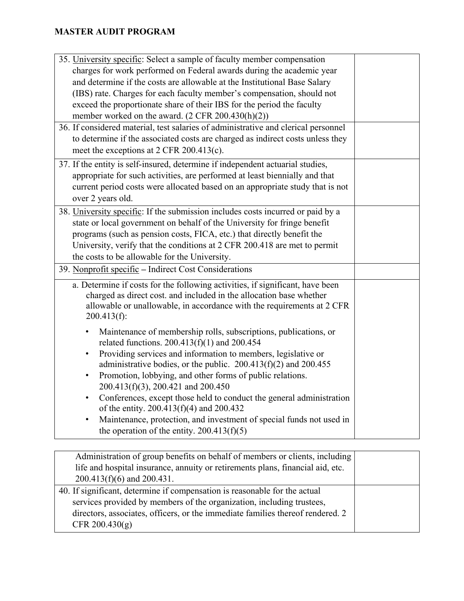| 35. University specific: Select a sample of faculty member compensation<br>charges for work performed on Federal awards during the academic year<br>and determine if the costs are allowable at the Institutional Base Salary<br>(IBS) rate. Charges for each faculty member's compensation, should not<br>exceed the proportionate share of their IBS for the period the faculty<br>member worked on the award. $(2 \text{ CFR } 200.430(h)(2))$<br>36. If considered material, test salaries of administrative and clerical personnel<br>to determine if the associated costs are charged as indirect costs unless they<br>meet the exceptions at 2 CFR 200.413(c). |  |
|-----------------------------------------------------------------------------------------------------------------------------------------------------------------------------------------------------------------------------------------------------------------------------------------------------------------------------------------------------------------------------------------------------------------------------------------------------------------------------------------------------------------------------------------------------------------------------------------------------------------------------------------------------------------------|--|
| 37. If the entity is self-insured, determine if independent actuarial studies,<br>appropriate for such activities, are performed at least biennially and that<br>current period costs were allocated based on an appropriate study that is not<br>over 2 years old.                                                                                                                                                                                                                                                                                                                                                                                                   |  |
| 38. University specific: If the submission includes costs incurred or paid by a<br>state or local government on behalf of the University for fringe benefit<br>programs (such as pension costs, FICA, etc.) that directly benefit the<br>University, verify that the conditions at 2 CFR 200.418 are met to permit<br>the costs to be allowable for the University.                                                                                                                                                                                                                                                                                                   |  |
| 39. Nonprofit specific – Indirect Cost Considerations                                                                                                                                                                                                                                                                                                                                                                                                                                                                                                                                                                                                                 |  |
| a. Determine if costs for the following activities, if significant, have been<br>charged as direct cost. and included in the allocation base whether<br>allowable or unallowable, in accordance with the requirements at 2 CFR<br>$200.413(f)$ :                                                                                                                                                                                                                                                                                                                                                                                                                      |  |
| Maintenance of membership rolls, subscriptions, publications, or<br>related functions. $200.413(f)(1)$ and $200.454$<br>Providing services and information to members, legislative or<br>$\bullet$<br>administrative bodies, or the public. $200.413(f)(2)$ and $200.455$<br>Promotion, lobbying, and other forms of public relations.<br>$\bullet$<br>200.413(f)(3), 200.421 and 200.450<br>Conferences, except those held to conduct the general administration<br>of the entity. $200.413(f)(4)$ and $200.432$<br>Maintenance, protection, and investment of special funds not used in<br>$\bullet$<br>the operation of the entity. $200.413(f)(5)$                |  |

| Administration of group benefits on behalf of members or clients, including    |  |
|--------------------------------------------------------------------------------|--|
| life and hospital insurance, annuity or retirements plans, financial aid, etc. |  |
| $200.413(f)(6)$ and $200.431$ .                                                |  |
| 40. If significant, determine if compensation is reasonable for the actual     |  |
| services provided by members of the organization, including trustees,          |  |
| directors, associates, officers, or the immediate families thereof rendered. 2 |  |
| CFR $200.430(g)$                                                               |  |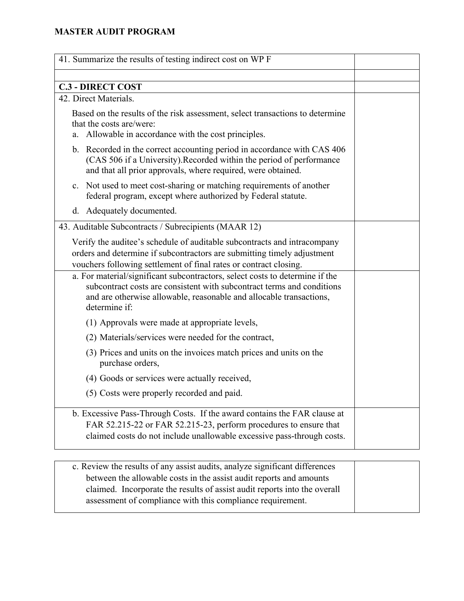| 41. Summarize the results of testing indirect cost on WP F                                                                                                                                                                                     |  |
|------------------------------------------------------------------------------------------------------------------------------------------------------------------------------------------------------------------------------------------------|--|
|                                                                                                                                                                                                                                                |  |
| <b>C.3 - DIRECT COST</b>                                                                                                                                                                                                                       |  |
| 42. Direct Materials.                                                                                                                                                                                                                          |  |
| Based on the results of the risk assessment, select transactions to determine<br>that the costs are/were:<br>a. Allowable in accordance with the cost principles.                                                                              |  |
| b. Recorded in the correct accounting period in accordance with CAS 406<br>(CAS 506 if a University). Recorded within the period of performance<br>and that all prior approvals, where required, were obtained.                                |  |
| c. Not used to meet cost-sharing or matching requirements of another<br>federal program, except where authorized by Federal statute.                                                                                                           |  |
| d. Adequately documented.                                                                                                                                                                                                                      |  |
| 43. Auditable Subcontracts / Subrecipients (MAAR 12)                                                                                                                                                                                           |  |
| Verify the auditee's schedule of auditable subcontracts and intracompany<br>orders and determine if subcontractors are submitting timely adjustment<br>vouchers following settlement of final rates or contract closing.                       |  |
| a. For material/significant subcontractors, select costs to determine if the<br>subcontract costs are consistent with subcontract terms and conditions<br>and are otherwise allowable, reasonable and allocable transactions,<br>determine if: |  |
| (1) Approvals were made at appropriate levels,                                                                                                                                                                                                 |  |
| (2) Materials/services were needed for the contract,                                                                                                                                                                                           |  |
| (3) Prices and units on the invoices match prices and units on the<br>purchase orders,                                                                                                                                                         |  |
| (4) Goods or services were actually received,                                                                                                                                                                                                  |  |
| (5) Costs were properly recorded and paid.                                                                                                                                                                                                     |  |
| b. Excessive Pass-Through Costs. If the award contains the FAR clause at<br>FAR 52.215-22 or FAR 52.215-23, perform procedures to ensure that<br>claimed costs do not include unallowable excessive pass-through costs.                        |  |

| c. Review the results of any assist audits, analyze significant differences |  |
|-----------------------------------------------------------------------------|--|
| between the allowable costs in the assist audit reports and amounts         |  |
| claimed. Incorporate the results of assist audit reports into the overall   |  |
| assessment of compliance with this compliance requirement.                  |  |
|                                                                             |  |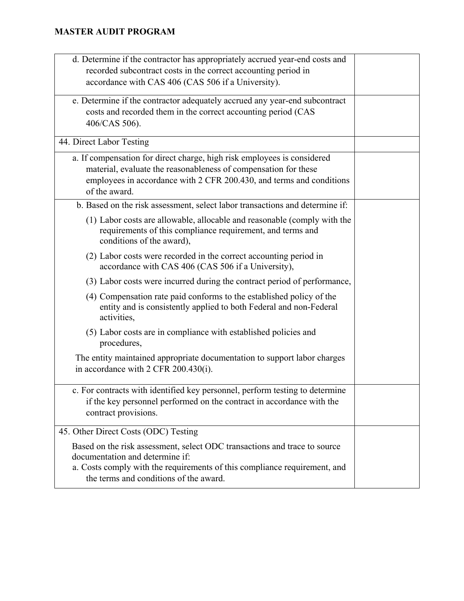| d. Determine if the contractor has appropriately accrued year-end costs and<br>recorded subcontract costs in the correct accounting period in<br>accordance with CAS 406 (CAS 506 if a University).                                 |  |
|-------------------------------------------------------------------------------------------------------------------------------------------------------------------------------------------------------------------------------------|--|
| e. Determine if the contractor adequately accrued any year-end subcontract<br>costs and recorded them in the correct accounting period (CAS<br>406/CAS 506).                                                                        |  |
| 44. Direct Labor Testing                                                                                                                                                                                                            |  |
| a. If compensation for direct charge, high risk employees is considered<br>material, evaluate the reasonableness of compensation for these<br>employees in accordance with 2 CFR 200.430, and terms and conditions<br>of the award. |  |
| b. Based on the risk assessment, select labor transactions and determine if:                                                                                                                                                        |  |
| (1) Labor costs are allowable, allocable and reasonable (comply with the<br>requirements of this compliance requirement, and terms and<br>conditions of the award),                                                                 |  |
| (2) Labor costs were recorded in the correct accounting period in<br>accordance with CAS 406 (CAS 506 if a University),                                                                                                             |  |
| (3) Labor costs were incurred during the contract period of performance,                                                                                                                                                            |  |
| (4) Compensation rate paid conforms to the established policy of the<br>entity and is consistently applied to both Federal and non-Federal<br>activities,                                                                           |  |
| (5) Labor costs are in compliance with established policies and<br>procedures,                                                                                                                                                      |  |
| The entity maintained appropriate documentation to support labor charges<br>in accordance with 2 CFR 200.430(i).                                                                                                                    |  |
| c. For contracts with identified key personnel, perform testing to determine<br>if the key personnel performed on the contract in accordance with the<br>contract provisions.                                                       |  |
| 45. Other Direct Costs (ODC) Testing                                                                                                                                                                                                |  |
| Based on the risk assessment, select ODC transactions and trace to source<br>documentation and determine if:<br>a. Costs comply with the requirements of this compliance requirement, and<br>the terms and conditions of the award. |  |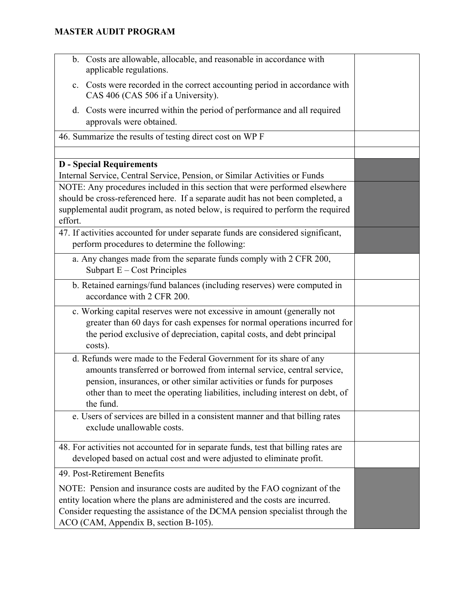| b. Costs are allowable, allocable, and reasonable in accordance with<br>applicable regulations.                                                                                                                                                                                                                       |  |
|-----------------------------------------------------------------------------------------------------------------------------------------------------------------------------------------------------------------------------------------------------------------------------------------------------------------------|--|
| Costs were recorded in the correct accounting period in accordance with<br>c.<br>CAS 406 (CAS 506 if a University).                                                                                                                                                                                                   |  |
| Costs were incurred within the period of performance and all required<br>d.<br>approvals were obtained.                                                                                                                                                                                                               |  |
| 46. Summarize the results of testing direct cost on WP F                                                                                                                                                                                                                                                              |  |
|                                                                                                                                                                                                                                                                                                                       |  |
| <b>D</b> - Special Requirements                                                                                                                                                                                                                                                                                       |  |
| Internal Service, Central Service, Pension, or Similar Activities or Funds                                                                                                                                                                                                                                            |  |
| NOTE: Any procedures included in this section that were performed elsewhere                                                                                                                                                                                                                                           |  |
| should be cross-referenced here. If a separate audit has not been completed, a                                                                                                                                                                                                                                        |  |
| supplemental audit program, as noted below, is required to perform the required                                                                                                                                                                                                                                       |  |
| effort.                                                                                                                                                                                                                                                                                                               |  |
| 47. If activities accounted for under separate funds are considered significant,<br>perform procedures to determine the following:                                                                                                                                                                                    |  |
| a. Any changes made from the separate funds comply with 2 CFR 200,<br>Subpart $E - Cost$ Principles                                                                                                                                                                                                                   |  |
| b. Retained earnings/fund balances (including reserves) were computed in<br>accordance with 2 CFR 200.                                                                                                                                                                                                                |  |
| c. Working capital reserves were not excessive in amount (generally not<br>greater than 60 days for cash expenses for normal operations incurred for<br>the period exclusive of depreciation, capital costs, and debt principal<br>costs).                                                                            |  |
| d. Refunds were made to the Federal Government for its share of any<br>amounts transferred or borrowed from internal service, central service,<br>pension, insurances, or other similar activities or funds for purposes<br>other than to meet the operating liabilities, including interest on debt, of<br>the fund. |  |
| e. Users of services are billed in a consistent manner and that billing rates<br>exclude unallowable costs.                                                                                                                                                                                                           |  |
| 48. For activities not accounted for in separate funds, test that billing rates are<br>developed based on actual cost and were adjusted to eliminate profit.                                                                                                                                                          |  |
| 49. Post-Retirement Benefits                                                                                                                                                                                                                                                                                          |  |
| NOTE: Pension and insurance costs are audited by the FAO cognizant of the<br>entity location where the plans are administered and the costs are incurred.<br>Consider requesting the assistance of the DCMA pension specialist through the<br>ACO (CAM, Appendix B, section B-105).                                   |  |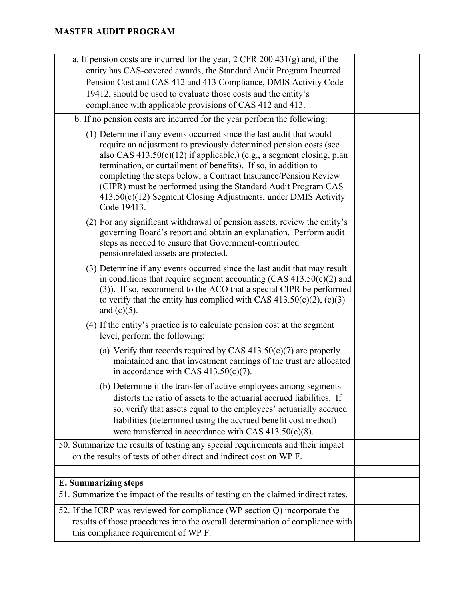| a. If pension costs are incurred for the year, $2$ CFR $200.431(g)$ and, if the                                                                                                                                                                                                                                                                                                                                                                                                                              |  |
|--------------------------------------------------------------------------------------------------------------------------------------------------------------------------------------------------------------------------------------------------------------------------------------------------------------------------------------------------------------------------------------------------------------------------------------------------------------------------------------------------------------|--|
| entity has CAS-covered awards, the Standard Audit Program Incurred                                                                                                                                                                                                                                                                                                                                                                                                                                           |  |
| Pension Cost and CAS 412 and 413 Compliance, DMIS Activity Code                                                                                                                                                                                                                                                                                                                                                                                                                                              |  |
| 19412, should be used to evaluate those costs and the entity's                                                                                                                                                                                                                                                                                                                                                                                                                                               |  |
| compliance with applicable provisions of CAS 412 and 413.                                                                                                                                                                                                                                                                                                                                                                                                                                                    |  |
| b. If no pension costs are incurred for the year perform the following:                                                                                                                                                                                                                                                                                                                                                                                                                                      |  |
| (1) Determine if any events occurred since the last audit that would<br>require an adjustment to previously determined pension costs (see<br>also CAS $413.50(c)(12)$ if applicable,) (e.g., a segment closing, plan<br>termination, or curtailment of benefits). If so, in addition to<br>completing the steps below, a Contract Insurance/Pension Review<br>(CIPR) must be performed using the Standard Audit Program CAS<br>413.50(c)(12) Segment Closing Adjustments, under DMIS Activity<br>Code 19413. |  |
| (2) For any significant withdrawal of pension assets, review the entity's<br>governing Board's report and obtain an explanation. Perform audit<br>steps as needed to ensure that Government-contributed<br>pensionrelated assets are protected.                                                                                                                                                                                                                                                              |  |
| (3) Determine if any events occurred since the last audit that may result<br>in conditions that require segment accounting $(CAS 413.50(c)(2)$ and<br>(3)). If so, recommend to the ACO that a special CIPR be performed<br>to verify that the entity has complied with CAS $413.50(c)(2)$ , $(c)(3)$<br>and $(c)(5)$ .                                                                                                                                                                                      |  |
| (4) If the entity's practice is to calculate pension cost at the segment<br>level, perform the following:                                                                                                                                                                                                                                                                                                                                                                                                    |  |
| (a) Verify that records required by CAS $413.50(c)(7)$ are properly<br>maintained and that investment earnings of the trust are allocated<br>in accordance with CAS $413.50(c)(7)$ .                                                                                                                                                                                                                                                                                                                         |  |
| (b) Determine if the transfer of active employees among segments<br>distorts the ratio of assets to the actuarial accrued liabilities. If<br>so, verify that assets equal to the employees' actuarially accrued<br>liabilities (determined using the accrued benefit cost method)<br>were transferred in accordance with CAS $413.50(c)(8)$ .                                                                                                                                                                |  |
| 50. Summarize the results of testing any special requirements and their impact<br>on the results of tests of other direct and indirect cost on WP F.                                                                                                                                                                                                                                                                                                                                                         |  |
|                                                                                                                                                                                                                                                                                                                                                                                                                                                                                                              |  |
| <b>E. Summarizing steps</b>                                                                                                                                                                                                                                                                                                                                                                                                                                                                                  |  |
| 51. Summarize the impact of the results of testing on the claimed indirect rates.                                                                                                                                                                                                                                                                                                                                                                                                                            |  |
|                                                                                                                                                                                                                                                                                                                                                                                                                                                                                                              |  |
| 52. If the ICRP was reviewed for compliance (WP section Q) incorporate the                                                                                                                                                                                                                                                                                                                                                                                                                                   |  |
| results of those procedures into the overall determination of compliance with<br>this compliance requirement of WP F.                                                                                                                                                                                                                                                                                                                                                                                        |  |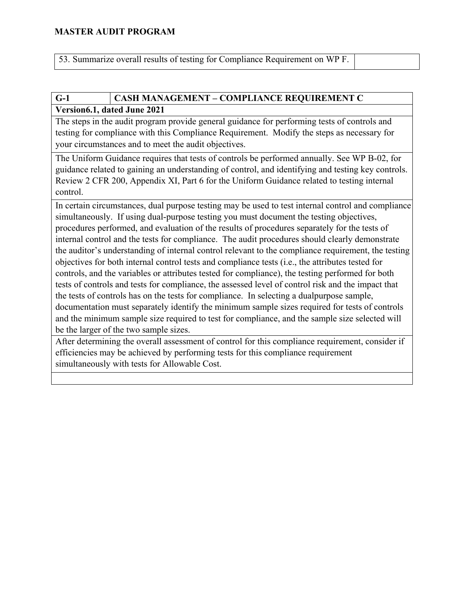53. Summarize overall results of testing for Compliance Requirement on WP F.

# **G-1 CASH MANAGEMENT – COMPLIANCE REQUIREMENT C**

### **Version6.1, dated June 2021**

The steps in the audit program provide general guidance for performing tests of controls and testing for compliance with this Compliance Requirement. Modify the steps as necessary for your circumstances and to meet the audit objectives.

The Uniform Guidance requires that tests of controls be performed annually. See WP B-02, for guidance related to gaining an understanding of control, and identifying and testing key controls. Review 2 CFR 200, Appendix XI, Part 6 for the Uniform Guidance related to testing internal control.

In certain circumstances, dual purpose testing may be used to test internal control and compliance simultaneously. If using dual-purpose testing you must document the testing objectives, procedures performed, and evaluation of the results of procedures separately for the tests of internal control and the tests for compliance. The audit procedures should clearly demonstrate the auditor's understanding of internal control relevant to the compliance requirement, the testing objectives for both internal control tests and compliance tests (i.e., the attributes tested for controls, and the variables or attributes tested for compliance), the testing performed for both tests of controls and tests for compliance, the assessed level of control risk and the impact that the tests of controls has on the tests for compliance. In selecting a dualpurpose sample, documentation must separately identify the minimum sample sizes required for tests of controls and the minimum sample size required to test for compliance, and the sample size selected will be the larger of the two sample sizes.

After determining the overall assessment of control for this compliance requirement, consider if efficiencies may be achieved by performing tests for this compliance requirement simultaneously with tests for Allowable Cost.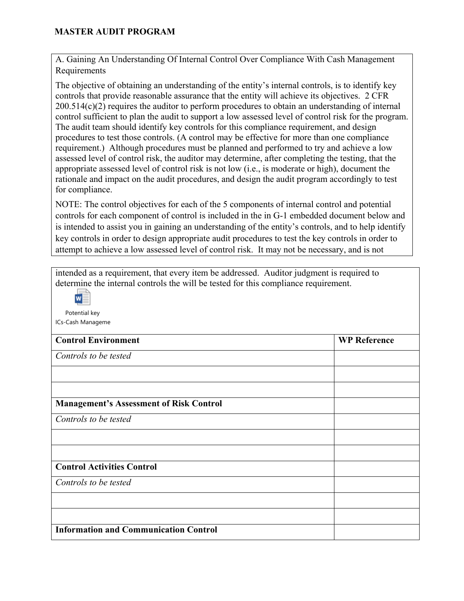A. Gaining An Understanding Of Internal Control Over Compliance With Cash Management Requirements

The objective of obtaining an understanding of the entity's internal controls, is to identify key controls that provide reasonable assurance that the entity will achieve its objectives. 2 CFR 200.514(c)(2) requires the auditor to perform procedures to obtain an understanding of internal control sufficient to plan the audit to support a low assessed level of control risk for the program. The audit team should identify key controls for this compliance requirement, and design procedures to test those controls. (A control may be effective for more than one compliance requirement.) Although procedures must be planned and performed to try and achieve a low assessed level of control risk, the auditor may determine, after completing the testing, that the appropriate assessed level of control risk is not low (i.e., is moderate or high), document the rationale and impact on the audit procedures, and design the audit program accordingly to test for compliance.

NOTE: The control objectives for each of the 5 components of internal control and potential controls for each component of control is included in the in G-1 embedded document below and is intended to assist you in gaining an understanding of the entity's controls, and to help identify key controls in order to design appropriate audit procedures to test the key controls in order to attempt to achieve a low assessed level of control risk. It may not be necessary, and is not

intended as a requirement, that every item be addressed. Auditor judgment is required to determine the internal controls the will be tested for this compliance requirement.

 $w \equiv$ 

Potential key ICs-Cash Manageme

| <b>Control Environment</b>                     | <b>WP Reference</b> |
|------------------------------------------------|---------------------|
| Controls to be tested                          |                     |
|                                                |                     |
|                                                |                     |
| <b>Management's Assessment of Risk Control</b> |                     |
| Controls to be tested                          |                     |
|                                                |                     |
|                                                |                     |
| <b>Control Activities Control</b>              |                     |
| Controls to be tested                          |                     |
|                                                |                     |
|                                                |                     |
| <b>Information and Communication Control</b>   |                     |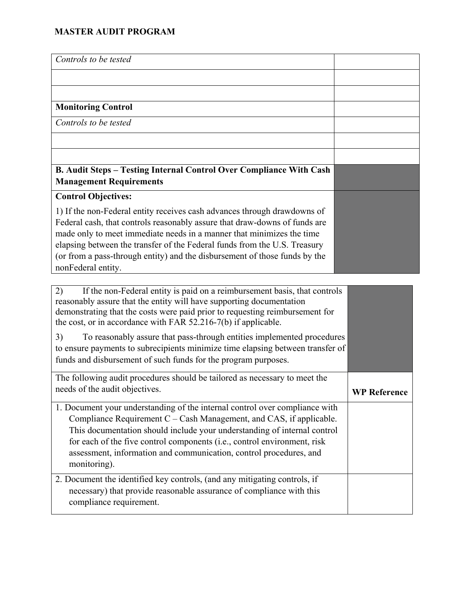| Controls to be tested                                                      |  |
|----------------------------------------------------------------------------|--|
|                                                                            |  |
|                                                                            |  |
| <b>Monitoring Control</b>                                                  |  |
| Controls to be tested                                                      |  |
|                                                                            |  |
|                                                                            |  |
| <b>B. Audit Steps – Testing Internal Control Over Compliance With Cash</b> |  |
| <b>Management Requirements</b>                                             |  |
| <b>Control Objectives:</b>                                                 |  |
| 1) If the non-Federal entity receives cash advances through drawdowns of   |  |
| Federal cash, that controls reasonably assure that draw-downs of funds are |  |
| made only to meet immediate needs in a manner that minimizes the time      |  |
| elapsing between the transfer of the Federal funds from the U.S. Treasury  |  |
| (or from a pass-through entity) and the disbursement of those funds by the |  |
| nonFederal entity.                                                         |  |

| If the non-Federal entity is paid on a reimbursement basis, that controls<br>2)<br>reasonably assure that the entity will have supporting documentation<br>demonstrating that the costs were paid prior to requesting reimbursement for<br>the cost, or in accordance with FAR 52.216-7(b) if applicable.                                                                                          |                     |
|----------------------------------------------------------------------------------------------------------------------------------------------------------------------------------------------------------------------------------------------------------------------------------------------------------------------------------------------------------------------------------------------------|---------------------|
| 3)<br>To reasonably assure that pass-through entities implemented procedures<br>to ensure payments to subrecipients minimize time elapsing between transfer of<br>funds and disbursement of such funds for the program purposes.                                                                                                                                                                   |                     |
| The following audit procedures should be tailored as necessary to meet the<br>needs of the audit objectives.                                                                                                                                                                                                                                                                                       | <b>WP Reference</b> |
| 1. Document your understanding of the internal control over compliance with<br>Compliance Requirement $C - Cash$ Management, and CAS, if applicable.<br>This documentation should include your understanding of internal control<br>for each of the five control components (i.e., control environment, risk<br>assessment, information and communication, control procedures, and<br>monitoring). |                     |
| 2. Document the identified key controls, (and any mitigating controls, if<br>necessary) that provide reasonable assurance of compliance with this<br>compliance requirement.                                                                                                                                                                                                                       |                     |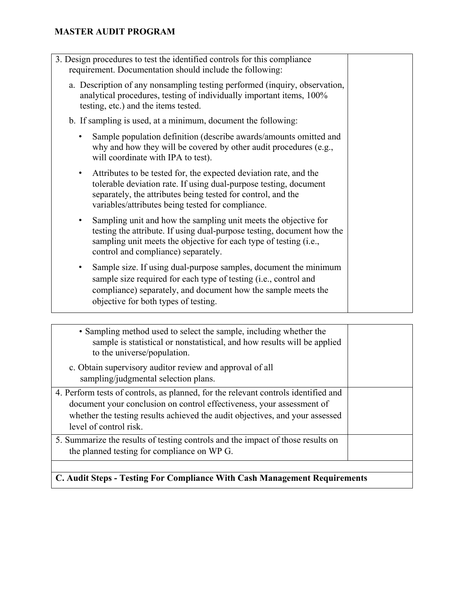| 3. Design procedures to test the identified controls for this compliance<br>requirement. Documentation should include the following:                                                                                                                             |  |
|------------------------------------------------------------------------------------------------------------------------------------------------------------------------------------------------------------------------------------------------------------------|--|
| a. Description of any nonsampling testing performed (inquiry, observation,<br>analytical procedures, testing of individually important items, 100%<br>testing, etc.) and the items tested.                                                                       |  |
| b. If sampling is used, at a minimum, document the following:                                                                                                                                                                                                    |  |
| Sample population definition (describe awards/amounts omitted and<br>why and how they will be covered by other audit procedures (e.g.,<br>will coordinate with IPA to test).                                                                                     |  |
| Attributes to be tested for, the expected deviation rate, and the<br>٠<br>tolerable deviation rate. If using dual-purpose testing, document<br>separately, the attributes being tested for control, and the<br>variables/attributes being tested for compliance. |  |
| Sampling unit and how the sampling unit meets the objective for<br>٠<br>testing the attribute. If using dual-purpose testing, document how the<br>sampling unit meets the objective for each type of testing (i.e.,<br>control and compliance) separately.       |  |
| Sample size. If using dual-purpose samples, document the minimum<br>٠<br>sample size required for each type of testing (i.e., control and<br>compliance) separately, and document how the sample meets the<br>objective for both types of testing.               |  |

| 5. Summarize the results of testing controls and the impact of those results on<br>the planned testing for compliance on WP G.                                                                                                                                        |  |
|-----------------------------------------------------------------------------------------------------------------------------------------------------------------------------------------------------------------------------------------------------------------------|--|
| 4. Perform tests of controls, as planned, for the relevant controls identified and<br>document your conclusion on control effectiveness, your assessment of<br>whether the testing results achieved the audit objectives, and your assessed<br>level of control risk. |  |
| c. Obtain supervisory auditor review and approval of all<br>sampling/judgmental selection plans.                                                                                                                                                                      |  |
| • Sampling method used to select the sample, including whether the<br>sample is statistical or nonstatistical, and how results will be applied<br>to the universe/population.                                                                                         |  |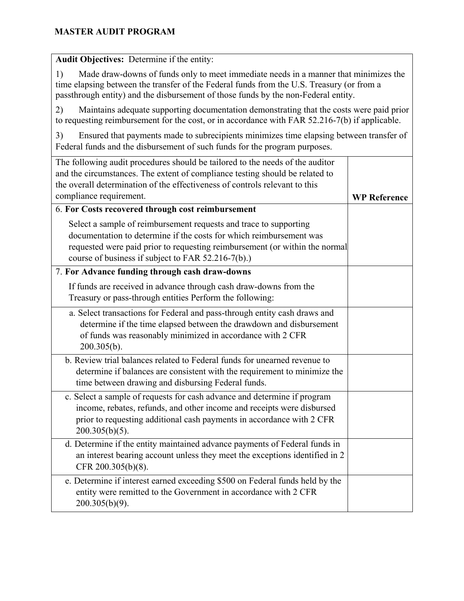| Audit Objectives: Determine if the entity:                                                                                                                                                                                                                                    |                     |
|-------------------------------------------------------------------------------------------------------------------------------------------------------------------------------------------------------------------------------------------------------------------------------|---------------------|
| Made draw-downs of funds only to meet immediate needs in a manner that minimizes the<br>1)<br>time elapsing between the transfer of the Federal funds from the U.S. Treasury (or from a<br>passthrough entity) and the disbursement of those funds by the non-Federal entity. |                     |
| 2)<br>Maintains adequate supporting documentation demonstrating that the costs were paid prior<br>to requesting reimbursement for the cost, or in accordance with FAR 52.216-7(b) if applicable.                                                                              |                     |
| Ensured that payments made to subrecipients minimizes time elapsing between transfer of<br>3)<br>Federal funds and the disbursement of such funds for the program purposes.                                                                                                   |                     |
| The following audit procedures should be tailored to the needs of the auditor<br>and the circumstances. The extent of compliance testing should be related to<br>the overall determination of the effectiveness of controls relevant to this<br>compliance requirement.       | <b>WP Reference</b> |
| 6. For Costs recovered through cost reimbursement                                                                                                                                                                                                                             |                     |
| Select a sample of reimbursement requests and trace to supporting<br>documentation to determine if the costs for which reimbursement was<br>requested were paid prior to requesting reimbursement (or within the normal<br>course of business if subject to FAR 52.216-7(b).) |                     |
| 7. For Advance funding through cash draw-downs                                                                                                                                                                                                                                |                     |
| If funds are received in advance through cash draw-downs from the<br>Treasury or pass-through entities Perform the following:                                                                                                                                                 |                     |
| a. Select transactions for Federal and pass-through entity cash draws and<br>determine if the time elapsed between the drawdown and disbursement<br>of funds was reasonably minimized in accordance with 2 CFR<br>$200.305(b)$ .                                              |                     |
| b. Review trial balances related to Federal funds for unearned revenue to<br>determine if balances are consistent with the requirement to minimize the<br>time between drawing and disbursing Federal funds.                                                                  |                     |
| c. Select a sample of requests for cash advance and determine if program<br>income, rebates, refunds, and other income and receipts were disbursed<br>prior to requesting additional cash payments in accordance with 2 CFR<br>$200.305(b)(5)$ .                              |                     |
| d. Determine if the entity maintained advance payments of Federal funds in<br>an interest bearing account unless they meet the exceptions identified in 2<br>CFR 200.305(b)(8).                                                                                               |                     |
| e. Determine if interest earned exceeding \$500 on Federal funds held by the<br>entity were remitted to the Government in accordance with 2 CFR<br>$200.305(b)(9)$ .                                                                                                          |                     |

and the control of the control of the control of the control of the control of the control of the control of the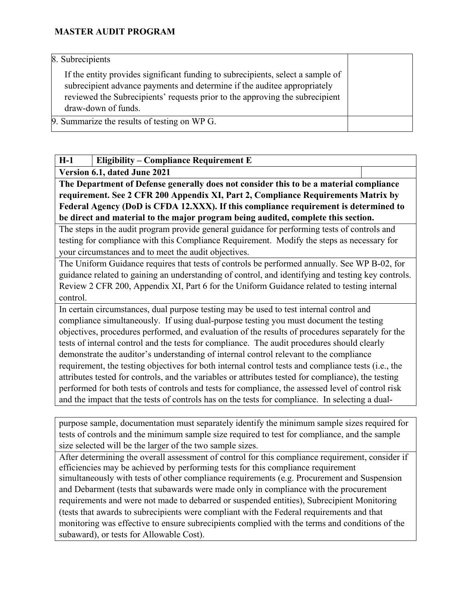8. Subrecipients

If the entity provides significant funding to subrecipients, select a sample of subrecipient advance payments and determine if the auditee appropriately reviewed the Subrecipients' requests prior to the approving the subrecipient draw-down of funds.

9. Summarize the results of testing on WP G.

### **H-1 Eligibility – Compliance Requirement E**

**Version 6.1, dated June 2021**

**The Department of Defense generally does not consider this to be a material compliance requirement. See 2 CFR 200 Appendix XI, Part 2, Compliance Requirements Matrix by Federal Agency (DoD is CFDA 12.XXX). If this compliance requirement is determined to be direct and material to the major program being audited, complete this section.** 

The steps in the audit program provide general guidance for performing tests of controls and testing for compliance with this Compliance Requirement. Modify the steps as necessary for your circumstances and to meet the audit objectives.

The Uniform Guidance requires that tests of controls be performed annually. See WP B-02, for guidance related to gaining an understanding of control, and identifying and testing key controls. Review 2 CFR 200, Appendix XI, Part 6 for the Uniform Guidance related to testing internal control.

In certain circumstances, dual purpose testing may be used to test internal control and compliance simultaneously. If using dual-purpose testing you must document the testing objectives, procedures performed, and evaluation of the results of procedures separately for the tests of internal control and the tests for compliance. The audit procedures should clearly demonstrate the auditor's understanding of internal control relevant to the compliance requirement, the testing objectives for both internal control tests and compliance tests (i.e., the attributes tested for controls, and the variables or attributes tested for compliance), the testing performed for both tests of controls and tests for compliance, the assessed level of control risk and the impact that the tests of controls has on the tests for compliance. In selecting a dual-

purpose sample, documentation must separately identify the minimum sample sizes required for tests of controls and the minimum sample size required to test for compliance, and the sample size selected will be the larger of the two sample sizes.

After determining the overall assessment of control for this compliance requirement, consider if efficiencies may be achieved by performing tests for this compliance requirement simultaneously with tests of other compliance requirements (e.g. Procurement and Suspension and Debarment (tests that subawards were made only in compliance with the procurement requirements and were not made to debarred or suspended entities), Subrecipient Monitoring (tests that awards to subrecipients were compliant with the Federal requirements and that monitoring was effective to ensure subrecipients complied with the terms and conditions of the subaward), or tests for Allowable Cost).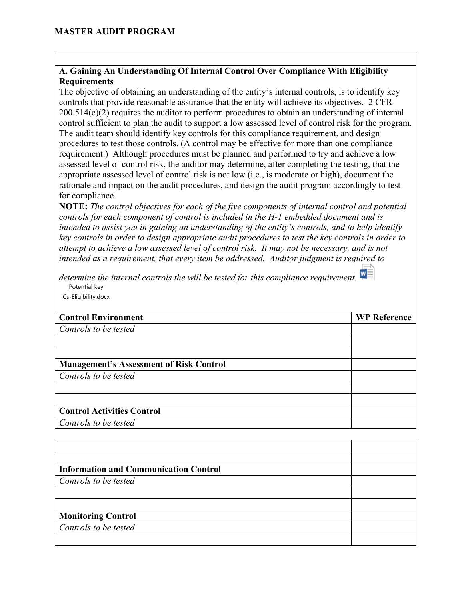#### **A. Gaining An Understanding Of Internal Control Over Compliance With Eligibility Requirements**

The objective of obtaining an understanding of the entity's internal controls, is to identify key controls that provide reasonable assurance that the entity will achieve its objectives. 2 CFR 200.514(c)(2) requires the auditor to perform procedures to obtain an understanding of internal control sufficient to plan the audit to support a low assessed level of control risk for the program. The audit team should identify key controls for this compliance requirement, and design procedures to test those controls. (A control may be effective for more than one compliance requirement.) Although procedures must be planned and performed to try and achieve a low assessed level of control risk, the auditor may determine, after completing the testing, that the appropriate assessed level of control risk is not low (i.e., is moderate or high), document the rationale and impact on the audit procedures, and design the audit program accordingly to test for compliance.

**NOTE:** *The control objectives for each of the five components of internal control and potential controls for each component of control is included in the H-1 embedded document and is intended to assist you in gaining an understanding of the entity's controls, and to help identify key controls in order to design appropriate audit procedures to test the key controls in order to attempt to achieve a low assessed level of control risk. It may not be necessary, and is not intended as a requirement, that every item be addressed. Auditor judgment is required to* 

*determine the internal controls the will be tested for this compliance requirement.*  Potential key ICs-Eligibility.docx

| <b>Control Environment</b>                     | <b>WP Reference</b> |
|------------------------------------------------|---------------------|
| Controls to be tested                          |                     |
|                                                |                     |
|                                                |                     |
| <b>Management's Assessment of Risk Control</b> |                     |
| Controls to be tested                          |                     |
|                                                |                     |
|                                                |                     |
| <b>Control Activities Control</b>              |                     |
| Controls to be tested                          |                     |

| <b>Information and Communication Control</b> |  |
|----------------------------------------------|--|
| Controls to be tested                        |  |
|                                              |  |
|                                              |  |
| <b>Monitoring Control</b>                    |  |
| Controls to be tested                        |  |
|                                              |  |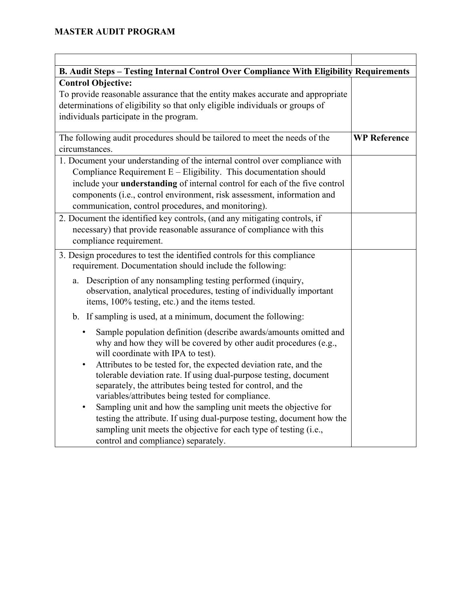| B. Audit Steps - Testing Internal Control Over Compliance With Eligibility Requirements                                                   |                     |
|-------------------------------------------------------------------------------------------------------------------------------------------|---------------------|
| <b>Control Objective:</b>                                                                                                                 |                     |
| To provide reasonable assurance that the entity makes accurate and appropriate                                                            |                     |
| determinations of eligibility so that only eligible individuals or groups of                                                              |                     |
| individuals participate in the program.                                                                                                   |                     |
|                                                                                                                                           |                     |
| The following audit procedures should be tailored to meet the needs of the                                                                | <b>WP Reference</b> |
| circumstances.                                                                                                                            |                     |
| 1. Document your understanding of the internal control over compliance with                                                               |                     |
| Compliance Requirement $E -$ Eligibility. This documentation should                                                                       |                     |
| include your understanding of internal control for each of the five control                                                               |                     |
| components (i.e., control environment, risk assessment, information and                                                                   |                     |
| communication, control procedures, and monitoring).                                                                                       |                     |
| 2. Document the identified key controls, (and any mitigating controls, if                                                                 |                     |
| necessary) that provide reasonable assurance of compliance with this                                                                      |                     |
| compliance requirement.                                                                                                                   |                     |
| 3. Design procedures to test the identified controls for this compliance                                                                  |                     |
| requirement. Documentation should include the following:                                                                                  |                     |
| Description of any nonsampling testing performed (inquiry,<br>a.                                                                          |                     |
| observation, analytical procedures, testing of individually important                                                                     |                     |
| items, 100% testing, etc.) and the items tested.                                                                                          |                     |
| b. If sampling is used, at a minimum, document the following:                                                                             |                     |
| Sample population definition (describe awards/amounts omitted and<br>٠                                                                    |                     |
| why and how they will be covered by other audit procedures (e.g.,                                                                         |                     |
| will coordinate with IPA to test).                                                                                                        |                     |
| Attributes to be tested for, the expected deviation rate, and the<br>$\bullet$                                                            |                     |
| tolerable deviation rate. If using dual-purpose testing, document                                                                         |                     |
| separately, the attributes being tested for control, and the                                                                              |                     |
| variables/attributes being tested for compliance.                                                                                         |                     |
| Sampling unit and how the sampling unit meets the objective for<br>testing the attribute. If using dual-purpose testing, document how the |                     |
| sampling unit meets the objective for each type of testing (i.e.,                                                                         |                     |
| control and compliance) separately.                                                                                                       |                     |
|                                                                                                                                           |                     |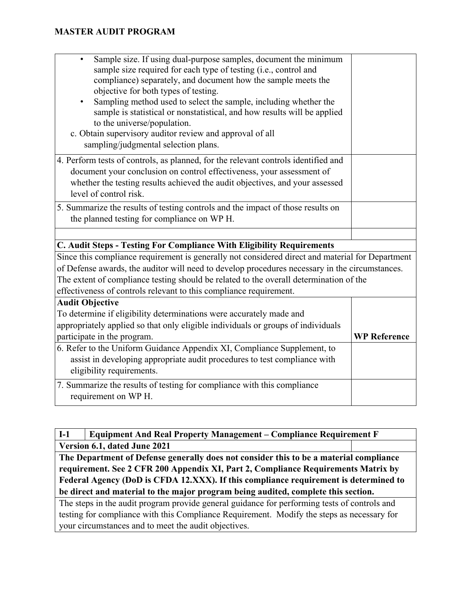| Sample size. If using dual-purpose samples, document the minimum<br>$\bullet$<br>sample size required for each type of testing (i.e., control and<br>compliance) separately, and document how the sample meets the<br>objective for both types of testing.<br>Sampling method used to select the sample, including whether the<br>$\bullet$<br>sample is statistical or nonstatistical, and how results will be applied<br>to the universe/population.<br>c. Obtain supervisory auditor review and approval of all<br>sampling/judgmental selection plans. |                     |
|------------------------------------------------------------------------------------------------------------------------------------------------------------------------------------------------------------------------------------------------------------------------------------------------------------------------------------------------------------------------------------------------------------------------------------------------------------------------------------------------------------------------------------------------------------|---------------------|
| 4. Perform tests of controls, as planned, for the relevant controls identified and                                                                                                                                                                                                                                                                                                                                                                                                                                                                         |                     |
| document your conclusion on control effectiveness, your assessment of                                                                                                                                                                                                                                                                                                                                                                                                                                                                                      |                     |
| whether the testing results achieved the audit objectives, and your assessed<br>level of control risk.                                                                                                                                                                                                                                                                                                                                                                                                                                                     |                     |
| 5. Summarize the results of testing controls and the impact of those results on                                                                                                                                                                                                                                                                                                                                                                                                                                                                            |                     |
| the planned testing for compliance on WP H.                                                                                                                                                                                                                                                                                                                                                                                                                                                                                                                |                     |
|                                                                                                                                                                                                                                                                                                                                                                                                                                                                                                                                                            |                     |
|                                                                                                                                                                                                                                                                                                                                                                                                                                                                                                                                                            |                     |
| C. Audit Steps - Testing For Compliance With Eligibility Requirements                                                                                                                                                                                                                                                                                                                                                                                                                                                                                      |                     |
| Since this compliance requirement is generally not considered direct and material for Department                                                                                                                                                                                                                                                                                                                                                                                                                                                           |                     |
| of Defense awards, the auditor will need to develop procedures necessary in the circumstances.                                                                                                                                                                                                                                                                                                                                                                                                                                                             |                     |
| The extent of compliance testing should be related to the overall determination of the                                                                                                                                                                                                                                                                                                                                                                                                                                                                     |                     |
| effectiveness of controls relevant to this compliance requirement.                                                                                                                                                                                                                                                                                                                                                                                                                                                                                         |                     |
| <b>Audit Objective</b>                                                                                                                                                                                                                                                                                                                                                                                                                                                                                                                                     |                     |
| To determine if eligibility determinations were accurately made and                                                                                                                                                                                                                                                                                                                                                                                                                                                                                        |                     |
| appropriately applied so that only eligible individuals or groups of individuals                                                                                                                                                                                                                                                                                                                                                                                                                                                                           |                     |
| participate in the program.                                                                                                                                                                                                                                                                                                                                                                                                                                                                                                                                | <b>WP Reference</b> |
| 6. Refer to the Uniform Guidance Appendix XI, Compliance Supplement, to                                                                                                                                                                                                                                                                                                                                                                                                                                                                                    |                     |
| assist in developing appropriate audit procedures to test compliance with<br>eligibility requirements.                                                                                                                                                                                                                                                                                                                                                                                                                                                     |                     |
| 7. Summarize the results of testing for compliance with this compliance<br>requirement on WP H.                                                                                                                                                                                                                                                                                                                                                                                                                                                            |                     |
|                                                                                                                                                                                                                                                                                                                                                                                                                                                                                                                                                            |                     |

**I-1 Equipment And Real Property Management – Compliance Requirement F Version 6.1, dated June 2021 The Department of Defense generally does not consider this to be a material compliance requirement. See 2 CFR 200 Appendix XI, Part 2, Compliance Requirements Matrix by Federal Agency (DoD is CFDA 12.XXX). If this compliance requirement is determined to be direct and material to the major program being audited, complete this section.** 

The steps in the audit program provide general guidance for performing tests of controls and testing for compliance with this Compliance Requirement. Modify the steps as necessary for your circumstances and to meet the audit objectives.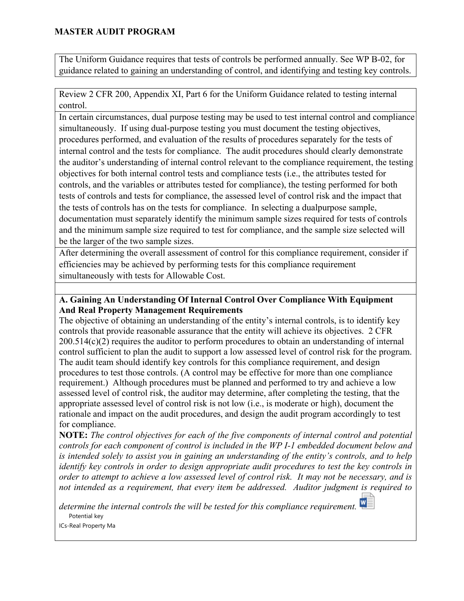The Uniform Guidance requires that tests of controls be performed annually. See WP B-02, for guidance related to gaining an understanding of control, and identifying and testing key controls.

Review 2 CFR 200, Appendix XI, Part 6 for the Uniform Guidance related to testing internal control.

In certain circumstances, dual purpose testing may be used to test internal control and compliance simultaneously. If using dual-purpose testing you must document the testing objectives, procedures performed, and evaluation of the results of procedures separately for the tests of internal control and the tests for compliance. The audit procedures should clearly demonstrate the auditor's understanding of internal control relevant to the compliance requirement, the testing objectives for both internal control tests and compliance tests (i.e., the attributes tested for controls, and the variables or attributes tested for compliance), the testing performed for both tests of controls and tests for compliance, the assessed level of control risk and the impact that the tests of controls has on the tests for compliance. In selecting a dualpurpose sample, documentation must separately identify the minimum sample sizes required for tests of controls and the minimum sample size required to test for compliance, and the sample size selected will be the larger of the two sample sizes.

After determining the overall assessment of control for this compliance requirement, consider if efficiencies may be achieved by performing tests for this compliance requirement simultaneously with tests for Allowable Cost.

#### **A. Gaining An Understanding Of Internal Control Over Compliance With Equipment And Real Property Management Requirements**

The objective of obtaining an understanding of the entity's internal controls, is to identify key controls that provide reasonable assurance that the entity will achieve its objectives. 2 CFR 200.514(c)(2) requires the auditor to perform procedures to obtain an understanding of internal control sufficient to plan the audit to support a low assessed level of control risk for the program. The audit team should identify key controls for this compliance requirement, and design procedures to test those controls. (A control may be effective for more than one compliance requirement.) Although procedures must be planned and performed to try and achieve a low assessed level of control risk, the auditor may determine, after completing the testing, that the appropriate assessed level of control risk is not low (i.e., is moderate or high), document the rationale and impact on the audit procedures, and design the audit program accordingly to test for compliance.

**NOTE:** *The control objectives for each of the five components of internal control and potential controls for each component of control is included in the WP I-1 embedded document below and is intended solely to assist you in gaining an understanding of the entity's controls, and to help identify key controls in order to design appropriate audit procedures to test the key controls in order to attempt to achieve a low assessed level of control risk. It may not be necessary, and is not intended as a requirement, that every item be addressed. Auditor judgment is required to* 

*determine the internal controls the will be tested for this compliance requirement.*  Potential key

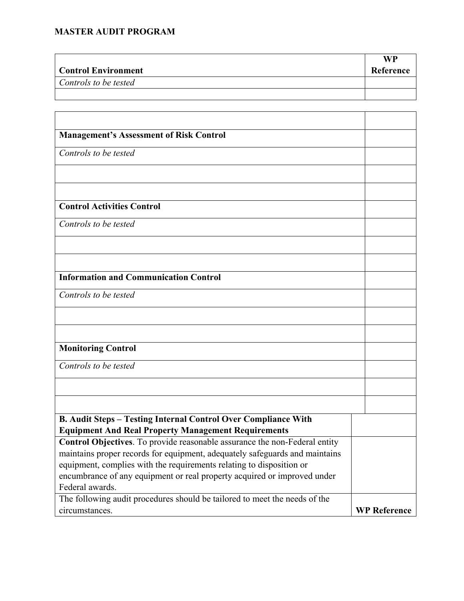|                            | WP        |
|----------------------------|-----------|
| <b>Control Environment</b> | Reference |
| Controls to be tested      |           |
|                            |           |

| <b>Management's Assessment of Risk Control</b>                              |                     |
|-----------------------------------------------------------------------------|---------------------|
| Controls to be tested                                                       |                     |
|                                                                             |                     |
|                                                                             |                     |
| <b>Control Activities Control</b>                                           |                     |
| Controls to be tested                                                       |                     |
|                                                                             |                     |
|                                                                             |                     |
| <b>Information and Communication Control</b>                                |                     |
| Controls to be tested                                                       |                     |
|                                                                             |                     |
|                                                                             |                     |
| <b>Monitoring Control</b>                                                   |                     |
| Controls to be tested                                                       |                     |
|                                                                             |                     |
|                                                                             |                     |
| <b>B. Audit Steps - Testing Internal Control Over Compliance With</b>       |                     |
| <b>Equipment And Real Property Management Requirements</b>                  |                     |
| Control Objectives. To provide reasonable assurance the non-Federal entity  |                     |
| maintains proper records for equipment, adequately safeguards and maintains |                     |
| equipment, complies with the requirements relating to disposition or        |                     |
| encumbrance of any equipment or real property acquired or improved under    |                     |
| Federal awards.                                                             |                     |
| The following audit procedures should be tailored to meet the needs of the  |                     |
| circumstances.                                                              | <b>WP Reference</b> |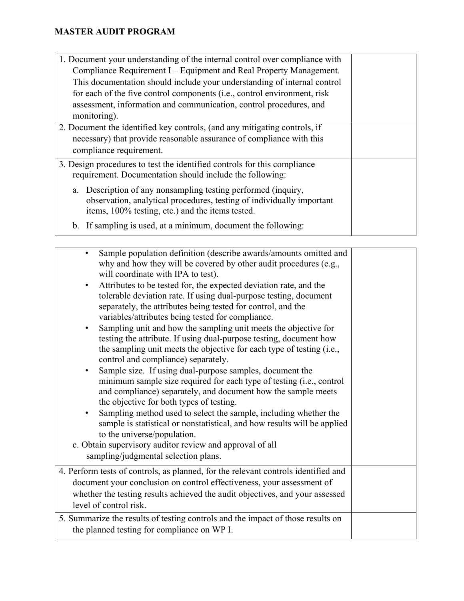| 1. Document your understanding of the internal control over compliance with<br>Compliance Requirement I – Equipment and Real Property Management.                                                                                          |  |
|--------------------------------------------------------------------------------------------------------------------------------------------------------------------------------------------------------------------------------------------|--|
| This documentation should include your understanding of internal control<br>for each of the five control components (i.e., control environment, risk<br>assessment, information and communication, control procedures, and<br>monitoring). |  |
| 2. Document the identified key controls, (and any mitigating controls, if<br>necessary) that provide reasonable assurance of compliance with this<br>compliance requirement.                                                               |  |
| 3. Design procedures to test the identified controls for this compliance<br>requirement. Documentation should include the following:                                                                                                       |  |
| a. Description of any nonsampling testing performed (inquiry,<br>observation, analytical procedures, testing of individually important<br>items, 100% testing, etc.) and the items tested.                                                 |  |
| b. If sampling is used, at a minimum, document the following:                                                                                                                                                                              |  |

| Sample population definition (describe awards/amounts omitted and<br>$\bullet$<br>why and how they will be covered by other audit procedures (e.g.,<br>will coordinate with IPA to test).<br>Attributes to be tested for, the expected deviation rate, and the<br>$\bullet$<br>tolerable deviation rate. If using dual-purpose testing, document<br>separately, the attributes being tested for control, and the<br>variables/attributes being tested for compliance.<br>Sampling unit and how the sampling unit meets the objective for<br>$\bullet$<br>testing the attribute. If using dual-purpose testing, document how<br>the sampling unit meets the objective for each type of testing (i.e.,<br>control and compliance) separately.<br>Sample size. If using dual-purpose samples, document the<br>$\bullet$<br>minimum sample size required for each type of testing (i.e., control<br>and compliance) separately, and document how the sample meets<br>the objective for both types of testing.<br>Sampling method used to select the sample, including whether the<br>$\bullet$<br>sample is statistical or nonstatistical, and how results will be applied<br>to the universe/population.<br>c. Obtain supervisory auditor review and approval of all |  |
|-------------------------------------------------------------------------------------------------------------------------------------------------------------------------------------------------------------------------------------------------------------------------------------------------------------------------------------------------------------------------------------------------------------------------------------------------------------------------------------------------------------------------------------------------------------------------------------------------------------------------------------------------------------------------------------------------------------------------------------------------------------------------------------------------------------------------------------------------------------------------------------------------------------------------------------------------------------------------------------------------------------------------------------------------------------------------------------------------------------------------------------------------------------------------------------------------------------------------------------------------------------------|--|
| sampling/judgmental selection plans.                                                                                                                                                                                                                                                                                                                                                                                                                                                                                                                                                                                                                                                                                                                                                                                                                                                                                                                                                                                                                                                                                                                                                                                                                              |  |
| 4. Perform tests of controls, as planned, for the relevant controls identified and<br>document your conclusion on control effectiveness, your assessment of<br>whether the testing results achieved the audit objectives, and your assessed<br>level of control risk.                                                                                                                                                                                                                                                                                                                                                                                                                                                                                                                                                                                                                                                                                                                                                                                                                                                                                                                                                                                             |  |
| 5. Summarize the results of testing controls and the impact of those results on<br>the planned testing for compliance on WP I.                                                                                                                                                                                                                                                                                                                                                                                                                                                                                                                                                                                                                                                                                                                                                                                                                                                                                                                                                                                                                                                                                                                                    |  |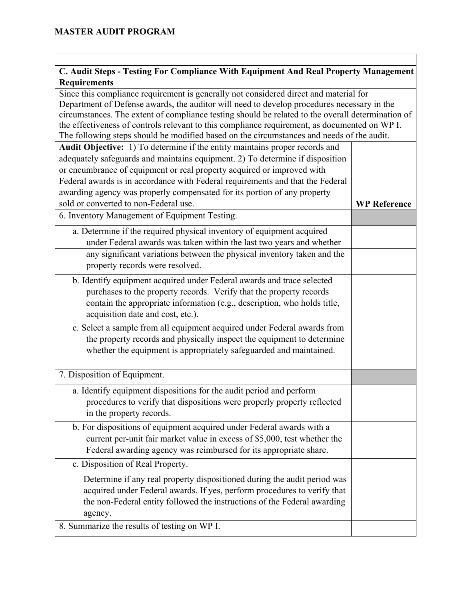### **C. Audit Steps - Testing For Compliance With Equipment And Real Property Management Requirements**

Since this compliance requirement is generally not considered direct and material for Department of Defense awards, the auditor will need to develop procedures necessary in the circumstances. The extent of compliance testing should be related to the overall determination of the effectiveness of controls relevant to this compliance requirement, as documented on WP I. The following steps should be modified based on the circumstances and needs of the audit. **Audit Objective:** 1) To determine if the entity maintains proper records and adequately safeguards and maintains equipment. 2) To determine if disposition or encumbrance of equipment or real property acquired or improved with Federal awards is in accordance with Federal requirements and that the Federal awarding agency was properly compensated for its portion of any property sold or converted to non-Federal use. **WP Reference** 6. Inventory Management of Equipment Testing. a. Determine if the required physical inventory of equipment acquired under Federal awards was taken within the last two years and whether any significant variations between the physical inventory taken and the property records were resolved. b. Identify equipment acquired under Federal awards and trace selected purchases to the property records. Verify that the property records contain the appropriate information (e.g., description, who holds title, acquisition date and cost, etc.). c. Select a sample from all equipment acquired under Federal awards from the property records and physically inspect the equipment to determine whether the equipment is appropriately safeguarded and maintained. 7. Disposition of Equipment. a. Identify equipment dispositions for the audit period and perform procedures to verify that dispositions were properly property reflected in the property records. b. For dispositions of equipment acquired under Federal awards with a current per-unit fair market value in excess of \$5,000, test whether the Federal awarding agency was reimbursed for its appropriate share. c. Disposition of Real Property. Determine if any real property dispositioned during the audit period was acquired under Federal awards. If yes, perform procedures to verify that the non-Federal entity followed the instructions of the Federal awarding agency. 8. Summarize the results of testing on WP I.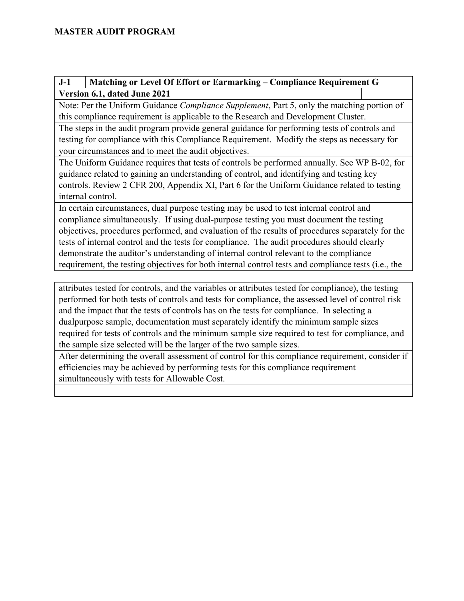## **J-1 Matching or Level Of Effort or Earmarking – Compliance Requirement G Version 6.1, dated June 2021**

Note: Per the Uniform Guidance *Compliance Supplement*, Part 5, only the matching portion of this compliance requirement is applicable to the Research and Development Cluster.

The steps in the audit program provide general guidance for performing tests of controls and testing for compliance with this Compliance Requirement. Modify the steps as necessary for your circumstances and to meet the audit objectives.

The Uniform Guidance requires that tests of controls be performed annually. See WP B-02, for guidance related to gaining an understanding of control, and identifying and testing key controls. Review 2 CFR 200, Appendix XI, Part 6 for the Uniform Guidance related to testing internal control.

In certain circumstances, dual purpose testing may be used to test internal control and compliance simultaneously. If using dual-purpose testing you must document the testing objectives, procedures performed, and evaluation of the results of procedures separately for the tests of internal control and the tests for compliance. The audit procedures should clearly demonstrate the auditor's understanding of internal control relevant to the compliance requirement, the testing objectives for both internal control tests and compliance tests (i.e., the

attributes tested for controls, and the variables or attributes tested for compliance), the testing performed for both tests of controls and tests for compliance, the assessed level of control risk and the impact that the tests of controls has on the tests for compliance. In selecting a dualpurpose sample, documentation must separately identify the minimum sample sizes required for tests of controls and the minimum sample size required to test for compliance, and the sample size selected will be the larger of the two sample sizes.

After determining the overall assessment of control for this compliance requirement, consider if efficiencies may be achieved by performing tests for this compliance requirement simultaneously with tests for Allowable Cost.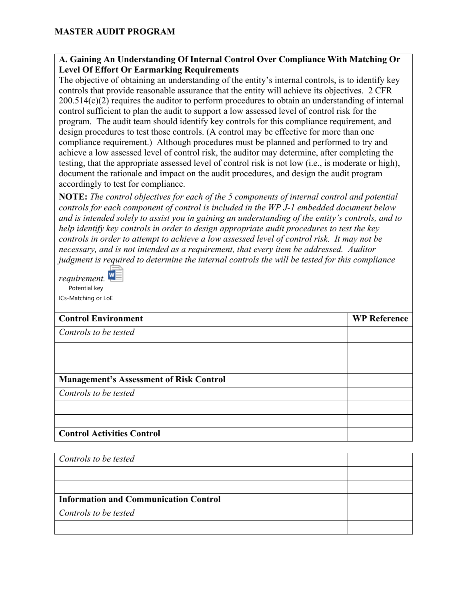#### **A. Gaining An Understanding Of Internal Control Over Compliance With Matching Or Level Of Effort Or Earmarking Requirements**

The objective of obtaining an understanding of the entity's internal controls, is to identify key controls that provide reasonable assurance that the entity will achieve its objectives. 2 CFR 200.514(c)(2) requires the auditor to perform procedures to obtain an understanding of internal control sufficient to plan the audit to support a low assessed level of control risk for the program. The audit team should identify key controls for this compliance requirement, and design procedures to test those controls. (A control may be effective for more than one compliance requirement.) Although procedures must be planned and performed to try and achieve a low assessed level of control risk, the auditor may determine, after completing the testing, that the appropriate assessed level of control risk is not low (i.e., is moderate or high), document the rationale and impact on the audit procedures, and design the audit program accordingly to test for compliance.

**NOTE:** *The control objectives for each of the 5 components of internal control and potential controls for each component of control is included in the WP J-1 embedded document below and is intended solely to assist you in gaining an understanding of the entity's controls, and to help identify key controls in order to design appropriate audit procedures to test the key controls in order to attempt to achieve a low assessed level of control risk. It may not be necessary, and is not intended as a requirement, that every item be addressed. Auditor judgment is required to determine the internal controls the will be tested for this compliance* 

*requirement.*  Potential key ICs-Matching or LoE

| <b>Control Environment</b>                     | <b>WP Reference</b> |
|------------------------------------------------|---------------------|
| Controls to be tested                          |                     |
|                                                |                     |
|                                                |                     |
| <b>Management's Assessment of Risk Control</b> |                     |
| Controls to be tested                          |                     |
|                                                |                     |
|                                                |                     |
| <b>Control Activities Control</b>              |                     |

| Controls to be tested                        |  |
|----------------------------------------------|--|
|                                              |  |
|                                              |  |
| <b>Information and Communication Control</b> |  |
| Controls to be tested                        |  |
|                                              |  |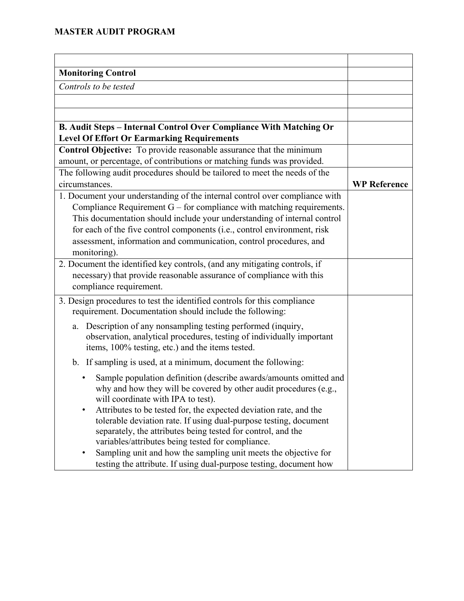| <b>Monitoring Control</b>                                                   |                     |
|-----------------------------------------------------------------------------|---------------------|
| Controls to be tested                                                       |                     |
|                                                                             |                     |
|                                                                             |                     |
| B. Audit Steps - Internal Control Over Compliance With Matching Or          |                     |
| <b>Level Of Effort Or Earmarking Requirements</b>                           |                     |
| Control Objective: To provide reasonable assurance that the minimum         |                     |
| amount, or percentage, of contributions or matching funds was provided.     |                     |
| The following audit procedures should be tailored to meet the needs of the  |                     |
| circumstances.                                                              | <b>WP Reference</b> |
| 1. Document your understanding of the internal control over compliance with |                     |
| Compliance Requirement $G$ – for compliance with matching requirements.     |                     |
| This documentation should include your understanding of internal control    |                     |
| for each of the five control components (i.e., control environment, risk    |                     |
| assessment, information and communication, control procedures, and          |                     |
| monitoring).                                                                |                     |
| 2. Document the identified key controls, (and any mitigating controls, if   |                     |
| necessary) that provide reasonable assurance of compliance with this        |                     |
| compliance requirement.                                                     |                     |
| 3. Design procedures to test the identified controls for this compliance    |                     |
| requirement. Documentation should include the following:                    |                     |
| Description of any nonsampling testing performed (inquiry,<br>a.            |                     |
| observation, analytical procedures, testing of individually important       |                     |
| items, 100% testing, etc.) and the items tested.                            |                     |
| b. If sampling is used, at a minimum, document the following:               |                     |
| Sample population definition (describe awards/amounts omitted and           |                     |
| why and how they will be covered by other audit procedures (e.g.,           |                     |
| will coordinate with IPA to test).                                          |                     |
| Attributes to be tested for, the expected deviation rate, and the           |                     |
| tolerable deviation rate. If using dual-purpose testing, document           |                     |
| separately, the attributes being tested for control, and the                |                     |
| variables/attributes being tested for compliance.                           |                     |
| Sampling unit and how the sampling unit meets the objective for<br>٠        |                     |
| testing the attribute. If using dual-purpose testing, document how          |                     |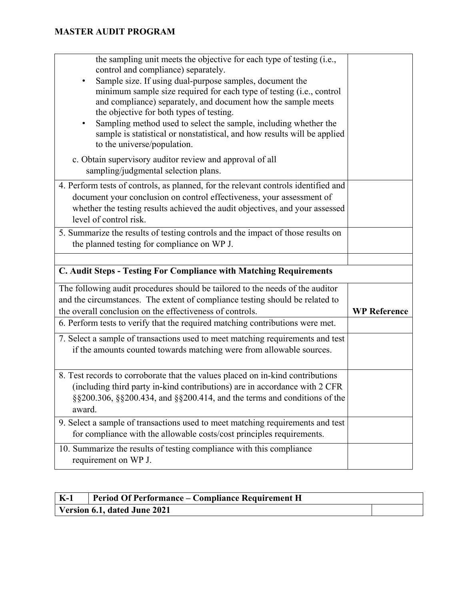| the sampling unit meets the objective for each type of testing (i.e.,<br>control and compliance) separately.<br>Sample size. If using dual-purpose samples, document the<br>minimum sample size required for each type of testing (i.e., control<br>and compliance) separately, and document how the sample meets |                     |
|-------------------------------------------------------------------------------------------------------------------------------------------------------------------------------------------------------------------------------------------------------------------------------------------------------------------|---------------------|
| the objective for both types of testing.<br>Sampling method used to select the sample, including whether the<br>٠<br>sample is statistical or nonstatistical, and how results will be applied<br>to the universe/population.                                                                                      |                     |
| c. Obtain supervisory auditor review and approval of all<br>sampling/judgmental selection plans.                                                                                                                                                                                                                  |                     |
| 4. Perform tests of controls, as planned, for the relevant controls identified and<br>document your conclusion on control effectiveness, your assessment of<br>whether the testing results achieved the audit objectives, and your assessed<br>level of control risk.                                             |                     |
| 5. Summarize the results of testing controls and the impact of those results on<br>the planned testing for compliance on WP J.                                                                                                                                                                                    |                     |
|                                                                                                                                                                                                                                                                                                                   |                     |
| C. Audit Steps - Testing For Compliance with Matching Requirements                                                                                                                                                                                                                                                |                     |
| The following audit procedures should be tailored to the needs of the auditor<br>and the circumstances. The extent of compliance testing should be related to<br>the overall conclusion on the effectiveness of controls.                                                                                         | <b>WP Reference</b> |
|                                                                                                                                                                                                                                                                                                                   |                     |
| 6. Perform tests to verify that the required matching contributions were met.                                                                                                                                                                                                                                     |                     |
| 7. Select a sample of transactions used to meet matching requirements and test<br>if the amounts counted towards matching were from allowable sources.                                                                                                                                                            |                     |
| 8. Test records to corroborate that the values placed on in-kind contributions<br>(including third party in-kind contributions) are in accordance with 2 CFR<br>§§200.306, §§200.434, and §§200.414, and the terms and conditions of the<br>award.                                                                |                     |
| 9. Select a sample of transactions used to meet matching requirements and test<br>for compliance with the allowable costs/cost principles requirements.                                                                                                                                                           |                     |

| $K-1$ | Period Of Performance – Compliance Requirement H |  |
|-------|--------------------------------------------------|--|
|       | Version 6.1, dated June 2021                     |  |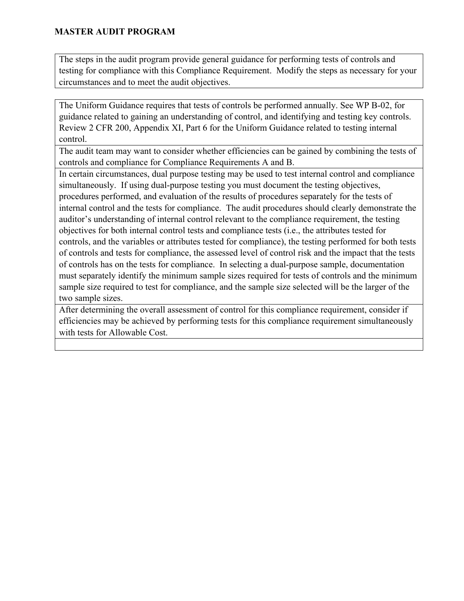The steps in the audit program provide general guidance for performing tests of controls and testing for compliance with this Compliance Requirement. Modify the steps as necessary for your circumstances and to meet the audit objectives.

The Uniform Guidance requires that tests of controls be performed annually. See WP B-02, for guidance related to gaining an understanding of control, and identifying and testing key controls. Review 2 CFR 200, Appendix XI, Part 6 for the Uniform Guidance related to testing internal control.

The audit team may want to consider whether efficiencies can be gained by combining the tests of controls and compliance for Compliance Requirements A and B.

In certain circumstances, dual purpose testing may be used to test internal control and compliance simultaneously. If using dual-purpose testing you must document the testing objectives, procedures performed, and evaluation of the results of procedures separately for the tests of internal control and the tests for compliance. The audit procedures should clearly demonstrate the auditor's understanding of internal control relevant to the compliance requirement, the testing objectives for both internal control tests and compliance tests (i.e., the attributes tested for controls, and the variables or attributes tested for compliance), the testing performed for both tests of controls and tests for compliance, the assessed level of control risk and the impact that the tests of controls has on the tests for compliance. In selecting a dual-purpose sample, documentation must separately identify the minimum sample sizes required for tests of controls and the minimum sample size required to test for compliance, and the sample size selected will be the larger of the two sample sizes.

After determining the overall assessment of control for this compliance requirement, consider if efficiencies may be achieved by performing tests for this compliance requirement simultaneously with tests for Allowable Cost.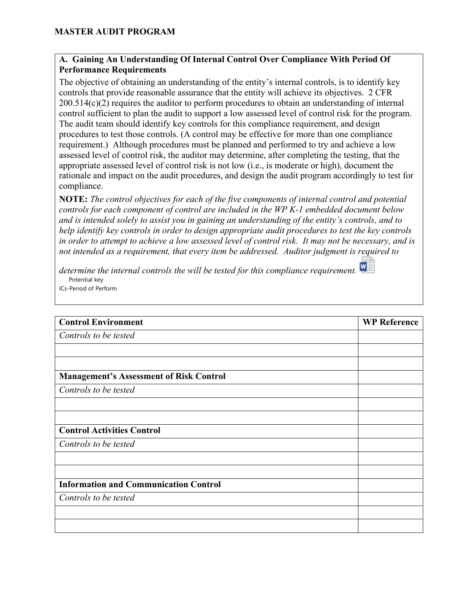#### **A. Gaining An Understanding Of Internal Control Over Compliance With Period Of Performance Requirements**

The objective of obtaining an understanding of the entity's internal controls, is to identify key controls that provide reasonable assurance that the entity will achieve its objectives. 2 CFR 200.514(c)(2) requires the auditor to perform procedures to obtain an understanding of internal control sufficient to plan the audit to support a low assessed level of control risk for the program. The audit team should identify key controls for this compliance requirement, and design procedures to test those controls. (A control may be effective for more than one compliance requirement.) Although procedures must be planned and performed to try and achieve a low assessed level of control risk, the auditor may determine, after completing the testing, that the appropriate assessed level of control risk is not low (i.e., is moderate or high), document the rationale and impact on the audit procedures, and design the audit program accordingly to test for compliance.

**NOTE:** *The control objectives for each of the five components of internal control and potential controls for each component of control are included in the WP K-1 embedded document below and is intended solely to assist you in gaining an understanding of the entity's controls, and to help identify key controls in order to design appropriate audit procedures to test the key controls in order to attempt to achieve a low assessed level of control risk. It may not be necessary, and is not intended as a requirement, that every item be addressed. Auditor judgment is required to* 

*determine the internal controls the will be tested for this compliance requirement.*  Potential key ICs-Period of Perform

| <b>Control Environment</b>                     | <b>WP Reference</b> |
|------------------------------------------------|---------------------|
| Controls to be tested                          |                     |
|                                                |                     |
|                                                |                     |
| <b>Management's Assessment of Risk Control</b> |                     |
| Controls to be tested                          |                     |
|                                                |                     |
|                                                |                     |
| <b>Control Activities Control</b>              |                     |
| Controls to be tested                          |                     |
|                                                |                     |
|                                                |                     |
| <b>Information and Communication Control</b>   |                     |
| Controls to be tested                          |                     |
|                                                |                     |
|                                                |                     |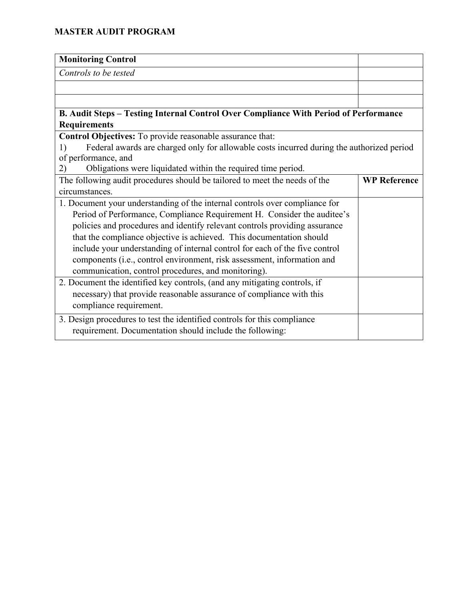| <b>Monitoring Control</b>                                                                                     |                     |
|---------------------------------------------------------------------------------------------------------------|---------------------|
| Controls to be tested                                                                                         |                     |
|                                                                                                               |                     |
|                                                                                                               |                     |
| B. Audit Steps - Testing Internal Control Over Compliance With Period of Performance                          |                     |
| <b>Requirements</b>                                                                                           |                     |
| Control Objectives: To provide reasonable assurance that:                                                     |                     |
| Federal awards are charged only for allowable costs incurred during the authorized period<br>$\left( \right)$ |                     |
| of performance, and                                                                                           |                     |
| Obligations were liquidated within the required time period.<br>(2)                                           |                     |
| The following audit procedures should be tailored to meet the needs of the                                    | <b>WP Reference</b> |
| circumstances.                                                                                                |                     |
| 1. Document your understanding of the internal controls over compliance for                                   |                     |
| Period of Performance, Compliance Requirement H. Consider the auditee's                                       |                     |
| policies and procedures and identify relevant controls providing assurance                                    |                     |
| that the compliance objective is achieved. This documentation should                                          |                     |
| include your understanding of internal control for each of the five control                                   |                     |
| components (i.e., control environment, risk assessment, information and                                       |                     |
| communication, control procedures, and monitoring).                                                           |                     |
| 2. Document the identified key controls, (and any mitigating controls, if                                     |                     |
| necessary) that provide reasonable assurance of compliance with this                                          |                     |
| compliance requirement.                                                                                       |                     |
| 3. Design procedures to test the identified controls for this compliance                                      |                     |
| requirement. Documentation should include the following:                                                      |                     |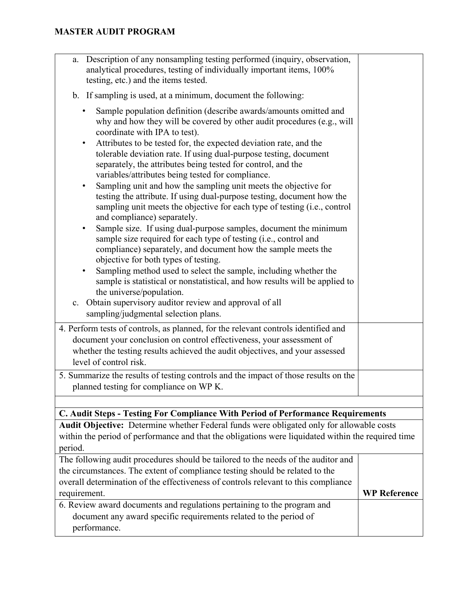| requirement.<br>6. Review award documents and regulations pertaining to the program and<br>document any award specific requirements related to the period of<br>performance.                                                                                                                                                                                                                                                                                                                                                                                                                                                                                                                                                                                                                                                                                                                                                                                                                                                                                                                                                                                                                                  | <b>WP Reference</b> |  |
|---------------------------------------------------------------------------------------------------------------------------------------------------------------------------------------------------------------------------------------------------------------------------------------------------------------------------------------------------------------------------------------------------------------------------------------------------------------------------------------------------------------------------------------------------------------------------------------------------------------------------------------------------------------------------------------------------------------------------------------------------------------------------------------------------------------------------------------------------------------------------------------------------------------------------------------------------------------------------------------------------------------------------------------------------------------------------------------------------------------------------------------------------------------------------------------------------------------|---------------------|--|
| The following audit procedures should be tailored to the needs of the auditor and<br>the circumstances. The extent of compliance testing should be related to the<br>overall determination of the effectiveness of controls relevant to this compliance                                                                                                                                                                                                                                                                                                                                                                                                                                                                                                                                                                                                                                                                                                                                                                                                                                                                                                                                                       |                     |  |
| Audit Objective: Determine whether Federal funds were obligated only for allowable costs<br>within the period of performance and that the obligations were liquidated within the required time<br>period.                                                                                                                                                                                                                                                                                                                                                                                                                                                                                                                                                                                                                                                                                                                                                                                                                                                                                                                                                                                                     |                     |  |
| C. Audit Steps - Testing For Compliance With Period of Performance Requirements                                                                                                                                                                                                                                                                                                                                                                                                                                                                                                                                                                                                                                                                                                                                                                                                                                                                                                                                                                                                                                                                                                                               |                     |  |
| 5. Summarize the results of testing controls and the impact of those results on the<br>planned testing for compliance on WP K.                                                                                                                                                                                                                                                                                                                                                                                                                                                                                                                                                                                                                                                                                                                                                                                                                                                                                                                                                                                                                                                                                |                     |  |
| 4. Perform tests of controls, as planned, for the relevant controls identified and<br>document your conclusion on control effectiveness, your assessment of<br>whether the testing results achieved the audit objectives, and your assessed<br>level of control risk.                                                                                                                                                                                                                                                                                                                                                                                                                                                                                                                                                                                                                                                                                                                                                                                                                                                                                                                                         |                     |  |
| why and how they will be covered by other audit procedures (e.g., will<br>coordinate with IPA to test).<br>Attributes to be tested for, the expected deviation rate, and the<br>$\bullet$<br>tolerable deviation rate. If using dual-purpose testing, document<br>separately, the attributes being tested for control, and the<br>variables/attributes being tested for compliance.<br>Sampling unit and how the sampling unit meets the objective for<br>$\bullet$<br>testing the attribute. If using dual-purpose testing, document how the<br>sampling unit meets the objective for each type of testing (i.e., control<br>and compliance) separately.<br>Sample size. If using dual-purpose samples, document the minimum<br>$\bullet$<br>sample size required for each type of testing (i.e., control and<br>compliance) separately, and document how the sample meets the<br>objective for both types of testing.<br>Sampling method used to select the sample, including whether the<br>sample is statistical or nonstatistical, and how results will be applied to<br>the universe/population.<br>Obtain supervisory auditor review and approval of all<br>c.<br>sampling/judgmental selection plans. |                     |  |
| b. If sampling is used, at a minimum, document the following:<br>Sample population definition (describe awards/amounts omitted and<br>٠                                                                                                                                                                                                                                                                                                                                                                                                                                                                                                                                                                                                                                                                                                                                                                                                                                                                                                                                                                                                                                                                       |                     |  |
| Description of any nonsampling testing performed (inquiry, observation,<br>a.<br>analytical procedures, testing of individually important items, 100%<br>testing, etc.) and the items tested.                                                                                                                                                                                                                                                                                                                                                                                                                                                                                                                                                                                                                                                                                                                                                                                                                                                                                                                                                                                                                 |                     |  |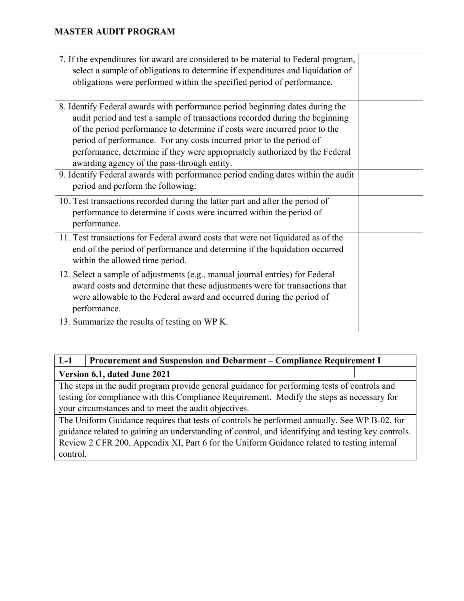| 7. If the expenditures for award are considered to be material to Federal program, |  |  |
|------------------------------------------------------------------------------------|--|--|
| select a sample of obligations to determine if expenditures and liquidation of     |  |  |
| obligations were performed within the specified period of performance.             |  |  |
|                                                                                    |  |  |
| 8. Identify Federal awards with performance period beginning dates during the      |  |  |
| audit period and test a sample of transactions recorded during the beginning       |  |  |
| of the period performance to determine if costs were incurred prior to the         |  |  |
| period of performance. For any costs incurred prior to the period of               |  |  |
| performance, determine if they were appropriately authorized by the Federal        |  |  |
| awarding agency of the pass-through entity.                                        |  |  |
| 9. Identify Federal awards with performance period ending dates within the audit   |  |  |
| period and perform the following:                                                  |  |  |
| 10. Test transactions recorded during the latter part and after the period of      |  |  |
| performance to determine if costs were incurred within the period of               |  |  |
| performance.                                                                       |  |  |
| 11. Test transactions for Federal award costs that were not liquidated as of the   |  |  |
| end of the period of performance and determine if the liquidation occurred         |  |  |
| within the allowed time period.                                                    |  |  |
| 12. Select a sample of adjustments (e.g., manual journal entries) for Federal      |  |  |
| award costs and determine that these adjustments were for transactions that        |  |  |
| were allowable to the Federal award and occurred during the period of              |  |  |
| performance.                                                                       |  |  |
| 13. Summarize the results of testing on WP K.                                      |  |  |
|                                                                                    |  |  |

## **L-1 Procurement and Suspension and Debarment – Compliance Requirement I Version 6.1, dated June 2021**

The steps in the audit program provide general guidance for performing tests of controls and testing for compliance with this Compliance Requirement. Modify the steps as necessary for your circumstances and to meet the audit objectives.

The Uniform Guidance requires that tests of controls be performed annually. See WP B-02, for guidance related to gaining an understanding of control, and identifying and testing key controls. Review 2 CFR 200, Appendix XI, Part 6 for the Uniform Guidance related to testing internal control.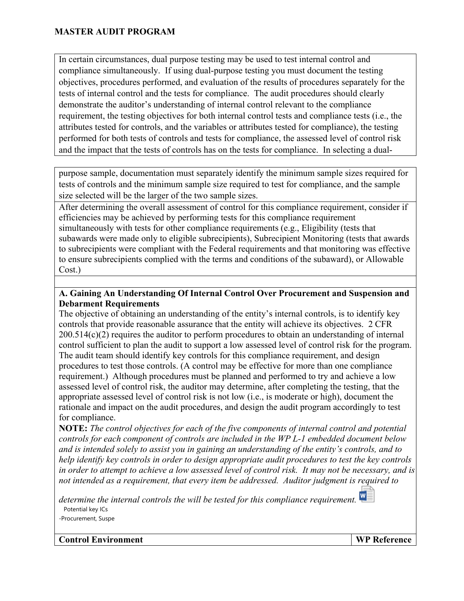In certain circumstances, dual purpose testing may be used to test internal control and compliance simultaneously. If using dual-purpose testing you must document the testing objectives, procedures performed, and evaluation of the results of procedures separately for the tests of internal control and the tests for compliance. The audit procedures should clearly demonstrate the auditor's understanding of internal control relevant to the compliance requirement, the testing objectives for both internal control tests and compliance tests (i.e., the attributes tested for controls, and the variables or attributes tested for compliance), the testing performed for both tests of controls and tests for compliance, the assessed level of control risk and the impact that the tests of controls has on the tests for compliance. In selecting a dual-

purpose sample, documentation must separately identify the minimum sample sizes required for tests of controls and the minimum sample size required to test for compliance, and the sample size selected will be the larger of the two sample sizes.

After determining the overall assessment of control for this compliance requirement, consider if efficiencies may be achieved by performing tests for this compliance requirement simultaneously with tests for other compliance requirements (e.g., Eligibility (tests that subawards were made only to eligible subrecipients), Subrecipient Monitoring (tests that awards to subrecipients were compliant with the Federal requirements and that monitoring was effective to ensure subrecipients complied with the terms and conditions of the subaward), or Allowable Cost.)

### **A. Gaining An Understanding Of Internal Control Over Procurement and Suspension and Debarment Requirements**

The objective of obtaining an understanding of the entity's internal controls, is to identify key controls that provide reasonable assurance that the entity will achieve its objectives. 2 CFR 200.514(c)(2) requires the auditor to perform procedures to obtain an understanding of internal control sufficient to plan the audit to support a low assessed level of control risk for the program. The audit team should identify key controls for this compliance requirement, and design procedures to test those controls. (A control may be effective for more than one compliance requirement.) Although procedures must be planned and performed to try and achieve a low assessed level of control risk, the auditor may determine, after completing the testing, that the appropriate assessed level of control risk is not low (i.e., is moderate or high), document the rationale and impact on the audit procedures, and design the audit program accordingly to test for compliance.

**NOTE:** *The control objectives for each of the five components of internal control and potential controls for each component of controls are included in the WP L-1 embedded document below and is intended solely to assist you in gaining an understanding of the entity's controls, and to help identify key controls in order to design appropriate audit procedures to test the key controls in order to attempt to achieve a low assessed level of control risk. It may not be necessary, and is not intended as a requirement, that every item be addressed. Auditor judgment is required to* 

*determine the internal controls the will be tested for this compliance requirement.*  Potential key ICs -Procurement, Suspe



**Control Environment WP Reference**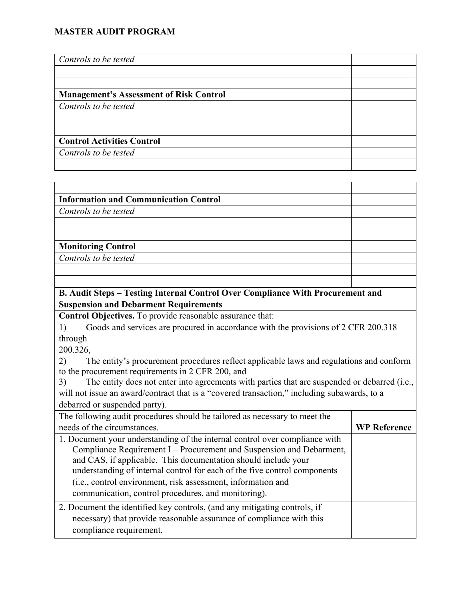| Controls to be tested                          |  |
|------------------------------------------------|--|
|                                                |  |
|                                                |  |
| <b>Management's Assessment of Risk Control</b> |  |
| Controls to be tested                          |  |
|                                                |  |
|                                                |  |
| <b>Control Activities Control</b>              |  |
| Controls to be tested                          |  |
|                                                |  |

| <b>Information and Communication Control</b> |  |
|----------------------------------------------|--|
| Controls to be tested                        |  |
|                                              |  |
|                                              |  |
| <b>Monitoring Control</b>                    |  |
| Controls to be tested                        |  |
|                                              |  |
|                                              |  |

#### **B. Audit Steps – Testing Internal Control Over Compliance With Procurement and Suspension and Debarment Requirements**

**Control Objectives.** To provide reasonable assurance that:

1) Goods and services are procured in accordance with the provisions of 2 CFR 200.318 through

200.326,

2) The entity's procurement procedures reflect applicable laws and regulations and conform to the procurement requirements in 2 CFR 200, and

3) The entity does not enter into agreements with parties that are suspended or debarred (i.e., will not issue an award/contract that is a "covered transaction," including subawards, to a debarred or suspended party).

| The following audit procedures should be tailored as necessary to meet the                                                                                                                                                                                                                                                                                                                                                |                     |  |
|---------------------------------------------------------------------------------------------------------------------------------------------------------------------------------------------------------------------------------------------------------------------------------------------------------------------------------------------------------------------------------------------------------------------------|---------------------|--|
| needs of the circumstances.                                                                                                                                                                                                                                                                                                                                                                                               | <b>WP Reference</b> |  |
| 1. Document your understanding of the internal control over compliance with<br>Compliance Requirement I – Procurement and Suspension and Debarment,<br>and CAS, if applicable. This documentation should include your<br>understanding of internal control for each of the five control components<br>(i.e., control environment, risk assessment, information and<br>communication, control procedures, and monitoring). |                     |  |
| 2. Document the identified key controls, (and any mitigating controls, if<br>necessary) that provide reasonable assurance of compliance with this<br>compliance requirement.                                                                                                                                                                                                                                              |                     |  |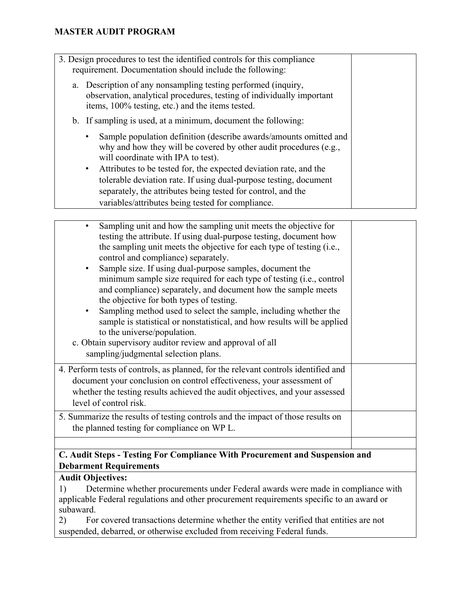| 3. Design procedures to test the identified controls for this compliance<br>requirement. Documentation should include the following:                                                       |  |
|--------------------------------------------------------------------------------------------------------------------------------------------------------------------------------------------|--|
| a. Description of any nonsampling testing performed (inquiry,<br>observation, analytical procedures, testing of individually important<br>items, 100% testing, etc.) and the items tested. |  |
| b. If sampling is used, at a minimum, document the following:                                                                                                                              |  |
| Sample population definition (describe awards/amounts omitted and<br>why and how they will be covered by other audit procedures (e.g.,<br>will coordinate with IPA to test).               |  |
| Attributes to be tested for, the expected deviation rate, and the<br>$\bullet$                                                                                                             |  |
| tolerable deviation rate. If using dual-purpose testing, document                                                                                                                          |  |
| separately, the attributes being tested for control, and the                                                                                                                               |  |
| variables/attributes being tested for compliance.                                                                                                                                          |  |

| Sampling unit and how the sampling unit meets the objective for<br>testing the attribute. If using dual-purpose testing, document how<br>the sampling unit meets the objective for each type of testing (i.e.,<br>control and compliance) separately.<br>Sample size. If using dual-purpose samples, document the<br>minimum sample size required for each type of testing (i.e., control<br>and compliance) separately, and document how the sample meets<br>the objective for both types of testing.<br>Sampling method used to select the sample, including whether the<br>sample is statistical or nonstatistical, and how results will be applied<br>to the universe/population.<br>c. Obtain supervisory auditor review and approval of all<br>sampling/judgmental selection plans. |  |
|-------------------------------------------------------------------------------------------------------------------------------------------------------------------------------------------------------------------------------------------------------------------------------------------------------------------------------------------------------------------------------------------------------------------------------------------------------------------------------------------------------------------------------------------------------------------------------------------------------------------------------------------------------------------------------------------------------------------------------------------------------------------------------------------|--|
| 4. Perform tests of controls, as planned, for the relevant controls identified and<br>document your conclusion on control effectiveness, your assessment of<br>whether the testing results achieved the audit objectives, and your assessed<br>level of control risk.<br>5. Summarize the results of testing controls and the impact of those results on                                                                                                                                                                                                                                                                                                                                                                                                                                  |  |
| the planned testing for compliance on WP L.                                                                                                                                                                                                                                                                                                                                                                                                                                                                                                                                                                                                                                                                                                                                               |  |
|                                                                                                                                                                                                                                                                                                                                                                                                                                                                                                                                                                                                                                                                                                                                                                                           |  |

### **C. Audit Steps - Testing For Compliance With Procurement and Suspension and Debarment Requirements**

# **Audit Objectives:**

1) Determine whether procurements under Federal awards were made in compliance with applicable Federal regulations and other procurement requirements specific to an award or subaward.

2) For covered transactions determine whether the entity verified that entities are not suspended, debarred, or otherwise excluded from receiving Federal funds.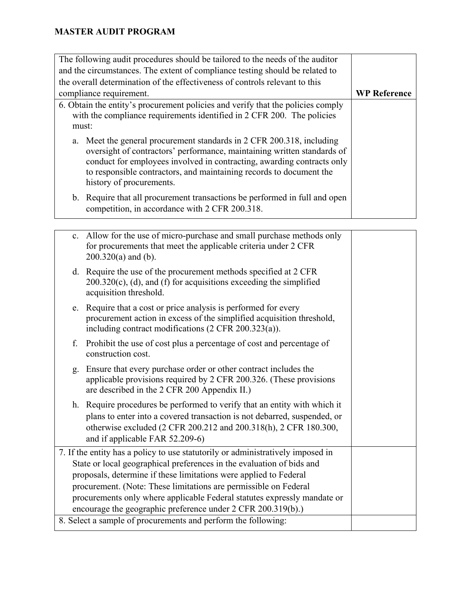| The following audit procedures should be tailored to the needs of the auditor<br>and the circumstances. The extent of compliance testing should be related to                                                                                                                                                                 |                     |
|-------------------------------------------------------------------------------------------------------------------------------------------------------------------------------------------------------------------------------------------------------------------------------------------------------------------------------|---------------------|
| the overall determination of the effectiveness of controls relevant to this                                                                                                                                                                                                                                                   |                     |
| compliance requirement.                                                                                                                                                                                                                                                                                                       | <b>WP Reference</b> |
| 6. Obtain the entity's procurement policies and verify that the policies comply<br>with the compliance requirements identified in 2 CFR 200. The policies<br>must:                                                                                                                                                            |                     |
| a. Meet the general procurement standards in 2 CFR 200.318, including<br>oversight of contractors' performance, maintaining written standards of<br>conduct for employees involved in contracting, awarding contracts only<br>to responsible contractors, and maintaining records to document the<br>history of procurements. |                     |
| b. Require that all procurement transactions be performed in full and open<br>competition, in accordance with 2 CFR 200.318.                                                                                                                                                                                                  |                     |

|                                                                                                                                          | c. Allow for the use of micro-purchase and small purchase methods only<br>for procurements that meet the applicable criteria under 2 CFR<br>$200.320(a)$ and (b).                                                                                            |  |
|------------------------------------------------------------------------------------------------------------------------------------------|--------------------------------------------------------------------------------------------------------------------------------------------------------------------------------------------------------------------------------------------------------------|--|
|                                                                                                                                          | d. Require the use of the procurement methods specified at 2 CFR<br>$200.320(c)$ , (d), and (f) for acquisitions exceeding the simplified<br>acquisition threshold.                                                                                          |  |
|                                                                                                                                          | e. Require that a cost or price analysis is performed for every<br>procurement action in excess of the simplified acquisition threshold,<br>including contract modifications $(2 \text{ CFR } 200.323(a))$ .                                                 |  |
| f.                                                                                                                                       | Prohibit the use of cost plus a percentage of cost and percentage of<br>construction cost.                                                                                                                                                                   |  |
| g.                                                                                                                                       | Ensure that every purchase order or other contract includes the<br>applicable provisions required by 2 CFR 200.326. (These provisions<br>are described in the 2 CFR 200 Appendix II.)                                                                        |  |
|                                                                                                                                          | h. Require procedures be performed to verify that an entity with which it<br>plans to enter into a covered transaction is not debarred, suspended, or<br>otherwise excluded (2 CFR 200.212 and 200.318(h), 2 CFR 180.300,<br>and if applicable FAR 52.209-6) |  |
| 7. If the entity has a policy to use statutorily or administratively imposed in                                                          |                                                                                                                                                                                                                                                              |  |
|                                                                                                                                          | State or local geographical preferences in the evaluation of bids and                                                                                                                                                                                        |  |
|                                                                                                                                          | proposals, determine if these limitations were applied to Federal                                                                                                                                                                                            |  |
| procurement. (Note: These limitations are permissible on Federal                                                                         |                                                                                                                                                                                                                                                              |  |
| procurements only where applicable Federal statutes expressly mandate or<br>encourage the geographic preference under 2 CFR 200.319(b).) |                                                                                                                                                                                                                                                              |  |
|                                                                                                                                          | 8. Select a sample of procurements and perform the following:                                                                                                                                                                                                |  |
|                                                                                                                                          |                                                                                                                                                                                                                                                              |  |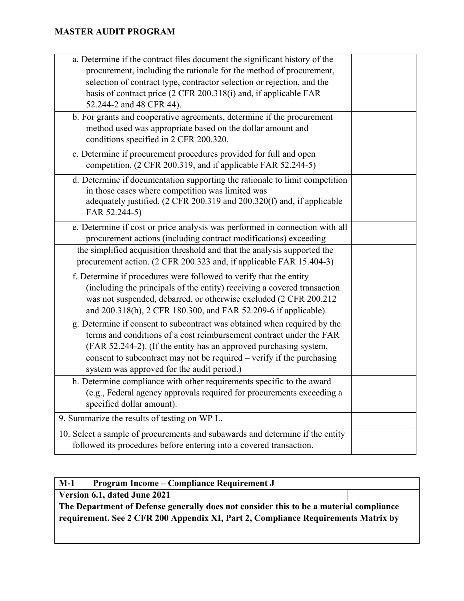| a. Determine if the contract files document the significant history of the<br>procurement, including the rationale for the method of procurement,<br>selection of contract type, contractor selection or rejection, and the<br>basis of contract price (2 CFR 200.318(i) and, if applicable FAR<br>52.244-2 and 48 CFR 44).                 |  |
|---------------------------------------------------------------------------------------------------------------------------------------------------------------------------------------------------------------------------------------------------------------------------------------------------------------------------------------------|--|
| b. For grants and cooperative agreements, determine if the procurement<br>method used was appropriate based on the dollar amount and<br>conditions specified in 2 CFR 200.320.                                                                                                                                                              |  |
| c. Determine if procurement procedures provided for full and open<br>competition. (2 CFR 200.319, and if applicable FAR 52.244-5)                                                                                                                                                                                                           |  |
| d. Determine if documentation supporting the rationale to limit competition<br>in those cases where competition was limited was<br>adequately justified. (2 CFR 200.319 and 200.320(f) and, if applicable<br>FAR 52.244-5)                                                                                                                  |  |
| e. Determine if cost or price analysis was performed in connection with all<br>procurement actions (including contract modifications) exceeding                                                                                                                                                                                             |  |
| the simplified acquisition threshold and that the analysis supported the<br>procurement action. (2 CFR 200.323 and, if applicable FAR 15.404-3)                                                                                                                                                                                             |  |
| f. Determine if procedures were followed to verify that the entity<br>(including the principals of the entity) receiving a covered transaction<br>was not suspended, debarred, or otherwise excluded (2 CFR 200.212<br>and 200.318(h), 2 CFR 180.300, and FAR 52.209-6 if applicable).                                                      |  |
| g. Determine if consent to subcontract was obtained when required by the<br>terms and conditions of a cost reimbursement contract under the FAR<br>(FAR 52.244-2). (If the entity has an approved purchasing system,<br>consent to subcontract may not be required – verify if the purchasing<br>system was approved for the audit period.) |  |
| h. Determine compliance with other requirements specific to the award<br>(e.g., Federal agency approvals required for procurements exceeding a<br>specified dollar amount).                                                                                                                                                                 |  |
| 9. Summarize the results of testing on WP L.                                                                                                                                                                                                                                                                                                |  |
| 10. Select a sample of procurements and subawards and determine if the entity<br>followed its procedures before entering into a covered transaction.                                                                                                                                                                                        |  |

| $M-1$                                                                                                                                                                       | Program Income – Compliance Requirement J |  |
|-----------------------------------------------------------------------------------------------------------------------------------------------------------------------------|-------------------------------------------|--|
|                                                                                                                                                                             | Version 6.1, dated June 2021              |  |
| The Department of Defense generally does not consider this to be a material compliance<br>requirement. See 2 CFR 200 Appendix XI, Part 2, Compliance Requirements Matrix by |                                           |  |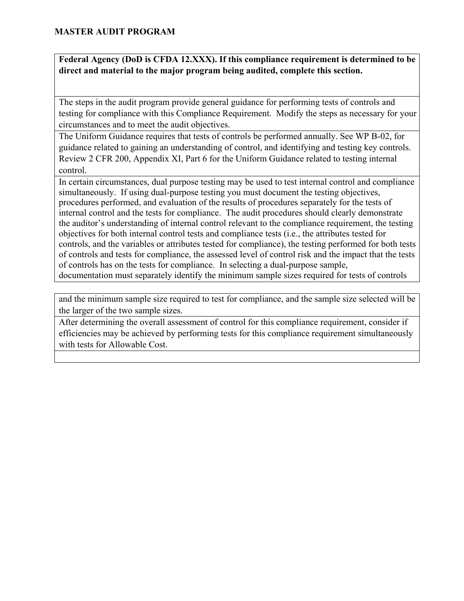**Federal Agency (DoD is CFDA 12.XXX). If this compliance requirement is determined to be direct and material to the major program being audited, complete this section.** 

The steps in the audit program provide general guidance for performing tests of controls and testing for compliance with this Compliance Requirement. Modify the steps as necessary for your circumstances and to meet the audit objectives.

The Uniform Guidance requires that tests of controls be performed annually. See WP B-02, for guidance related to gaining an understanding of control, and identifying and testing key controls. Review 2 CFR 200, Appendix XI, Part 6 for the Uniform Guidance related to testing internal control.

In certain circumstances, dual purpose testing may be used to test internal control and compliance simultaneously. If using dual-purpose testing you must document the testing objectives, procedures performed, and evaluation of the results of procedures separately for the tests of internal control and the tests for compliance. The audit procedures should clearly demonstrate the auditor's understanding of internal control relevant to the compliance requirement, the testing objectives for both internal control tests and compliance tests (i.e., the attributes tested for controls, and the variables or attributes tested for compliance), the testing performed for both tests of controls and tests for compliance, the assessed level of control risk and the impact that the tests of controls has on the tests for compliance. In selecting a dual-purpose sample, documentation must separately identify the minimum sample sizes required for tests of controls

and the minimum sample size required to test for compliance, and the sample size selected will be the larger of the two sample sizes.

After determining the overall assessment of control for this compliance requirement, consider if efficiencies may be achieved by performing tests for this compliance requirement simultaneously with tests for Allowable Cost.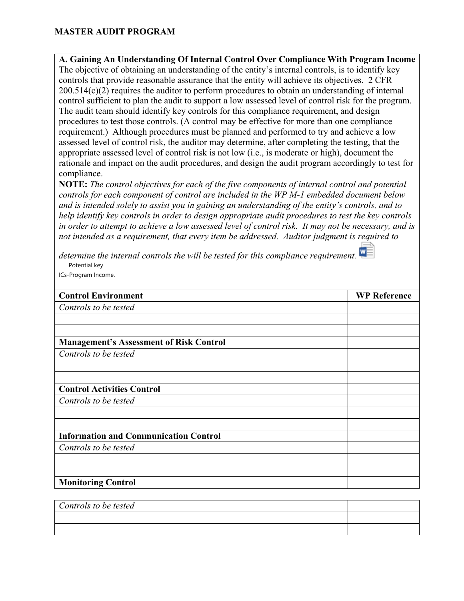**A. Gaining An Understanding Of Internal Control Over Compliance With Program Income** The objective of obtaining an understanding of the entity's internal controls, is to identify key controls that provide reasonable assurance that the entity will achieve its objectives. 2 CFR 200.514(c)(2) requires the auditor to perform procedures to obtain an understanding of internal control sufficient to plan the audit to support a low assessed level of control risk for the program. The audit team should identify key controls for this compliance requirement, and design procedures to test those controls. (A control may be effective for more than one compliance requirement.) Although procedures must be planned and performed to try and achieve a low assessed level of control risk, the auditor may determine, after completing the testing, that the appropriate assessed level of control risk is not low (i.e., is moderate or high), document the rationale and impact on the audit procedures, and design the audit program accordingly to test for compliance.

**NOTE:** *The control objectives for each of the five components of internal control and potential controls for each component of control are included in the WP M-1 embedded document below and is intended solely to assist you in gaining an understanding of the entity's controls, and to help identify key controls in order to design appropriate audit procedures to test the key controls in order to attempt to achieve a low assessed level of control risk. It may not be necessary, and is not intended as a requirement, that every item be addressed. Auditor judgment is required to* 

*determine the internal controls the will be tested for this compliance requirement.*  Potential key ICs-Program Income.

| <b>Control Environment</b>                     | <b>WP Reference</b> |
|------------------------------------------------|---------------------|
| Controls to be tested                          |                     |
|                                                |                     |
|                                                |                     |
| <b>Management's Assessment of Risk Control</b> |                     |
| Controls to be tested                          |                     |
|                                                |                     |
|                                                |                     |
| <b>Control Activities Control</b>              |                     |
| Controls to be tested                          |                     |
|                                                |                     |
|                                                |                     |
| <b>Information and Communication Control</b>   |                     |
| Controls to be tested                          |                     |
|                                                |                     |
|                                                |                     |
| <b>Monitoring Control</b>                      |                     |

| Controls to be tested |  |
|-----------------------|--|
|                       |  |
|                       |  |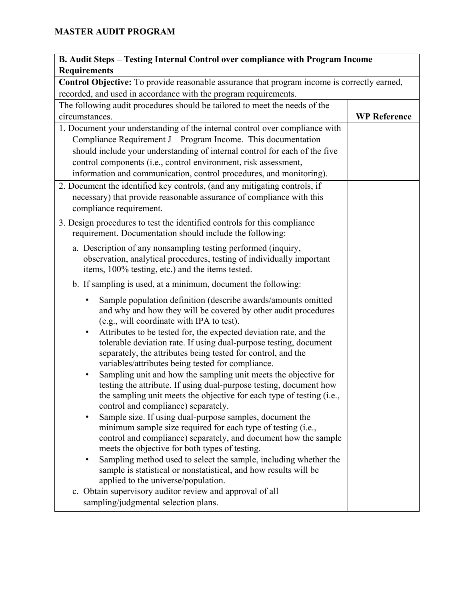| B. Audit Steps - Testing Internal Control over compliance with Program Income                                                     |                     |  |
|-----------------------------------------------------------------------------------------------------------------------------------|---------------------|--|
| <b>Requirements</b>                                                                                                               |                     |  |
| Control Objective: To provide reasonable assurance that program income is correctly earned,                                       |                     |  |
| recorded, and used in accordance with the program requirements.                                                                   |                     |  |
| The following audit procedures should be tailored to meet the needs of the                                                        |                     |  |
| circumstances.                                                                                                                    | <b>WP Reference</b> |  |
| 1. Document your understanding of the internal control over compliance with                                                       |                     |  |
| Compliance Requirement $J - Program$ Income. This documentation                                                                   |                     |  |
| should include your understanding of internal control for each of the five                                                        |                     |  |
| control components (i.e., control environment, risk assessment,                                                                   |                     |  |
| information and communication, control procedures, and monitoring).                                                               |                     |  |
| 2. Document the identified key controls, (and any mitigating controls, if                                                         |                     |  |
| necessary) that provide reasonable assurance of compliance with this                                                              |                     |  |
| compliance requirement.                                                                                                           |                     |  |
| 3. Design procedures to test the identified controls for this compliance                                                          |                     |  |
| requirement. Documentation should include the following:                                                                          |                     |  |
| a. Description of any nonsampling testing performed (inquiry,                                                                     |                     |  |
| observation, analytical procedures, testing of individually important                                                             |                     |  |
| items, 100% testing, etc.) and the items tested.                                                                                  |                     |  |
| b. If sampling is used, at a minimum, document the following:                                                                     |                     |  |
| Sample population definition (describe awards/amounts omitted                                                                     |                     |  |
| and why and how they will be covered by other audit procedures                                                                    |                     |  |
| (e.g., will coordinate with IPA to test).                                                                                         |                     |  |
| Attributes to be tested for, the expected deviation rate, and the<br>$\bullet$                                                    |                     |  |
| tolerable deviation rate. If using dual-purpose testing, document<br>separately, the attributes being tested for control, and the |                     |  |
| variables/attributes being tested for compliance.                                                                                 |                     |  |
| Sampling unit and how the sampling unit meets the objective for<br>٠                                                              |                     |  |
| testing the attribute. If using dual-purpose testing, document how                                                                |                     |  |
| the sampling unit meets the objective for each type of testing (i.e.,                                                             |                     |  |
| control and compliance) separately.                                                                                               |                     |  |
| Sample size. If using dual-purpose samples, document the                                                                          |                     |  |
| minimum sample size required for each type of testing (i.e.,                                                                      |                     |  |
| control and compliance) separately, and document how the sample<br>meets the objective for both types of testing.                 |                     |  |
| Sampling method used to select the sample, including whether the<br>$\bullet$                                                     |                     |  |
| sample is statistical or nonstatistical, and how results will be                                                                  |                     |  |
| applied to the universe/population.                                                                                               |                     |  |
| c. Obtain supervisory auditor review and approval of all                                                                          |                     |  |
| sampling/judgmental selection plans.                                                                                              |                     |  |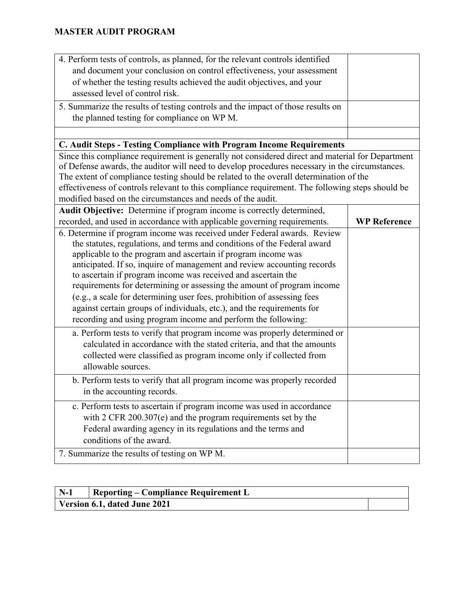| 4. Perform tests of controls, as planned, for the relevant controls identified                   |                     |
|--------------------------------------------------------------------------------------------------|---------------------|
| and document your conclusion on control effectiveness, your assessment                           |                     |
| of whether the testing results achieved the audit objectives, and your                           |                     |
| assessed level of control risk.                                                                  |                     |
| 5. Summarize the results of testing controls and the impact of those results on                  |                     |
| the planned testing for compliance on WP M.                                                      |                     |
|                                                                                                  |                     |
| C. Audit Steps - Testing Compliance with Program Income Requirements                             |                     |
| Since this compliance requirement is generally not considered direct and material for Department |                     |
| of Defense awards, the auditor will need to develop procedures necessary in the circumstances.   |                     |
| The extent of compliance testing should be related to the overall determination of the           |                     |
| effectiveness of controls relevant to this compliance requirement. The following steps should be |                     |
| modified based on the circumstances and needs of the audit.                                      |                     |
| Audit Objective: Determine if program income is correctly determined,                            |                     |
| recorded, and used in accordance with applicable governing requirements.                         | <b>WP Reference</b> |
| 6. Determine if program income was received under Federal awards. Review                         |                     |
| the statutes, regulations, and terms and conditions of the Federal award                         |                     |
| applicable to the program and ascertain if program income was                                    |                     |
| anticipated. If so, inquire of management and review accounting records                          |                     |
| to ascertain if program income was received and ascertain the                                    |                     |
| requirements for determining or assessing the amount of program income                           |                     |
| (e.g., a scale for determining user fees, prohibition of assessing fees                          |                     |
| against certain groups of individuals, etc.), and the requirements for                           |                     |
| recording and using program income and perform the following:                                    |                     |
| a. Perform tests to verify that program income was properly determined or                        |                     |
| calculated in accordance with the stated criteria, and that the amounts                          |                     |
| collected were classified as program income only if collected from                               |                     |
| allowable sources.                                                                               |                     |
| b. Perform tests to verify that all program income was properly recorded                         |                     |
| in the accounting records.                                                                       |                     |
| c. Perform tests to ascertain if program income was used in accordance                           |                     |
| with $2$ CFR 200.307(e) and the program requirements set by the                                  |                     |
| Federal awarding agency in its regulations and the terms and                                     |                     |
| conditions of the award.                                                                         |                     |
| 7. Summarize the results of testing on WP M.                                                     |                     |
|                                                                                                  |                     |

| $N-1$ | <b>Reporting – Compliance Requirement L</b> |  |
|-------|---------------------------------------------|--|
|       | Version 6.1, dated June 2021                |  |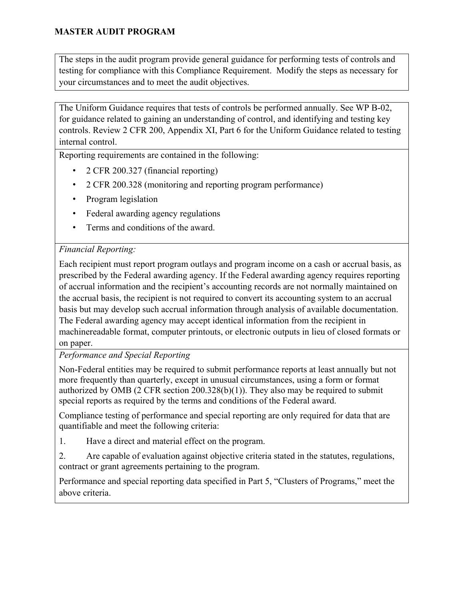The steps in the audit program provide general guidance for performing tests of controls and testing for compliance with this Compliance Requirement. Modify the steps as necessary for your circumstances and to meet the audit objectives.

The Uniform Guidance requires that tests of controls be performed annually. See WP B-02, for guidance related to gaining an understanding of control, and identifying and testing key controls. Review 2 CFR 200, Appendix XI, Part 6 for the Uniform Guidance related to testing internal control.

Reporting requirements are contained in the following:

- 2 CFR 200.327 (financial reporting)
- 2 CFR 200.328 (monitoring and reporting program performance)
- Program legislation
- Federal awarding agency regulations
- Terms and conditions of the award.

### *Financial Reporting:*

Each recipient must report program outlays and program income on a cash or accrual basis, as prescribed by the Federal awarding agency. If the Federal awarding agency requires reporting of accrual information and the recipient's accounting records are not normally maintained on the accrual basis, the recipient is not required to convert its accounting system to an accrual basis but may develop such accrual information through analysis of available documentation. The Federal awarding agency may accept identical information from the recipient in machinereadable format, computer printouts, or electronic outputs in lieu of closed formats or on paper.

*Performance and Special Reporting* 

Non-Federal entities may be required to submit performance reports at least annually but not more frequently than quarterly, except in unusual circumstances, using a form or format authorized by OMB (2 CFR section 200.328(b)(1)). They also may be required to submit special reports as required by the terms and conditions of the Federal award.

Compliance testing of performance and special reporting are only required for data that are quantifiable and meet the following criteria:

1. Have a direct and material effect on the program.

2. Are capable of evaluation against objective criteria stated in the statutes, regulations, contract or grant agreements pertaining to the program.

Performance and special reporting data specified in Part 5, "Clusters of Programs," meet the above criteria.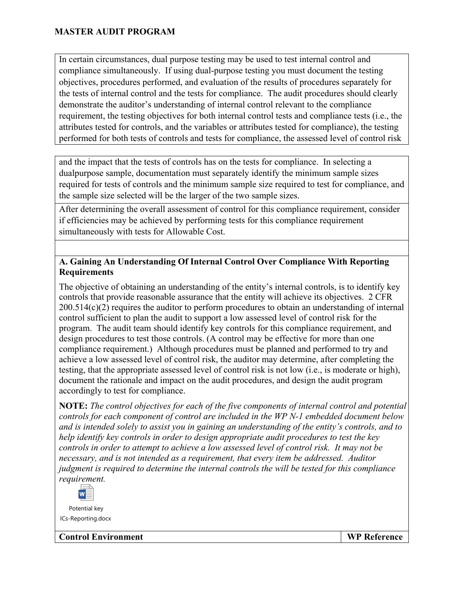In certain circumstances, dual purpose testing may be used to test internal control and compliance simultaneously. If using dual-purpose testing you must document the testing objectives, procedures performed, and evaluation of the results of procedures separately for the tests of internal control and the tests for compliance. The audit procedures should clearly demonstrate the auditor's understanding of internal control relevant to the compliance requirement, the testing objectives for both internal control tests and compliance tests (i.e., the attributes tested for controls, and the variables or attributes tested for compliance), the testing performed for both tests of controls and tests for compliance, the assessed level of control risk

and the impact that the tests of controls has on the tests for compliance. In selecting a dualpurpose sample, documentation must separately identify the minimum sample sizes required for tests of controls and the minimum sample size required to test for compliance, and the sample size selected will be the larger of the two sample sizes.

After determining the overall assessment of control for this compliance requirement, consider if efficiencies may be achieved by performing tests for this compliance requirement simultaneously with tests for Allowable Cost.

### **A. Gaining An Understanding Of Internal Control Over Compliance With Reporting Requirements**

The objective of obtaining an understanding of the entity's internal controls, is to identify key controls that provide reasonable assurance that the entity will achieve its objectives. 2 CFR 200.514(c)(2) requires the auditor to perform procedures to obtain an understanding of internal control sufficient to plan the audit to support a low assessed level of control risk for the program. The audit team should identify key controls for this compliance requirement, and design procedures to test those controls. (A control may be effective for more than one compliance requirement.) Although procedures must be planned and performed to try and achieve a low assessed level of control risk, the auditor may determine, after completing the testing, that the appropriate assessed level of control risk is not low (i.e., is moderate or high), document the rationale and impact on the audit procedures, and design the audit program accordingly to test for compliance.

**NOTE:** *The control objectives for each of the five components of internal control and potential controls for each component of control are included in the WP N-1 embedded document below and is intended solely to assist you in gaining an understanding of the entity's controls, and to help identify key controls in order to design appropriate audit procedures to test the key controls in order to attempt to achieve a low assessed level of control risk. It may not be necessary, and is not intended as a requirement, that every item be addressed. Auditor judgment is required to determine the internal controls the will be tested for this compliance requirement.* 



Potential key ICs-Reporting.docx

**Control Environment WP Reference**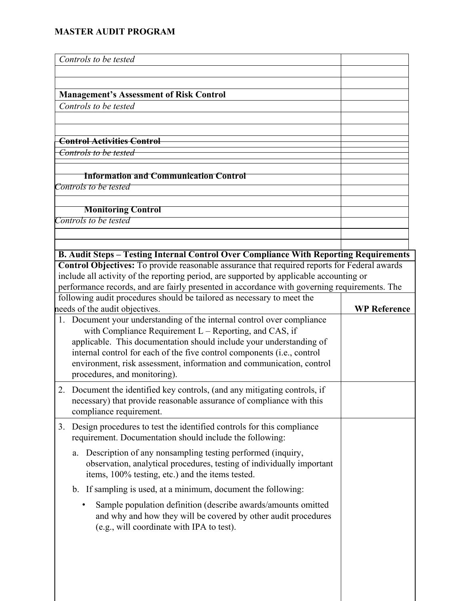| Controls to be tested                                                                                                                                                                         |                     |
|-----------------------------------------------------------------------------------------------------------------------------------------------------------------------------------------------|---------------------|
|                                                                                                                                                                                               |                     |
|                                                                                                                                                                                               |                     |
| <b>Management's Assessment of Risk Control</b><br>Controls to be tested                                                                                                                       |                     |
|                                                                                                                                                                                               |                     |
| <b>Control Activities Control</b>                                                                                                                                                             |                     |
| Controls to be tested                                                                                                                                                                         |                     |
|                                                                                                                                                                                               |                     |
| <b>Information and Communication Control</b>                                                                                                                                                  |                     |
| Controls to be tested                                                                                                                                                                         |                     |
| <b>Monitoring Control</b>                                                                                                                                                                     |                     |
| Controls to be tested                                                                                                                                                                         |                     |
|                                                                                                                                                                                               |                     |
|                                                                                                                                                                                               |                     |
| B. Audit Steps - Testing Internal Control Over Compliance With Reporting Requirements                                                                                                         |                     |
| Control Objectives: To provide reasonable assurance that required reports for Federal awards                                                                                                  |                     |
| include all activity of the reporting period, are supported by applicable accounting or                                                                                                       |                     |
| performance records, and are fairly presented in accordance with governing requirements. The                                                                                                  |                     |
| following audit procedures should be tailored as necessary to meet the<br>needs of the audit objectives.                                                                                      | <b>WP Reference</b> |
| 1. Document your understanding of the internal control over compliance                                                                                                                        |                     |
| with Compliance Requirement $L$ – Reporting, and CAS, if                                                                                                                                      |                     |
| applicable. This documentation should include your understanding of                                                                                                                           |                     |
| internal control for each of the five control components (i.e., control                                                                                                                       |                     |
| environment, risk assessment, information and communication, control                                                                                                                          |                     |
| procedures, and monitoring).                                                                                                                                                                  |                     |
| Document the identified key controls, (and any mitigating controls, if<br>2.                                                                                                                  |                     |
| necessary) that provide reasonable assurance of compliance with this                                                                                                                          |                     |
| compliance requirement.                                                                                                                                                                       |                     |
| Design procedures to test the identified controls for this compliance<br>3.<br>requirement. Documentation should include the following:                                                       |                     |
|                                                                                                                                                                                               |                     |
| Description of any nonsampling testing performed (inquiry,<br>a.<br>observation, analytical procedures, testing of individually important<br>items, 100% testing, etc.) and the items tested. |                     |
| b. If sampling is used, at a minimum, document the following:                                                                                                                                 |                     |
| ٠                                                                                                                                                                                             |                     |
| Sample population definition (describe awards/amounts omitted<br>and why and how they will be covered by other audit procedures<br>(e.g., will coordinate with IPA to test).                  |                     |
|                                                                                                                                                                                               |                     |
|                                                                                                                                                                                               |                     |
|                                                                                                                                                                                               |                     |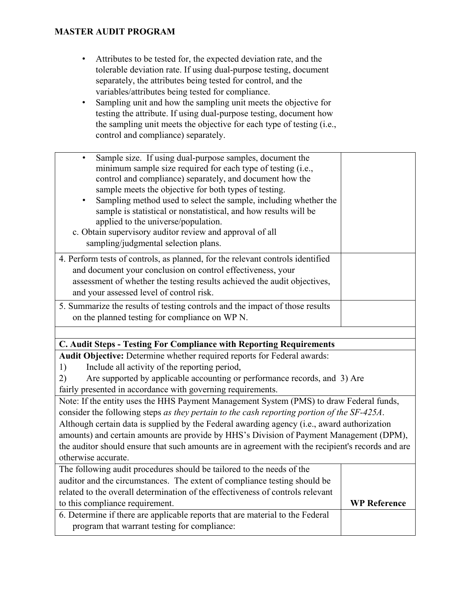- Attributes to be tested for, the expected deviation rate, and the tolerable deviation rate. If using dual-purpose testing, document separately, the attributes being tested for control, and the variables/attributes being tested for compliance.
- Sampling unit and how the sampling unit meets the objective for testing the attribute. If using dual-purpose testing, document how the sampling unit meets the objective for each type of testing (i.e., control and compliance) separately.

| Sample size. If using dual-purpose samples, document the<br>$\bullet$<br>minimum sample size required for each type of testing (i.e.,<br>control and compliance) separately, and document how the<br>sample meets the objective for both types of testing.<br>Sampling method used to select the sample, including whether the<br>$\bullet$<br>sample is statistical or nonstatistical, and how results will be<br>applied to the universe/population.<br>c. Obtain supervisory auditor review and approval of all<br>sampling/judgmental selection plans. |                     |
|------------------------------------------------------------------------------------------------------------------------------------------------------------------------------------------------------------------------------------------------------------------------------------------------------------------------------------------------------------------------------------------------------------------------------------------------------------------------------------------------------------------------------------------------------------|---------------------|
| 4. Perform tests of controls, as planned, for the relevant controls identified                                                                                                                                                                                                                                                                                                                                                                                                                                                                             |                     |
| and document your conclusion on control effectiveness, your                                                                                                                                                                                                                                                                                                                                                                                                                                                                                                |                     |
| assessment of whether the testing results achieved the audit objectives,                                                                                                                                                                                                                                                                                                                                                                                                                                                                                   |                     |
| and your assessed level of control risk.                                                                                                                                                                                                                                                                                                                                                                                                                                                                                                                   |                     |
| 5. Summarize the results of testing controls and the impact of those results                                                                                                                                                                                                                                                                                                                                                                                                                                                                               |                     |
| on the planned testing for compliance on WP N.                                                                                                                                                                                                                                                                                                                                                                                                                                                                                                             |                     |
|                                                                                                                                                                                                                                                                                                                                                                                                                                                                                                                                                            |                     |
| C. Audit Steps - Testing For Compliance with Reporting Requirements                                                                                                                                                                                                                                                                                                                                                                                                                                                                                        |                     |
| Audit Objective: Determine whether required reports for Federal awards:                                                                                                                                                                                                                                                                                                                                                                                                                                                                                    |                     |
| Include all activity of the reporting period,<br>1)                                                                                                                                                                                                                                                                                                                                                                                                                                                                                                        |                     |
| Are supported by applicable accounting or performance records, and 3) Are<br>2)                                                                                                                                                                                                                                                                                                                                                                                                                                                                            |                     |
| fairly presented in accordance with governing requirements.                                                                                                                                                                                                                                                                                                                                                                                                                                                                                                |                     |
| Note: If the entity uses the HHS Payment Management System (PMS) to draw Federal funds,                                                                                                                                                                                                                                                                                                                                                                                                                                                                    |                     |
| consider the following steps as they pertain to the cash reporting portion of the SF-425A.                                                                                                                                                                                                                                                                                                                                                                                                                                                                 |                     |
| Although certain data is supplied by the Federal awarding agency (i.e., award authorization                                                                                                                                                                                                                                                                                                                                                                                                                                                                |                     |
| amounts) and certain amounts are provide by HHS's Division of Payment Management (DPM),                                                                                                                                                                                                                                                                                                                                                                                                                                                                    |                     |
| the auditor should ensure that such amounts are in agreement with the recipient's records and are                                                                                                                                                                                                                                                                                                                                                                                                                                                          |                     |
| otherwise accurate.                                                                                                                                                                                                                                                                                                                                                                                                                                                                                                                                        |                     |
| The following audit procedures should be tailored to the needs of the                                                                                                                                                                                                                                                                                                                                                                                                                                                                                      |                     |
| auditor and the circumstances. The extent of compliance testing should be                                                                                                                                                                                                                                                                                                                                                                                                                                                                                  |                     |
| related to the overall determination of the effectiveness of controls relevant                                                                                                                                                                                                                                                                                                                                                                                                                                                                             |                     |
| to this compliance requirement.                                                                                                                                                                                                                                                                                                                                                                                                                                                                                                                            | <b>WP Reference</b> |
| 6. Determine if there are applicable reports that are material to the Federal                                                                                                                                                                                                                                                                                                                                                                                                                                                                              |                     |
| program that warrant testing for compliance:                                                                                                                                                                                                                                                                                                                                                                                                                                                                                                               |                     |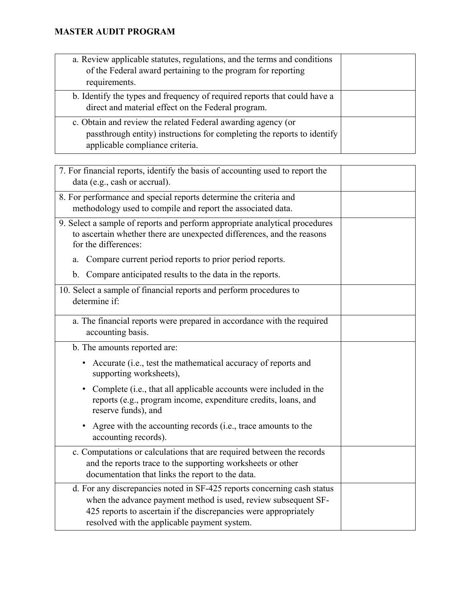| a. Review applicable statutes, regulations, and the terms and conditions<br>of the Federal award pertaining to the program for reporting<br>requirements.                  |  |
|----------------------------------------------------------------------------------------------------------------------------------------------------------------------------|--|
| b. Identify the types and frequency of required reports that could have a<br>direct and material effect on the Federal program.                                            |  |
| c. Obtain and review the related Federal awarding agency (or<br>passthrough entity) instructions for completing the reports to identify<br>applicable compliance criteria. |  |

| 7. For financial reports, identify the basis of accounting used to report the<br>data (e.g., cash or accrual).                                                                                                                                                |  |
|---------------------------------------------------------------------------------------------------------------------------------------------------------------------------------------------------------------------------------------------------------------|--|
| 8. For performance and special reports determine the criteria and<br>methodology used to compile and report the associated data.                                                                                                                              |  |
| 9. Select a sample of reports and perform appropriate analytical procedures<br>to ascertain whether there are unexpected differences, and the reasons<br>for the differences:                                                                                 |  |
| Compare current period reports to prior period reports.<br>a.                                                                                                                                                                                                 |  |
| Compare anticipated results to the data in the reports.<br>b.                                                                                                                                                                                                 |  |
| 10. Select a sample of financial reports and perform procedures to<br>determine if:                                                                                                                                                                           |  |
| a. The financial reports were prepared in accordance with the required<br>accounting basis.                                                                                                                                                                   |  |
| b. The amounts reported are:                                                                                                                                                                                                                                  |  |
| Accurate (i.e., test the mathematical accuracy of reports and<br>٠<br>supporting worksheets),                                                                                                                                                                 |  |
| Complete (i.e., that all applicable accounts were included in the<br>٠<br>reports (e.g., program income, expenditure credits, loans, and<br>reserve funds), and                                                                                               |  |
| Agree with the accounting records (i.e., trace amounts to the<br>٠<br>accounting records).                                                                                                                                                                    |  |
| c. Computations or calculations that are required between the records<br>and the reports trace to the supporting worksheets or other<br>documentation that links the report to the data.                                                                      |  |
| d. For any discrepancies noted in SF-425 reports concerning cash status<br>when the advance payment method is used, review subsequent SF-<br>425 reports to ascertain if the discrepancies were appropriately<br>resolved with the applicable payment system. |  |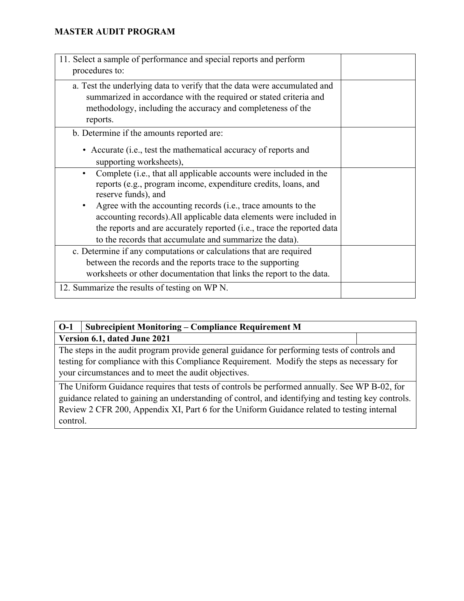| 11. Select a sample of performance and special reports and perform<br>procedures to:                                                                                                                                                                                                                                                                                                     |  |
|------------------------------------------------------------------------------------------------------------------------------------------------------------------------------------------------------------------------------------------------------------------------------------------------------------------------------------------------------------------------------------------|--|
| a. Test the underlying data to verify that the data were accumulated and<br>summarized in accordance with the required or stated criteria and<br>methodology, including the accuracy and completeness of the<br>reports.                                                                                                                                                                 |  |
| b. Determine if the amounts reported are:<br>• Accurate (i.e., test the mathematical accuracy of reports and<br>supporting worksheets),                                                                                                                                                                                                                                                  |  |
| Complete (i.e., that all applicable accounts were included in the<br>$\bullet$<br>reports (e.g., program income, expenditure credits, loans, and<br>reserve funds), and<br>Agree with the accounting records (i.e., trace amounts to the<br>accounting records). All applicable data elements were included in<br>the reports and are accurately reported (i.e., trace the reported data |  |
| to the records that accumulate and summarize the data).                                                                                                                                                                                                                                                                                                                                  |  |
| c. Determine if any computations or calculations that are required<br>between the records and the reports trace to the supporting<br>worksheets or other documentation that links the report to the data.                                                                                                                                                                                |  |
| 12. Summarize the results of testing on WP N.                                                                                                                                                                                                                                                                                                                                            |  |

| $O-1$ | <b>Subrecipient Monitoring – Compliance Requirement M</b>                                                                                                                                                                                          |  |
|-------|----------------------------------------------------------------------------------------------------------------------------------------------------------------------------------------------------------------------------------------------------|--|
|       | Version 6.1, dated June 2021                                                                                                                                                                                                                       |  |
|       | The steps in the audit program provide general guidance for performing tests of controls and<br>testing for compliance with this Compliance Requirement. Modify the steps as necessary for<br>your circumstances and to meet the audit objectives. |  |
|       | The Uniform Guidance requires that tests of controls be performed annually. See WP B-02, for                                                                                                                                                       |  |
|       | guidance related to gaining an understanding of control, and identifying and testing key controls.                                                                                                                                                 |  |

guidance related to gaining an understanding of control, and identifying and testing key controls. Review 2 CFR 200, Appendix XI, Part 6 for the Uniform Guidance related to testing internal control.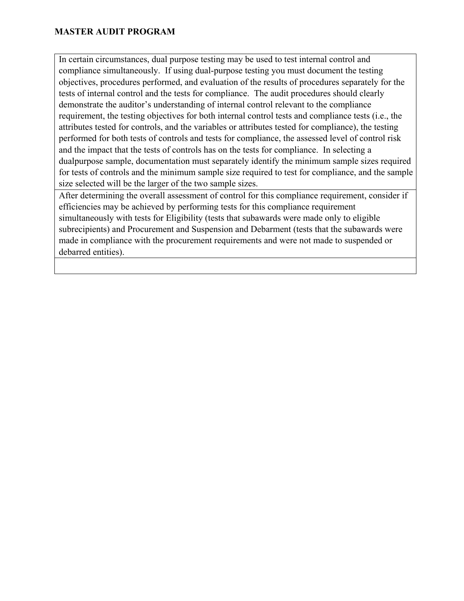In certain circumstances, dual purpose testing may be used to test internal control and compliance simultaneously. If using dual-purpose testing you must document the testing objectives, procedures performed, and evaluation of the results of procedures separately for the tests of internal control and the tests for compliance. The audit procedures should clearly demonstrate the auditor's understanding of internal control relevant to the compliance requirement, the testing objectives for both internal control tests and compliance tests (i.e., the attributes tested for controls, and the variables or attributes tested for compliance), the testing performed for both tests of controls and tests for compliance, the assessed level of control risk and the impact that the tests of controls has on the tests for compliance. In selecting a dualpurpose sample, documentation must separately identify the minimum sample sizes required for tests of controls and the minimum sample size required to test for compliance, and the sample size selected will be the larger of the two sample sizes.

After determining the overall assessment of control for this compliance requirement, consider if efficiencies may be achieved by performing tests for this compliance requirement simultaneously with tests for Eligibility (tests that subawards were made only to eligible subrecipients) and Procurement and Suspension and Debarment (tests that the subawards were made in compliance with the procurement requirements and were not made to suspended or debarred entities).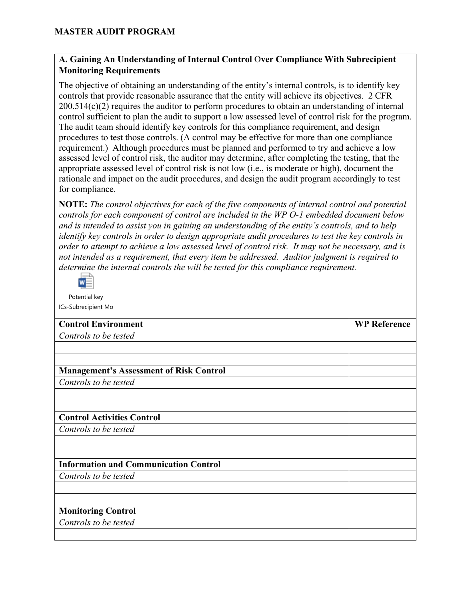### **A. Gaining An Understanding of Internal Control** O**ver Compliance With Subrecipient Monitoring Requirements**

The objective of obtaining an understanding of the entity's internal controls, is to identify key controls that provide reasonable assurance that the entity will achieve its objectives. 2 CFR 200.514(c)(2) requires the auditor to perform procedures to obtain an understanding of internal control sufficient to plan the audit to support a low assessed level of control risk for the program. The audit team should identify key controls for this compliance requirement, and design procedures to test those controls. (A control may be effective for more than one compliance requirement.) Although procedures must be planned and performed to try and achieve a low assessed level of control risk, the auditor may determine, after completing the testing, that the appropriate assessed level of control risk is not low (i.e., is moderate or high), document the rationale and impact on the audit procedures, and design the audit program accordingly to test for compliance.

**NOTE:** *The control objectives for each of the five components of internal control and potential controls for each component of control are included in the WP O-1 embedded document below and is intended to assist you in gaining an understanding of the entity's controls, and to help identify key controls in order to design appropriate audit procedures to test the key controls in order to attempt to achieve a low assessed level of control risk. It may not be necessary, and is not intended as a requirement, that every item be addressed. Auditor judgment is required to determine the internal controls the will be tested for this compliance requirement.* 



Potential key ICs-Subrecipient Mo

| <b>Control Environment</b>                     | <b>WP Reference</b> |
|------------------------------------------------|---------------------|
| Controls to be tested                          |                     |
|                                                |                     |
|                                                |                     |
| <b>Management's Assessment of Risk Control</b> |                     |
| Controls to be tested                          |                     |
|                                                |                     |
|                                                |                     |
| <b>Control Activities Control</b>              |                     |
| Controls to be tested                          |                     |
|                                                |                     |
|                                                |                     |
| <b>Information and Communication Control</b>   |                     |
| Controls to be tested                          |                     |
|                                                |                     |
|                                                |                     |
| <b>Monitoring Control</b>                      |                     |
| Controls to be tested                          |                     |
|                                                |                     |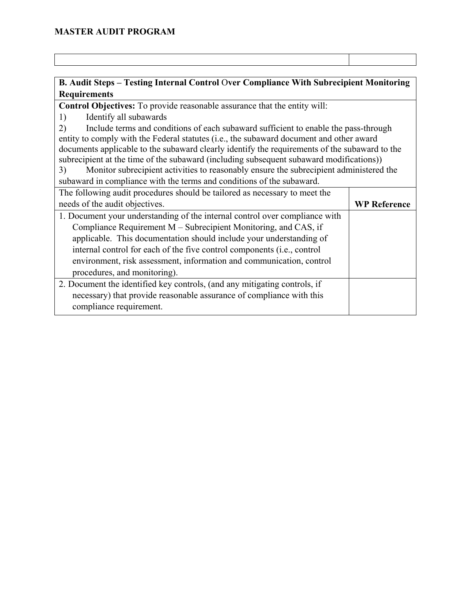### **B. Audit Steps – Testing Internal Control** O**ver Compliance With Subrecipient Monitoring Requirements**

**Control Objectives:** To provide reasonable assurance that the entity will:

1) Identify all subawards

2) Include terms and conditions of each subaward sufficient to enable the pass-through entity to comply with the Federal statutes (i.e., the subaward document and other award documents applicable to the subaward clearly identify the requirements of the subaward to the subrecipient at the time of the subaward (including subsequent subaward modifications))

3) Monitor subrecipient activities to reasonably ensure the subrecipient administered the subaward in compliance with the terms and conditions of the subaward.

| The following audit procedures should be tailored as necessary to meet the  |                     |
|-----------------------------------------------------------------------------|---------------------|
| needs of the audit objectives.                                              | <b>WP Reference</b> |
| 1. Document your understanding of the internal control over compliance with |                     |
| Compliance Requirement M – Subrecipient Monitoring, and CAS, if             |                     |
| applicable. This documentation should include your understanding of         |                     |
| internal control for each of the five control components (i.e., control     |                     |
| environment, risk assessment, information and communication, control        |                     |
| procedures, and monitoring).                                                |                     |
| 2. Document the identified key controls, (and any mitigating controls, if   |                     |
| necessary) that provide reasonable assurance of compliance with this        |                     |
| compliance requirement.                                                     |                     |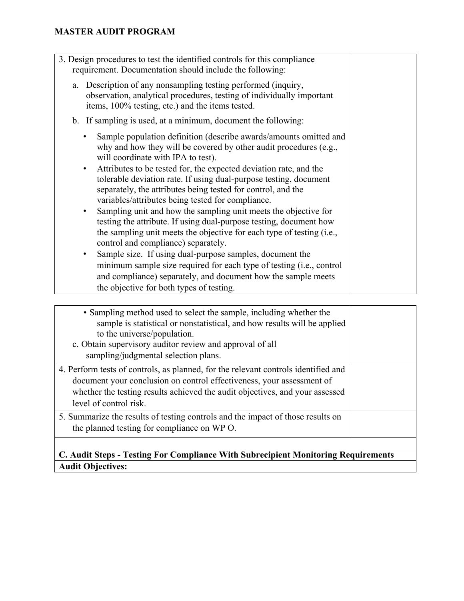| • Sampling method used to select the sample, including whether the<br>sample is statistical or nonstatistical, and how results will be applied<br>to the universe/population.<br>c. Obtain supervisory auditor review and approval of all<br>sampling/judgmental selection plans. |  |
|-----------------------------------------------------------------------------------------------------------------------------------------------------------------------------------------------------------------------------------------------------------------------------------|--|
| 4. Perform tests of controls, as planned, for the relevant controls identified and<br>document your conclusion on control effectiveness, your assessment of<br>whether the testing results achieved the audit objectives, and your assessed<br>level of control risk.             |  |
| 5. Summarize the results of testing controls and the impact of those results on<br>the planned testing for compliance on WP O.                                                                                                                                                    |  |
|                                                                                                                                                                                                                                                                                   |  |

## **C. Audit Steps - Testing For Compliance With Subrecipient Monitoring Requirements Audit Objectives:**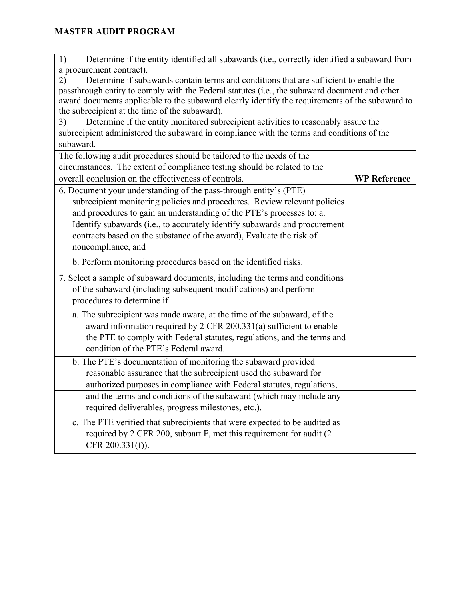|                                                                                                 | Determine if the entity identified all subawards (i.e., correctly identified a subaward from<br>1) |  |  |
|-------------------------------------------------------------------------------------------------|----------------------------------------------------------------------------------------------------|--|--|
| a procurement contract).                                                                        |                                                                                                    |  |  |
| Determine if subawards contain terms and conditions that are sufficient to enable the<br>2)     |                                                                                                    |  |  |
| passthrough entity to comply with the Federal statutes (i.e., the subaward document and other   |                                                                                                    |  |  |
| award documents applicable to the subaward clearly identify the requirements of the subaward to |                                                                                                    |  |  |
| the subrecipient at the time of the subaward).                                                  |                                                                                                    |  |  |
| Determine if the entity monitored subrecipient activities to reasonably assure the<br>3)        |                                                                                                    |  |  |
| subrecipient administered the subaward in compliance with the terms and conditions of the       |                                                                                                    |  |  |
| subaward.                                                                                       |                                                                                                    |  |  |
| The following audit procedures should be tailored to the needs of the                           |                                                                                                    |  |  |
| circumstances. The extent of compliance testing should be related to the                        |                                                                                                    |  |  |
| overall conclusion on the effectiveness of controls.                                            | <b>WP Reference</b>                                                                                |  |  |
| 6. Document your understanding of the pass-through entity's (PTE)                               |                                                                                                    |  |  |
| subrecipient monitoring policies and procedures. Review relevant policies                       |                                                                                                    |  |  |
| and procedures to gain an understanding of the PTE's processes to: a.                           |                                                                                                    |  |  |
| Identify subawards (i.e., to accurately identify subawards and procurement                      |                                                                                                    |  |  |
| contracts based on the substance of the award), Evaluate the risk of                            |                                                                                                    |  |  |
| noncompliance, and                                                                              |                                                                                                    |  |  |
| b. Perform monitoring procedures based on the identified risks.                                 |                                                                                                    |  |  |
| 7. Select a sample of subaward documents, including the terms and conditions                    |                                                                                                    |  |  |
| of the subaward (including subsequent modifications) and perform                                |                                                                                                    |  |  |
| procedures to determine if                                                                      |                                                                                                    |  |  |
| a. The subrecipient was made aware, at the time of the subaward, of the                         |                                                                                                    |  |  |
| award information required by 2 CFR 200.331(a) sufficient to enable                             |                                                                                                    |  |  |
| the PTE to comply with Federal statutes, regulations, and the terms and                         |                                                                                                    |  |  |
| condition of the PTE's Federal award.                                                           |                                                                                                    |  |  |
|                                                                                                 |                                                                                                    |  |  |
| b. The PTE's documentation of monitoring the subaward provided                                  |                                                                                                    |  |  |
| reasonable assurance that the subrecipient used the subaward for                                |                                                                                                    |  |  |
| authorized purposes in compliance with Federal statutes, regulations,                           |                                                                                                    |  |  |
| and the terms and conditions of the subaward (which may include any                             |                                                                                                    |  |  |
| required deliverables, progress milestones, etc.).                                              |                                                                                                    |  |  |
| c. The PTE verified that subrecipients that were expected to be audited as                      |                                                                                                    |  |  |
| required by 2 CFR 200, subpart F, met this requirement for audit (2                             |                                                                                                    |  |  |
| CFR $200.331(f)$ ).                                                                             |                                                                                                    |  |  |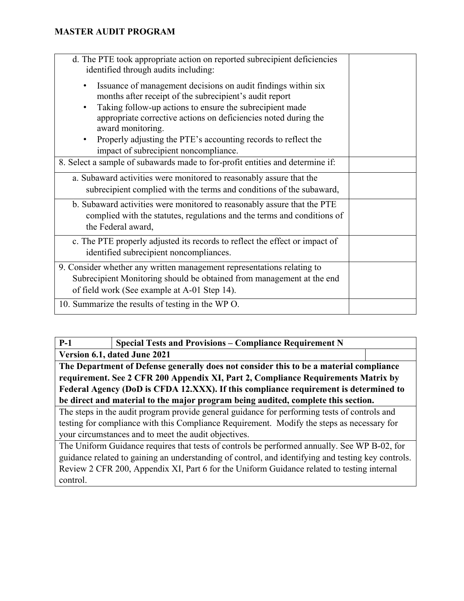| d. The PTE took appropriate action on reported subrecipient deficiencies<br>identified through audits including:<br>Issuance of management decisions on audit findings within six<br>٠<br>months after receipt of the subrecipient's audit report<br>Taking follow-up actions to ensure the subrecipient made<br>$\bullet$<br>appropriate corrective actions on deficiencies noted during the<br>award monitoring.<br>Properly adjusting the PTE's accounting records to reflect the |  |
|--------------------------------------------------------------------------------------------------------------------------------------------------------------------------------------------------------------------------------------------------------------------------------------------------------------------------------------------------------------------------------------------------------------------------------------------------------------------------------------|--|
| impact of subrecipient noncompliance.                                                                                                                                                                                                                                                                                                                                                                                                                                                |  |
| 8. Select a sample of subawards made to for-profit entities and determine if:                                                                                                                                                                                                                                                                                                                                                                                                        |  |
| a. Subaward activities were monitored to reasonably assure that the<br>subrecipient complied with the terms and conditions of the subaward,                                                                                                                                                                                                                                                                                                                                          |  |
| b. Subaward activities were monitored to reasonably assure that the PTE<br>complied with the statutes, regulations and the terms and conditions of<br>the Federal award,                                                                                                                                                                                                                                                                                                             |  |
| c. The PTE properly adjusted its records to reflect the effect or impact of<br>identified subrecipient noncompliances.                                                                                                                                                                                                                                                                                                                                                               |  |
| 9. Consider whether any written management representations relating to<br>Subrecipient Monitoring should be obtained from management at the end<br>of field work (See example at A-01 Step 14).                                                                                                                                                                                                                                                                                      |  |
| 10. Summarize the results of testing in the WP O.                                                                                                                                                                                                                                                                                                                                                                                                                                    |  |

| $P-1$                                                                                      | <b>Special Tests and Provisions – Compliance Requirement N</b>                                     |  |
|--------------------------------------------------------------------------------------------|----------------------------------------------------------------------------------------------------|--|
|                                                                                            | Version 6.1, dated June 2021                                                                       |  |
| The Department of Defense generally does not consider this to be a material compliance     |                                                                                                    |  |
| requirement. See 2 CFR 200 Appendix XI, Part 2, Compliance Requirements Matrix by          |                                                                                                    |  |
| Federal Agency (DoD is CFDA 12.XXX). If this compliance requirement is determined to       |                                                                                                    |  |
| be direct and material to the major program being audited, complete this section.          |                                                                                                    |  |
|                                                                                            | The steps in the audit program provide general guidance for performing tests of controls and       |  |
| testing for compliance with this Compliance Requirement. Modify the steps as necessary for |                                                                                                    |  |
|                                                                                            | your circumstances and to meet the audit objectives.                                               |  |
|                                                                                            | The Uniform Guidance requires that tests of controls be performed annually. See WP B-02, for       |  |
|                                                                                            | guidance related to gaining an understanding of control, and identifying and testing key controls. |  |
|                                                                                            | Review 2 CFR 200, Appendix XI, Part 6 for the Uniform Guidance related to testing internal         |  |
| control.                                                                                   |                                                                                                    |  |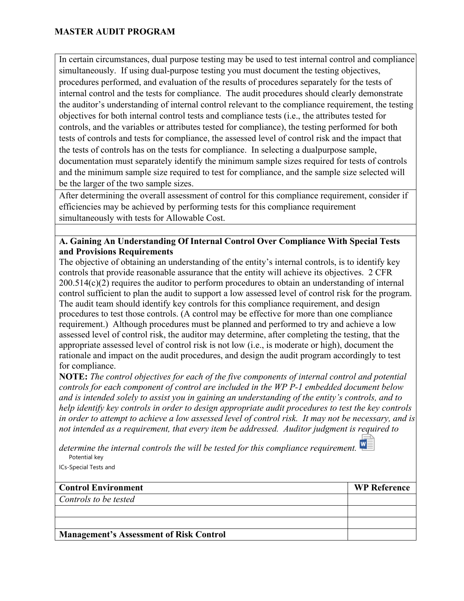In certain circumstances, dual purpose testing may be used to test internal control and compliance simultaneously. If using dual-purpose testing you must document the testing objectives, procedures performed, and evaluation of the results of procedures separately for the tests of internal control and the tests for compliance. The audit procedures should clearly demonstrate the auditor's understanding of internal control relevant to the compliance requirement, the testing objectives for both internal control tests and compliance tests (i.e., the attributes tested for controls, and the variables or attributes tested for compliance), the testing performed for both tests of controls and tests for compliance, the assessed level of control risk and the impact that the tests of controls has on the tests for compliance. In selecting a dualpurpose sample, documentation must separately identify the minimum sample sizes required for tests of controls and the minimum sample size required to test for compliance, and the sample size selected will be the larger of the two sample sizes.

After determining the overall assessment of control for this compliance requirement, consider if efficiencies may be achieved by performing tests for this compliance requirement simultaneously with tests for Allowable Cost.

#### **A. Gaining An Understanding Of Internal Control Over Compliance With Special Tests and Provisions Requirements**

The objective of obtaining an understanding of the entity's internal controls, is to identify key controls that provide reasonable assurance that the entity will achieve its objectives. 2 CFR 200.514(c)(2) requires the auditor to perform procedures to obtain an understanding of internal control sufficient to plan the audit to support a low assessed level of control risk for the program. The audit team should identify key controls for this compliance requirement, and design procedures to test those controls. (A control may be effective for more than one compliance requirement.) Although procedures must be planned and performed to try and achieve a low assessed level of control risk, the auditor may determine, after completing the testing, that the appropriate assessed level of control risk is not low (i.e., is moderate or high), document the rationale and impact on the audit procedures, and design the audit program accordingly to test for compliance.

**NOTE:** *The control objectives for each of the five components of internal control and potential controls for each component of control are included in the WP P-1 embedded document below and is intended solely to assist you in gaining an understanding of the entity's controls, and to help identify key controls in order to design appropriate audit procedures to test the key controls in order to attempt to achieve a low assessed level of control risk. It may not be necessary, and is not intended as a requirement, that every item be addressed. Auditor judgment is required to* 

*determine the internal controls the will be tested for this compliance requirement.*  Potential key

ICs-Special Tests and

| <b>Control Environment</b>                     | <b>WP Reference</b> |
|------------------------------------------------|---------------------|
| Controls to be tested                          |                     |
|                                                |                     |
|                                                |                     |
| <b>Management's Assessment of Risk Control</b> |                     |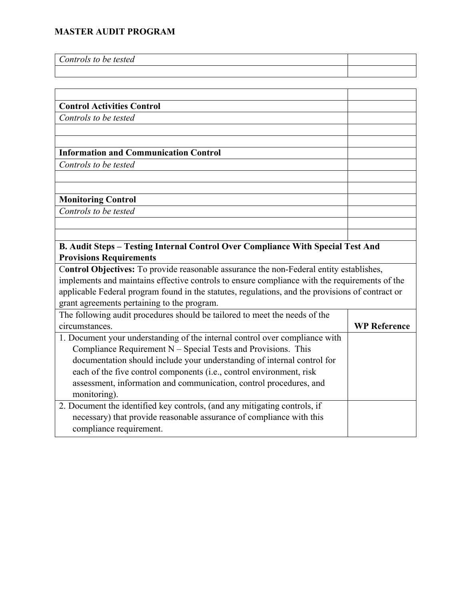| Controls to be tested |  |
|-----------------------|--|
|                       |  |

#### **Control Activities Control** *Controls to be tested*

#### **Information and Communication Control**

*Controls to be tested*

#### **Monitoring Control**

*Controls to be tested*

#### **B. Audit Steps – Testing Internal Control Over Compliance With Special Test And Provisions Requirements**

C**ontrol Objectives:** To provide reasonable assurance the non-Federal entity establishes, implements and maintains effective controls to ensure compliance with the requirements of the applicable Federal program found in the statutes, regulations, and the provisions of contract or grant agreements pertaining to the program.

| The following audit procedures should be tailored to meet the needs of the  |                     |
|-----------------------------------------------------------------------------|---------------------|
| circumstances.                                                              | <b>WP Reference</b> |
| 1. Document your understanding of the internal control over compliance with |                     |
| Compliance Requirement $N -$ Special Tests and Provisions. This             |                     |
| documentation should include your understanding of internal control for     |                     |
| each of the five control components (i.e., control environment, risk        |                     |
| assessment, information and communication, control procedures, and          |                     |
| monitoring).                                                                |                     |
| 2. Document the identified key controls, (and any mitigating controls, if   |                     |
| necessary) that provide reasonable assurance of compliance with this        |                     |
| compliance requirement.                                                     |                     |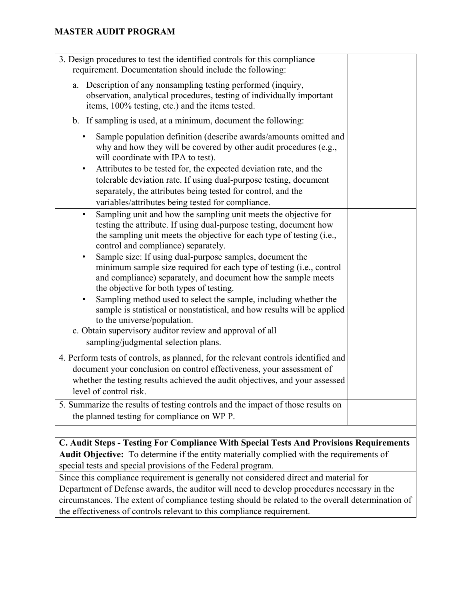| 3. Design procedures to test the identified controls for this compliance<br>requirement. Documentation should include the following:                                                                                                                                                                                                                                                                                                                                                                                                                                                                                                                                                                                                                                                                             |  |
|------------------------------------------------------------------------------------------------------------------------------------------------------------------------------------------------------------------------------------------------------------------------------------------------------------------------------------------------------------------------------------------------------------------------------------------------------------------------------------------------------------------------------------------------------------------------------------------------------------------------------------------------------------------------------------------------------------------------------------------------------------------------------------------------------------------|--|
| Description of any nonsampling testing performed (inquiry,<br>a.<br>observation, analytical procedures, testing of individually important<br>items, 100% testing, etc.) and the items tested.                                                                                                                                                                                                                                                                                                                                                                                                                                                                                                                                                                                                                    |  |
| b. If sampling is used, at a minimum, document the following:                                                                                                                                                                                                                                                                                                                                                                                                                                                                                                                                                                                                                                                                                                                                                    |  |
| Sample population definition (describe awards/amounts omitted and<br>why and how they will be covered by other audit procedures (e.g.,<br>will coordinate with IPA to test).<br>Attributes to be tested for, the expected deviation rate, and the<br>$\bullet$<br>tolerable deviation rate. If using dual-purpose testing, document<br>separately, the attributes being tested for control, and the<br>variables/attributes being tested for compliance.                                                                                                                                                                                                                                                                                                                                                         |  |
| Sampling unit and how the sampling unit meets the objective for<br>$\bullet$<br>testing the attribute. If using dual-purpose testing, document how<br>the sampling unit meets the objective for each type of testing (i.e.,<br>control and compliance) separately.<br>Sample size: If using dual-purpose samples, document the<br>٠<br>minimum sample size required for each type of testing (i.e., control<br>and compliance) separately, and document how the sample meets<br>the objective for both types of testing.<br>Sampling method used to select the sample, including whether the<br>٠<br>sample is statistical or nonstatistical, and how results will be applied<br>to the universe/population.<br>c. Obtain supervisory auditor review and approval of all<br>sampling/judgmental selection plans. |  |
| 4. Perform tests of controls, as planned, for the relevant controls identified and<br>document your conclusion on control effectiveness, your assessment of<br>whether the testing results achieved the audit objectives, and your assessed<br>level of control risk.                                                                                                                                                                                                                                                                                                                                                                                                                                                                                                                                            |  |
| 5. Summarize the results of testing controls and the impact of those results on<br>the planned testing for compliance on WP P.                                                                                                                                                                                                                                                                                                                                                                                                                                                                                                                                                                                                                                                                                   |  |
|                                                                                                                                                                                                                                                                                                                                                                                                                                                                                                                                                                                                                                                                                                                                                                                                                  |  |
| C. Audit Steps - Testing For Compliance With Special Tests And Provisions Requirements                                                                                                                                                                                                                                                                                                                                                                                                                                                                                                                                                                                                                                                                                                                           |  |
| Audit Objective: To determine if the entity materially complied with the requirements of<br>special tests and special provisions of the Federal program.                                                                                                                                                                                                                                                                                                                                                                                                                                                                                                                                                                                                                                                         |  |
| Since this compliance requirement is generally not considered direct and material for                                                                                                                                                                                                                                                                                                                                                                                                                                                                                                                                                                                                                                                                                                                            |  |
| Department of Defense awards, the auditor will need to develop procedures necessary in the                                                                                                                                                                                                                                                                                                                                                                                                                                                                                                                                                                                                                                                                                                                       |  |
| circumstances. The extent of compliance testing should be related to the overall determination of                                                                                                                                                                                                                                                                                                                                                                                                                                                                                                                                                                                                                                                                                                                |  |

the effectiveness of controls relevant to this compliance requirement.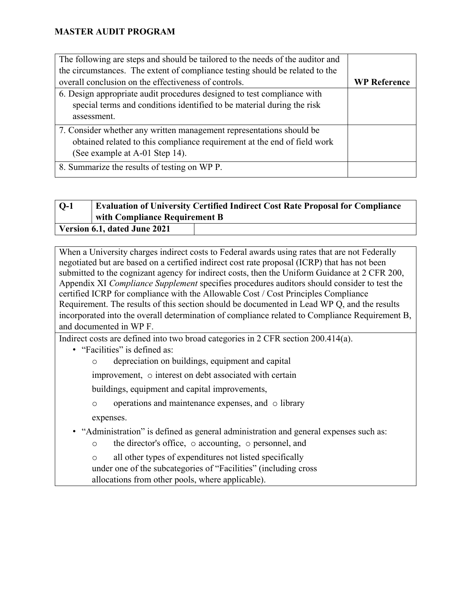| The following are steps and should be tailored to the needs of the auditor and |                     |
|--------------------------------------------------------------------------------|---------------------|
| the circumstances. The extent of compliance testing should be related to the   |                     |
| overall conclusion on the effectiveness of controls.                           | <b>WP Reference</b> |
| 6. Design appropriate audit procedures designed to test compliance with        |                     |
| special terms and conditions identified to be material during the risk         |                     |
| assessment.                                                                    |                     |
| 7. Consider whether any written management representations should be           |                     |
| obtained related to this compliance requirement at the end of field work       |                     |
| (See example at A-01 Step 14).                                                 |                     |
| 8. Summarize the results of testing on WP P.                                   |                     |

# **Q-1 Evaluation of University Certified Indirect Cost Rate Proposal for Compliance with Compliance Requirement B**

**Version 6.1, dated June 2021**

When a University charges indirect costs to Federal awards using rates that are not Federally negotiated but are based on a certified indirect cost rate proposal (ICRP) that has not been submitted to the cognizant agency for indirect costs, then the Uniform Guidance at 2 CFR 200, Appendix XI *Compliance Supplement* specifies procedures auditors should consider to test the certified ICRP for compliance with the Allowable Cost / Cost Principles Compliance Requirement. The results of this section should be documented in Lead WP Q, and the results incorporated into the overall determination of compliance related to Compliance Requirement B, and documented in WP F.

Indirect costs are defined into two broad categories in 2 CFR section 200.414(a).

• "Facilities" is defined as:

o depreciation on buildings, equipment and capital

improvement, o interest on debt associated with certain

buildings, equipment and capital improvements,

o operations and maintenance expenses, and o library

expenses.

• "Administration" is defined as general administration and general expenses such as:

o the director's office, o accounting, o personnel, and

o all other types of expenditures not listed specifically under one of the subcategories of "Facilities" (including cross allocations from other pools, where applicable).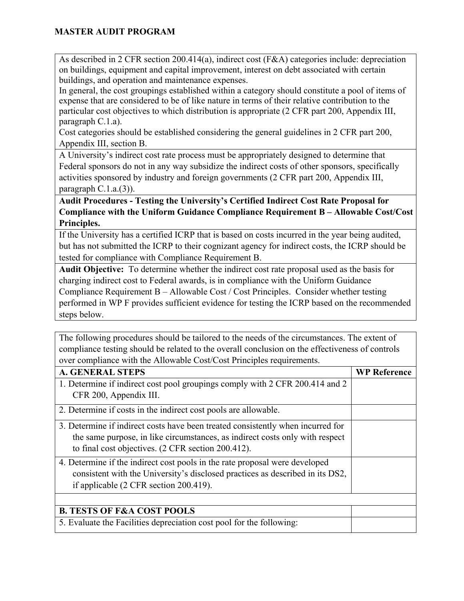As described in 2 CFR section 200.414(a), indirect cost (F&A) categories include: depreciation on buildings, equipment and capital improvement, interest on debt associated with certain buildings, and operation and maintenance expenses.

In general, the cost groupings established within a category should constitute a pool of items of expense that are considered to be of like nature in terms of their relative contribution to the particular cost objectives to which distribution is appropriate (2 CFR part 200, Appendix III, paragraph C.1.a).

Cost categories should be established considering the general guidelines in 2 CFR part 200, Appendix III, section B.

A University's indirect cost rate process must be appropriately designed to determine that Federal sponsors do not in any way subsidize the indirect costs of other sponsors, specifically activities sponsored by industry and foreign governments (2 CFR part 200, Appendix III, paragraph C.1.a.(3)).

**Audit Procedures - Testing the University's Certified Indirect Cost Rate Proposal for Compliance with the Uniform Guidance Compliance Requirement B – Allowable Cost/Cost Principles.** 

If the University has a certified ICRP that is based on costs incurred in the year being audited, but has not submitted the ICRP to their cognizant agency for indirect costs, the ICRP should be tested for compliance with Compliance Requirement B.

**Audit Objective:** To determine whether the indirect cost rate proposal used as the basis for charging indirect cost to Federal awards, is in compliance with the Uniform Guidance Compliance Requirement B – Allowable Cost / Cost Principles. Consider whether testing performed in WP F provides sufficient evidence for testing the ICRP based on the recommended steps below.

The following procedures should be tailored to the needs of the circumstances. The extent of compliance testing should be related to the overall conclusion on the effectiveness of controls over compliance with the Allowable Cost/Cost Principles requirements.

| <b>A. GENERAL STEPS</b>                                                                                                                                                                                               | <b>WP Reference</b> |
|-----------------------------------------------------------------------------------------------------------------------------------------------------------------------------------------------------------------------|---------------------|
| 1. Determine if indirect cost pool groupings comply with 2 CFR 200.414 and 2<br>CFR 200, Appendix III.                                                                                                                |                     |
| 2. Determine if costs in the indirect cost pools are allowable.                                                                                                                                                       |                     |
| 3. Determine if indirect costs have been treated consistently when incurred for<br>the same purpose, in like circumstances, as indirect costs only with respect<br>to final cost objectives. (2 CFR section 200.412). |                     |
| 4. Determine if the indirect cost pools in the rate proposal were developed<br>consistent with the University's disclosed practices as described in its DS2,<br>if applicable (2 CFR section 200.419).                |                     |
|                                                                                                                                                                                                                       |                     |
| <b>B. TESTS OF F&amp;A COST POOLS</b>                                                                                                                                                                                 |                     |
| 5. Evaluate the Facilities depreciation cost pool for the following:                                                                                                                                                  |                     |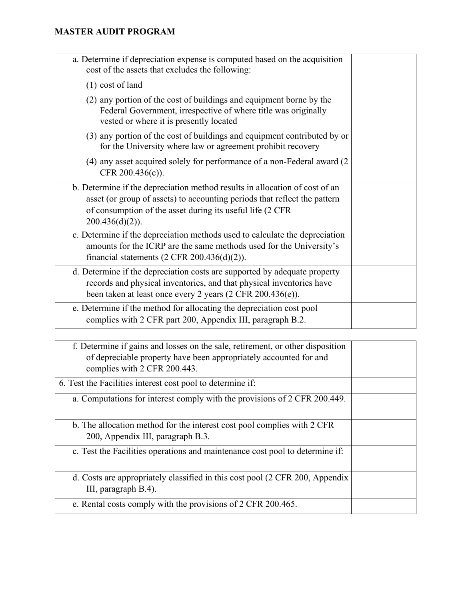| a. Determine if depreciation expense is computed based on the acquisition<br>cost of the assets that excludes the following:                                                                                                                |  |
|---------------------------------------------------------------------------------------------------------------------------------------------------------------------------------------------------------------------------------------------|--|
| $(1)$ cost of land                                                                                                                                                                                                                          |  |
| (2) any portion of the cost of buildings and equipment borne by the<br>Federal Government, irrespective of where title was originally<br>vested or where it is presently located                                                            |  |
| (3) any portion of the cost of buildings and equipment contributed by or<br>for the University where law or agreement prohibit recovery                                                                                                     |  |
| (4) any asset acquired solely for performance of a non-Federal award (2)<br>CFR 200.436(c)).                                                                                                                                                |  |
| b. Determine if the depreciation method results in allocation of cost of an<br>asset (or group of assets) to accounting periods that reflect the pattern<br>of consumption of the asset during its useful life (2 CFR<br>$200.436(d)(2)$ ). |  |
| c. Determine if the depreciation methods used to calculate the depreciation<br>amounts for the ICRP are the same methods used for the University's<br>financial statements $(2 \text{ CFR } 200.436(d)(2)).$                                |  |
| d. Determine if the depreciation costs are supported by adequate property<br>records and physical inventories, and that physical inventories have<br>been taken at least once every 2 years $(2 \text{ CFR } 200.436(e)).$                  |  |
| e. Determine if the method for allocating the depreciation cost pool<br>complies with 2 CFR part 200, Appendix III, paragraph B.2.                                                                                                          |  |

| f. Determine if gains and losses on the sale, retirement, or other disposition<br>of depreciable property have been appropriately accounted for and<br>complies with 2 CFR 200.443. |  |
|-------------------------------------------------------------------------------------------------------------------------------------------------------------------------------------|--|
| 6. Test the Facilities interest cost pool to determine if:                                                                                                                          |  |
| a. Computations for interest comply with the provisions of 2 CFR 200.449.                                                                                                           |  |
| b. The allocation method for the interest cost pool complies with 2 CFR                                                                                                             |  |
| 200, Appendix III, paragraph B.3.                                                                                                                                                   |  |
| c. Test the Facilities operations and maintenance cost pool to determine if:                                                                                                        |  |
| d. Costs are appropriately classified in this cost pool (2 CFR 200, Appendix<br>III, paragraph B.4).                                                                                |  |
| e. Rental costs comply with the provisions of 2 CFR 200.465.                                                                                                                        |  |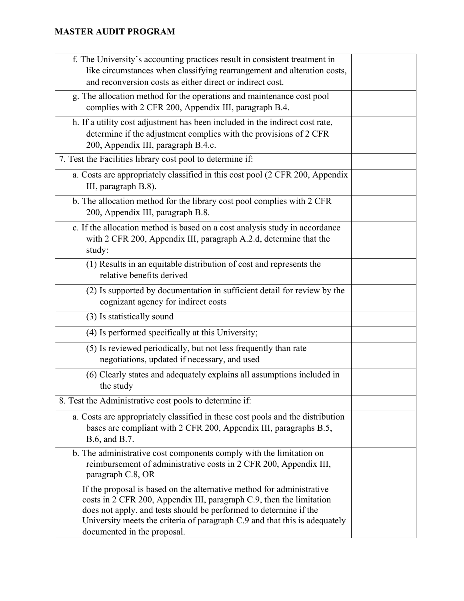| f. The University's accounting practices result in consistent treatment in<br>like circumstances when classifying rearrangement and alteration costs,<br>and reconversion costs as either direct or indirect cost.                                                                                                              |  |
|---------------------------------------------------------------------------------------------------------------------------------------------------------------------------------------------------------------------------------------------------------------------------------------------------------------------------------|--|
| g. The allocation method for the operations and maintenance cost pool<br>complies with 2 CFR 200, Appendix III, paragraph B.4.                                                                                                                                                                                                  |  |
| h. If a utility cost adjustment has been included in the indirect cost rate,<br>determine if the adjustment complies with the provisions of 2 CFR<br>200, Appendix III, paragraph B.4.c.                                                                                                                                        |  |
| 7. Test the Facilities library cost pool to determine if:                                                                                                                                                                                                                                                                       |  |
| a. Costs are appropriately classified in this cost pool (2 CFR 200, Appendix<br>III, paragraph B.8).                                                                                                                                                                                                                            |  |
| b. The allocation method for the library cost pool complies with 2 CFR<br>200, Appendix III, paragraph B.8.                                                                                                                                                                                                                     |  |
| c. If the allocation method is based on a cost analysis study in accordance<br>with 2 CFR 200, Appendix III, paragraph A.2.d, determine that the<br>study:                                                                                                                                                                      |  |
| (1) Results in an equitable distribution of cost and represents the<br>relative benefits derived                                                                                                                                                                                                                                |  |
| (2) Is supported by documentation in sufficient detail for review by the<br>cognizant agency for indirect costs                                                                                                                                                                                                                 |  |
| (3) Is statistically sound                                                                                                                                                                                                                                                                                                      |  |
| (4) Is performed specifically at this University;                                                                                                                                                                                                                                                                               |  |
| (5) Is reviewed periodically, but not less frequently than rate<br>negotiations, updated if necessary, and used                                                                                                                                                                                                                 |  |
| (6) Clearly states and adequately explains all assumptions included in<br>the study                                                                                                                                                                                                                                             |  |
| 8. Test the Administrative cost pools to determine if:                                                                                                                                                                                                                                                                          |  |
| a. Costs are appropriately classified in these cost pools and the distribution<br>bases are compliant with 2 CFR 200, Appendix III, paragraphs B.5,<br>B.6, and B.7.                                                                                                                                                            |  |
| b. The administrative cost components comply with the limitation on<br>reimbursement of administrative costs in 2 CFR 200, Appendix III,<br>paragraph C.8, OR                                                                                                                                                                   |  |
| If the proposal is based on the alternative method for administrative<br>costs in 2 CFR 200, Appendix III, paragraph C.9, then the limitation<br>does not apply. and tests should be performed to determine if the<br>University meets the criteria of paragraph C.9 and that this is adequately<br>documented in the proposal. |  |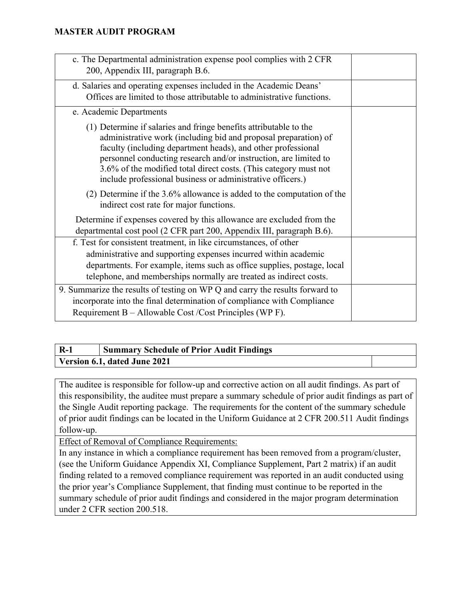| c. The Departmental administration expense pool complies with 2 CFR<br>200, Appendix III, paragraph B.6.                                                                                                                                                                                                                                                                                                   |  |
|------------------------------------------------------------------------------------------------------------------------------------------------------------------------------------------------------------------------------------------------------------------------------------------------------------------------------------------------------------------------------------------------------------|--|
| d. Salaries and operating expenses included in the Academic Deans'<br>Offices are limited to those attributable to administrative functions.                                                                                                                                                                                                                                                               |  |
| e. Academic Departments                                                                                                                                                                                                                                                                                                                                                                                    |  |
| (1) Determine if salaries and fringe benefits attributable to the<br>administrative work (including bid and proposal preparation) of<br>faculty (including department heads), and other professional<br>personnel conducting research and/or instruction, are limited to<br>3.6% of the modified total direct costs. (This category must not<br>include professional business or administrative officers.) |  |
| $(2)$ Determine if the 3.6% allowance is added to the computation of the<br>indirect cost rate for major functions.                                                                                                                                                                                                                                                                                        |  |
| Determine if expenses covered by this allowance are excluded from the<br>departmental cost pool (2 CFR part 200, Appendix III, paragraph B.6).                                                                                                                                                                                                                                                             |  |
| f. Test for consistent treatment, in like circumstances, of other<br>administrative and supporting expenses incurred within academic<br>departments. For example, items such as office supplies, postage, local<br>telephone, and memberships normally are treated as indirect costs.                                                                                                                      |  |
| 9. Summarize the results of testing on WP Q and carry the results forward to<br>incorporate into the final determination of compliance with Compliance<br>Requirement B – Allowable Cost / Cost Principles (WP F).                                                                                                                                                                                         |  |

## **R-1 Summary Schedule of Prior Audit Findings Version 6.1, dated June 2021**

The auditee is responsible for follow-up and corrective action on all audit findings. As part of this responsibility, the auditee must prepare a summary schedule of prior audit findings as part of the Single Audit reporting package. The requirements for the content of the summary schedule of prior audit findings can be located in the Uniform Guidance at 2 CFR 200.511 Audit findings follow-up.

Effect of Removal of Compliance Requirements:

In any instance in which a compliance requirement has been removed from a program/cluster, (see the Uniform Guidance Appendix XI, Compliance Supplement, Part 2 matrix) if an audit finding related to a removed compliance requirement was reported in an audit conducted using the prior year's Compliance Supplement, that finding must continue to be reported in the summary schedule of prior audit findings and considered in the major program determination under 2 CFR section 200.518.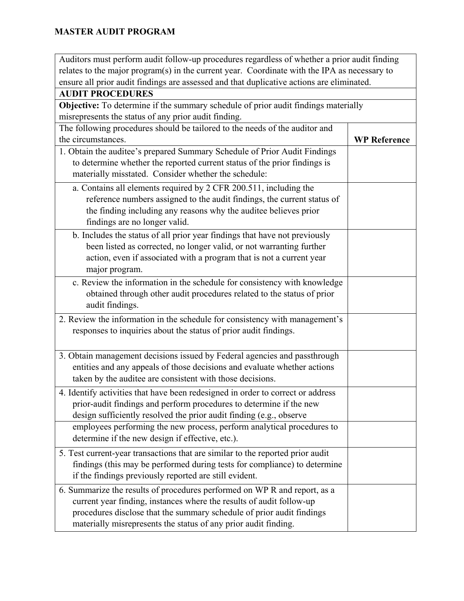| Auditors must perform audit follow-up procedures regardless of whether a prior audit finding |                     |
|----------------------------------------------------------------------------------------------|---------------------|
| relates to the major program(s) in the current year. Coordinate with the IPA as necessary to |                     |
| ensure all prior audit findings are assessed and that duplicative actions are eliminated.    |                     |
| <b>AUDIT PROCEDURES</b>                                                                      |                     |
| <b>Objective:</b> To determine if the summary schedule of prior audit findings materially    |                     |
| misrepresents the status of any prior audit finding.                                         |                     |
| The following procedures should be tailored to the needs of the auditor and                  |                     |
| the circumstances.                                                                           | <b>WP</b> Reference |
| 1. Obtain the auditee's prepared Summary Schedule of Prior Audit Findings                    |                     |
| to determine whether the reported current status of the prior findings is                    |                     |
| materially misstated. Consider whether the schedule:                                         |                     |
| a. Contains all elements required by 2 CFR 200.511, including the                            |                     |
| reference numbers assigned to the audit findings, the current status of                      |                     |
| the finding including any reasons why the auditee believes prior                             |                     |
| findings are no longer valid.                                                                |                     |
| b. Includes the status of all prior year findings that have not previously                   |                     |
| been listed as corrected, no longer valid, or not warranting further                         |                     |
| action, even if associated with a program that is not a current year                         |                     |
| major program.                                                                               |                     |
| c. Review the information in the schedule for consistency with knowledge                     |                     |
| obtained through other audit procedures related to the status of prior                       |                     |
| audit findings.                                                                              |                     |
| 2. Review the information in the schedule for consistency with management's                  |                     |
| responses to inquiries about the status of prior audit findings.                             |                     |
|                                                                                              |                     |
| 3. Obtain management decisions issued by Federal agencies and passthrough                    |                     |
| entities and any appeals of those decisions and evaluate whether actions                     |                     |
| taken by the auditee are consistent with those decisions.                                    |                     |
|                                                                                              |                     |
| 4. Identify activities that have been redesigned in order to correct or address              |                     |
| prior-audit findings and perform procedures to determine if the new                          |                     |
| design sufficiently resolved the prior audit finding (e.g., observe                          |                     |
| employees performing the new process, perform analytical procedures to                       |                     |
| determine if the new design if effective, etc.).                                             |                     |
| 5. Test current-year transactions that are similar to the reported prior audit               |                     |
| findings (this may be performed during tests for compliance) to determine                    |                     |
| if the findings previously reported are still evident.                                       |                     |
| 6. Summarize the results of procedures performed on WP R and report, as a                    |                     |
| current year finding, instances where the results of audit follow-up                         |                     |
| procedures disclose that the summary schedule of prior audit findings                        |                     |
| materially misrepresents the status of any prior audit finding.                              |                     |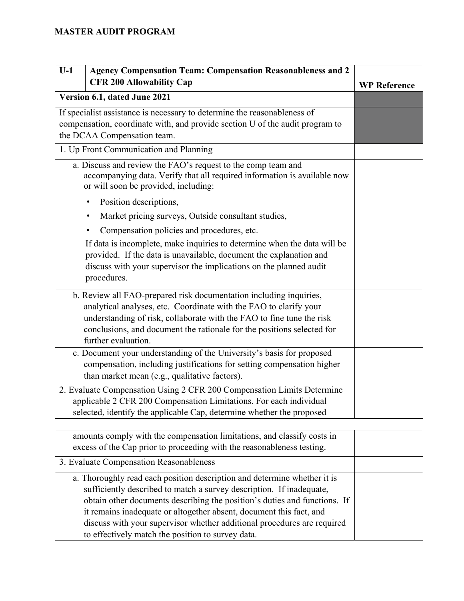| $U-1$<br><b>Agency Compensation Team: Compensation Reasonableness and 2</b><br><b>CFR 200 Allowability Cap</b>                                                                                                                      | <b>WP</b> Reference |
|-------------------------------------------------------------------------------------------------------------------------------------------------------------------------------------------------------------------------------------|---------------------|
| Version 6.1, dated June 2021                                                                                                                                                                                                        |                     |
| If specialist assistance is necessary to determine the reasonableness of<br>compensation, coordinate with, and provide section U of the audit program to<br>the DCAA Compensation team.                                             |                     |
| 1. Up Front Communication and Planning                                                                                                                                                                                              |                     |
| a. Discuss and review the FAO's request to the comp team and<br>accompanying data. Verify that all required information is available now<br>or will soon be provided, including:                                                    |                     |
| Position descriptions,<br>$\bullet$                                                                                                                                                                                                 |                     |
| Market pricing surveys, Outside consultant studies,<br>$\bullet$                                                                                                                                                                    |                     |
| Compensation policies and procedures, etc.<br>$\bullet$                                                                                                                                                                             |                     |
| If data is incomplete, make inquiries to determine when the data will be<br>provided. If the data is unavailable, document the explanation and<br>discuss with your supervisor the implications on the planned audit<br>procedures. |                     |
| b. Review all FAO-prepared risk documentation including inquiries,                                                                                                                                                                  |                     |
| analytical analyses, etc. Coordinate with the FAO to clarify your                                                                                                                                                                   |                     |
| understanding of risk, collaborate with the FAO to fine tune the risk<br>conclusions, and document the rationale for the positions selected for<br>further evaluation.                                                              |                     |
| c. Document your understanding of the University's basis for proposed                                                                                                                                                               |                     |
| compensation, including justifications for setting compensation higher<br>than market mean (e.g., qualitative factors).                                                                                                             |                     |
| 2. Evaluate Compensation Using 2 CFR 200 Compensation Limits Determine                                                                                                                                                              |                     |
| applicable 2 CFR 200 Compensation Limitations. For each individual<br>selected, identify the applicable Cap, determine whether the proposed                                                                                         |                     |
|                                                                                                                                                                                                                                     |                     |

| amounts comply with the compensation limitations, and classify costs in<br>excess of the Cap prior to proceeding with the reasonableness testing.                                                                                                                                                                                                                                                                                    |  |
|--------------------------------------------------------------------------------------------------------------------------------------------------------------------------------------------------------------------------------------------------------------------------------------------------------------------------------------------------------------------------------------------------------------------------------------|--|
| 3. Evaluate Compensation Reasonableness                                                                                                                                                                                                                                                                                                                                                                                              |  |
| a. Thoroughly read each position description and determine whether it is<br>sufficiently described to match a survey description. If inadequate,<br>obtain other documents describing the position's duties and functions. If<br>it remains inadequate or altogether absent, document this fact, and<br>discuss with your supervisor whether additional procedures are required<br>to effectively match the position to survey data. |  |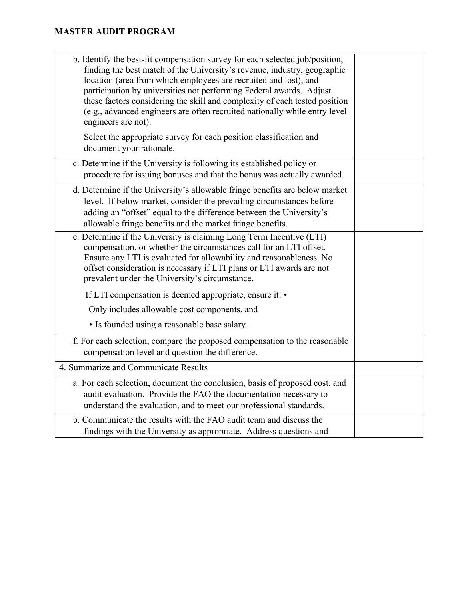| b. Identify the best-fit compensation survey for each selected job/position,<br>finding the best match of the University's revenue, industry, geographic<br>location (area from which employees are recruited and lost), and<br>participation by universities not performing Federal awards. Adjust<br>these factors considering the skill and complexity of each tested position<br>(e.g., advanced engineers are often recruited nationally while entry level<br>engineers are not). |  |
|----------------------------------------------------------------------------------------------------------------------------------------------------------------------------------------------------------------------------------------------------------------------------------------------------------------------------------------------------------------------------------------------------------------------------------------------------------------------------------------|--|
| Select the appropriate survey for each position classification and<br>document your rationale.                                                                                                                                                                                                                                                                                                                                                                                         |  |
| c. Determine if the University is following its established policy or<br>procedure for issuing bonuses and that the bonus was actually awarded.                                                                                                                                                                                                                                                                                                                                        |  |
| d. Determine if the University's allowable fringe benefits are below market<br>level. If below market, consider the prevailing circumstances before<br>adding an "offset" equal to the difference between the University's<br>allowable fringe benefits and the market fringe benefits.                                                                                                                                                                                                |  |
| e. Determine if the University is claiming Long Term Incentive (LTI)<br>compensation, or whether the circumstances call for an LTI offset.<br>Ensure any LTI is evaluated for allowability and reasonableness. No<br>offset consideration is necessary if LTI plans or LTI awards are not<br>prevalent under the University's circumstance.                                                                                                                                            |  |
| If LTI compensation is deemed appropriate, ensure it: •                                                                                                                                                                                                                                                                                                                                                                                                                                |  |
| Only includes allowable cost components, and                                                                                                                                                                                                                                                                                                                                                                                                                                           |  |
| • Is founded using a reasonable base salary.                                                                                                                                                                                                                                                                                                                                                                                                                                           |  |
| f. For each selection, compare the proposed compensation to the reasonable<br>compensation level and question the difference.                                                                                                                                                                                                                                                                                                                                                          |  |
| 4. Summarize and Communicate Results                                                                                                                                                                                                                                                                                                                                                                                                                                                   |  |
| a. For each selection, document the conclusion, basis of proposed cost, and<br>audit evaluation. Provide the FAO the documentation necessary to<br>understand the evaluation, and to meet our professional standards.                                                                                                                                                                                                                                                                  |  |
| b. Communicate the results with the FAO audit team and discuss the<br>findings with the University as appropriate. Address questions and                                                                                                                                                                                                                                                                                                                                               |  |